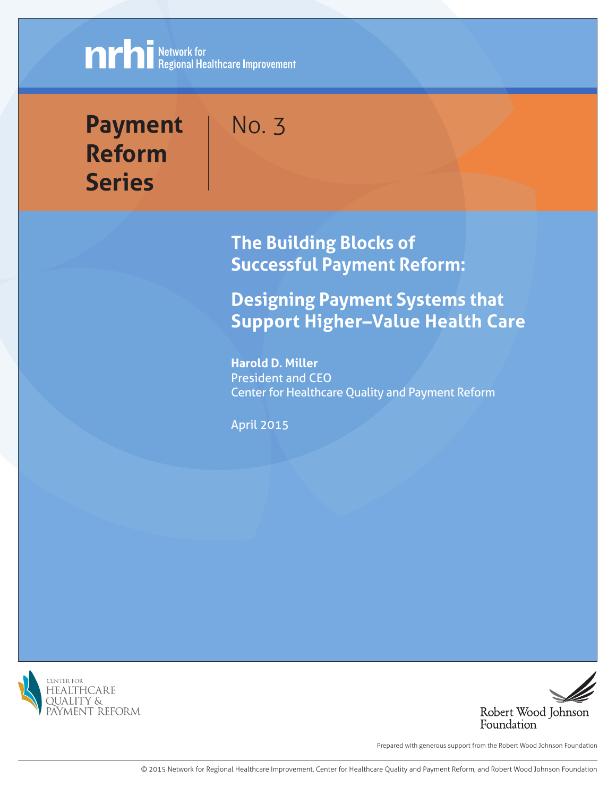**MEDI Network for**<br>Regional Healthcare Improvement

# **Payment Reform Series**



## **The Building Blocks of Successful Payment Reform:**

**Designing Payment Systems that Support Higher–Value Health Care**

**Harold D. Miller** President and CEO Center for Healthcare Quality and Payment Reform

April 2015





Prepared with generous support from the Robert Wood Johnson Foundation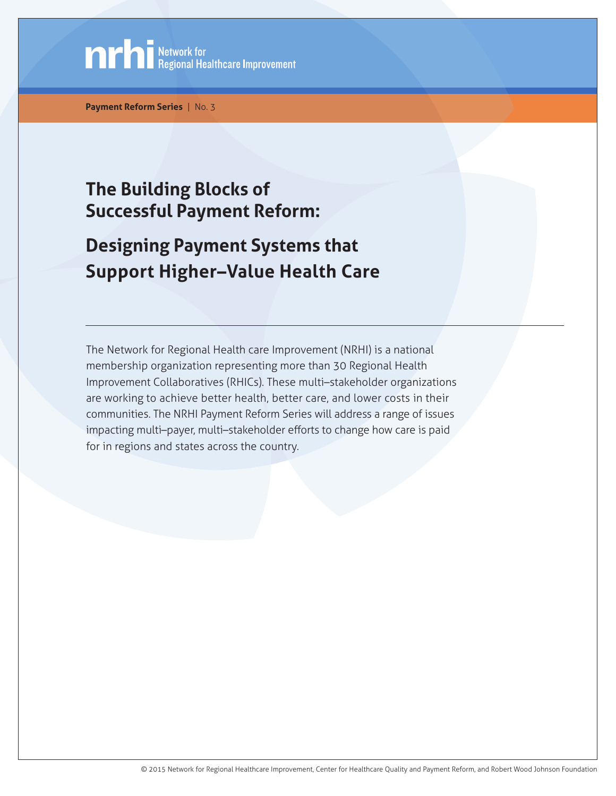**Minima** Network for<br>**Minima** Regional Healthcare Improvement

**Payment Reform Series** | No. 3

## **The Building Blocks of Successful Payment Reform:**

# **Designing Payment Systems that Support Higher–Value Health Care**

The Network for Regional Health care Improvement (NRHI) is a national membership organization representing more than 30 Regional Health Improvement Collaboratives (RHICs). These multi–stakeholder organizations are working to achieve better health, better care, and lower costs in their communities. The NRHI Payment Reform Series will address a range of issues impacting multi–payer, multi–stakeholder efforts to change how care is paid for in regions and states across the country.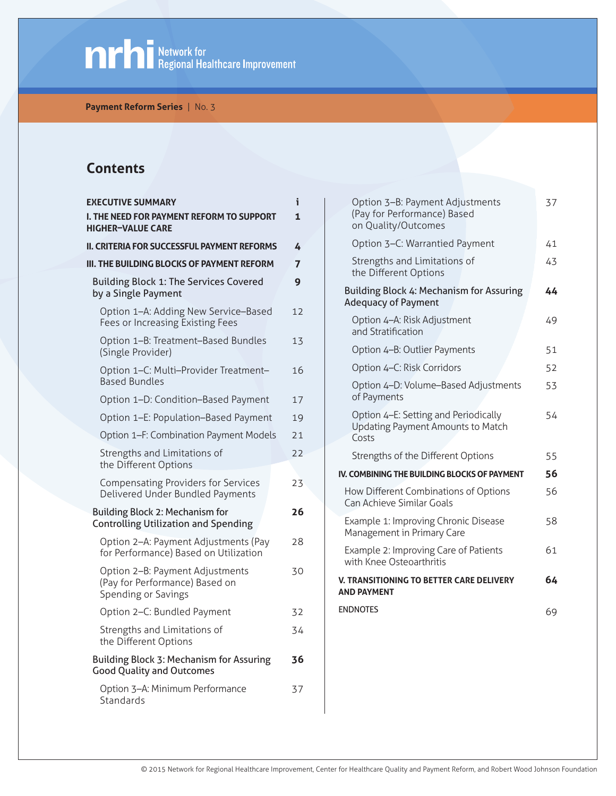

**Payment Reform Series** | No. 3

### **Contents**

| <b>EXECUTIVE SUMMARY</b>                                                                 | i            |
|------------------------------------------------------------------------------------------|--------------|
| I. THE NEED FOR PAYMENT REFORM TO SUPPORT<br><b>HIGHER-VALUE CARE</b>                    | $\mathbf{1}$ |
| <b>II. CRITERIA FOR SUCCESSFUL PAYMENT REFORMS</b>                                       | 4            |
| <b>III. THE BUILDING BLOCKS OF PAYMENT REFORM</b>                                        | 7            |
| Building Block 1: The Services Covered<br>by a Single Payment                            | 9            |
| Option 1-A: Adding New Service-Based<br>Fees or Increasing Existing Fees                 | 12           |
| Option 1-B: Treatment-Based Bundles<br>(Single Provider)                                 | 13           |
| Option 1-C: Multi-Provider Treatment-<br>Based Bundles                                   | 16           |
| Option 1-D: Condition-Based Payment                                                      | 17           |
| Option 1-E: Population-Based Payment                                                     | 19           |
| Option 1-F: Combination Payment Models                                                   | 21           |
| Strengths and Limitations of<br>the Different Options                                    | 22           |
| <b>Compensating Providers for Services</b><br>Delivered Under Bundled Payments           | 23           |
| Building Block 2: Mechanism for<br><b>Controlling Utilization and Spending</b>           | 26           |
| Option 2-A: Payment Adjustments (Pay<br>for Performance) Based on Utilization            | 28           |
| Option 2-B: Payment Adjustments<br>(Pay for Performance) Based on<br>Spending or Savings | 30           |
| Option 2-C: Bundled Payment                                                              | 32           |
| Strengths and Limitations of<br>the Different Options                                    | 34           |
| Building Block 3: Mechanism for Assuring<br><b>Good Quality and Outcomes</b>             | 36           |
| Option 3-A: Minimum Performance<br>Standards                                             | 37           |
|                                                                                          |              |

| Option 3-B: Payment Adjustments<br>(Pay for Performance) Based<br>on Quality/Outcomes |    |  |  |
|---------------------------------------------------------------------------------------|----|--|--|
| Option 3-C: Warrantied Payment                                                        |    |  |  |
| Strengths and Limitations of<br>the Different Options                                 |    |  |  |
| Building Block 4: Mechanism for Assuring<br><b>Adequacy of Payment</b>                | 44 |  |  |
| Option 4-A: Risk Adjustment<br>and Stratification                                     |    |  |  |
| Option 4-B: Outlier Payments                                                          |    |  |  |
| Option 4-C: Risk Corridors                                                            |    |  |  |
| Option 4-D: Volume-Based Adjustments<br>of Payments                                   |    |  |  |
| Option 4-E: Setting and Periodically<br>Updating Payment Amounts to Match<br>Costs    |    |  |  |
| Strengths of the Different Options                                                    |    |  |  |
| IV. COMBINING THE BUILDING BLOCKS OF PAYMENT                                          |    |  |  |
| How Different Combinations of Options<br>Can Achieve Similar Goals                    |    |  |  |
| Example 1: Improving Chronic Disease<br>Management in Primary Care                    |    |  |  |
| Example 2: Improving Care of Patients<br>with Knee Osteoarthritis                     |    |  |  |
| V. TRANSITIONING TO BETTER CARE DELIVERY<br><b>AND PAYMENT</b>                        | 64 |  |  |
| <b>ENDNOTES</b>                                                                       | 69 |  |  |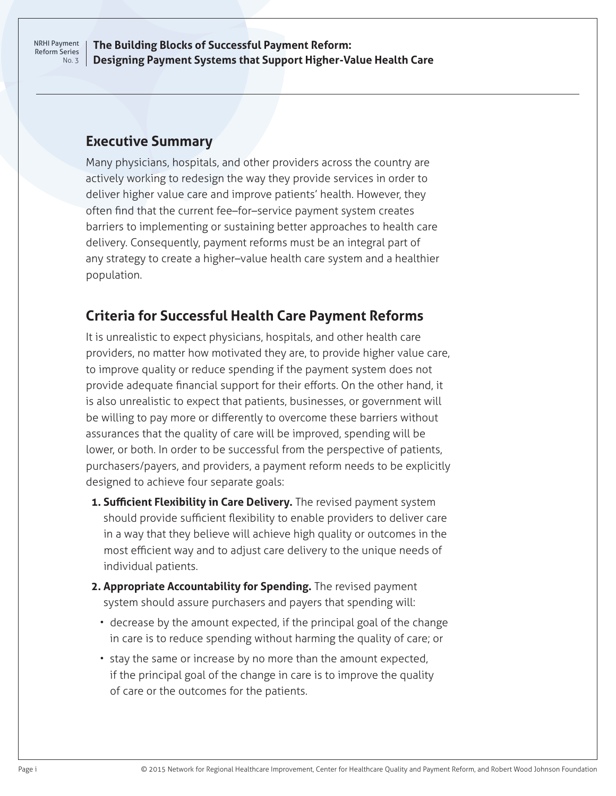<span id="page-3-0"></span>**The Building Blocks of Successful Payment Reform: Designing Payment Systems that Support Higher-Value Health Care**

### **Executive Summary**

Many physicians, hospitals, and other providers across the country are actively working to redesign the way they provide services in order to deliver higher value care and improve patients' health. However, they often find that the current fee–for–service payment system creates barriers to implementing or sustaining better approaches to health care delivery. Consequently, payment reforms must be an integral part of any strategy to create a higher–value health care system and a healthier population.

### **Criteria for Successful Health Care Payment Reforms**

It is unrealistic to expect physicians, hospitals, and other health care providers, no matter how motivated they are, to provide higher value care, to improve quality or reduce spending if the payment system does not provide adequate financial support for their efforts. On the other hand, it is also unrealistic to expect that patients, businesses, or government will be willing to pay more or differently to overcome these barriers without assurances that the quality of care will be improved, spending will be lower, or both. In order to be successful from the perspective of patients, purchasers/payers, and providers, a payment reform needs to be explicitly designed to achieve four separate goals:

- **1. Sufficient Flexibility in Care Delivery.** The revised payment system should provide sufficient flexibility to enable providers to deliver care in a way that they believe will achieve high quality or outcomes in the most efficient way and to adjust care delivery to the unique needs of individual patients.
- **2. Appropriate Accountability for Spending.** The revised payment system should assure purchasers and payers that spending will:
	- decrease by the amount expected, if the principal goal of the change in care is to reduce spending without harming the quality of care; or
	- stay the same or increase by no more than the amount expected, if the principal goal of the change in care is to improve the quality of care or the outcomes for the patients.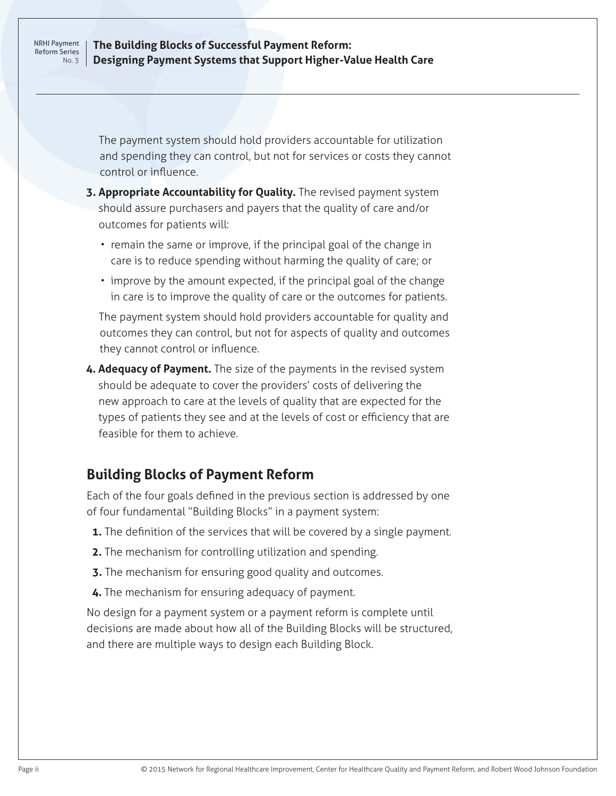### **The Building Blocks of Successful Payment Reform: Designing Payment Systems that Support Higher-Value Health Care**

The payment system should hold providers accountable for utilization and spending they can control, but not for services or costs they cannot control or influence.

- **3. Appropriate Accountability for Quality.** The revised payment system should assure purchasers and payers that the quality of care and/or outcomes for patients will:
	- remain the same or improve, if the principal goal of the change in care is to reduce spending without harming the quality of care; or
	- improve by the amount expected, if the principal goal of the change in care is to improve the quality of care or the outcomes for patients.

The payment system should hold providers accountable for quality and outcomes they can control, but not for aspects of quality and outcomes they cannot control or influence.

**4. Adequacy of Payment.** The size of the payments in the revised system should be adequate to cover the providers' costs of delivering the new approach to care at the levels of quality that are expected for the types of patients they see and at the levels of cost or efficiency that are feasible for them to achieve.

### **Building Blocks of Payment Reform**

Each of the four goals defined in the previous section is addressed by one of four fundamental "Building Blocks" in a payment system:

- **1.** The definition of the services that will be covered by a single payment.
- **2.** The mechanism for controlling utilization and spending.
- **3.** The mechanism for ensuring good quality and outcomes.
- **4.** The mechanism for ensuring adequacy of payment.

No design for a payment system or a payment reform is complete until decisions are made about how all of the Building Blocks will be structured, and there are multiple ways to design each Building Block.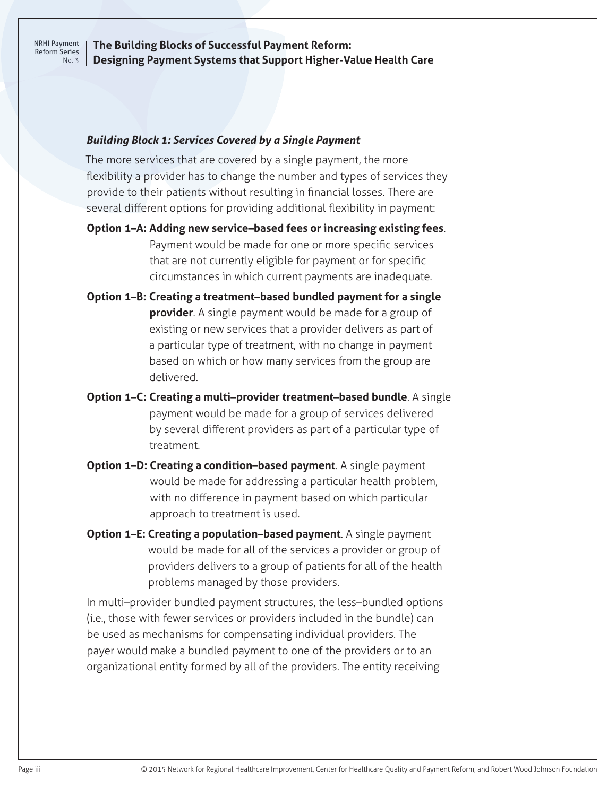### **The Building Blocks of Successful Payment Reform: Designing Payment Systems that Support Higher-Value Health Care**

#### *Building Block 1: Services Covered by a Single Payment*

The more services that are covered by a single payment, the more flexibility a provider has to change the number and types of services they provide to their patients without resulting in financial losses. There are several different options for providing additional flexibility in payment:

- **Option 1–A: Adding new service–based fees or increasing existing fees**. Payment would be made for one or more specific services that are not currently eligible for payment or for specific circumstances in which current payments are inadequate.
- **Option 1–B: Creating a treatment–based bundled payment for a single provider**. A single payment would be made for a group of existing or new services that a provider delivers as part of a particular type of treatment, with no change in payment based on which or how many services from the group are delivered.
- **Option 1–C: Creating a multi–provider treatment–based bundle**. A single payment would be made for a group of services delivered by several different providers as part of a particular type of treatment.
- **Option 1–D: Creating a condition–based payment**. A single payment would be made for addressing a particular health problem, with no difference in payment based on which particular approach to treatment is used.
- **Option 1–E: Creating a population–based payment**. A single payment would be made for all of the services a provider or group of providers delivers to a group of patients for all of the health problems managed by those providers.

In multi–provider bundled payment structures, the less–bundled options (i.e., those with fewer services or providers included in the bundle) can be used as mechanisms for compensating individual providers. The payer would make a bundled payment to one of the providers or to an organizational entity formed by all of the providers. The entity receiving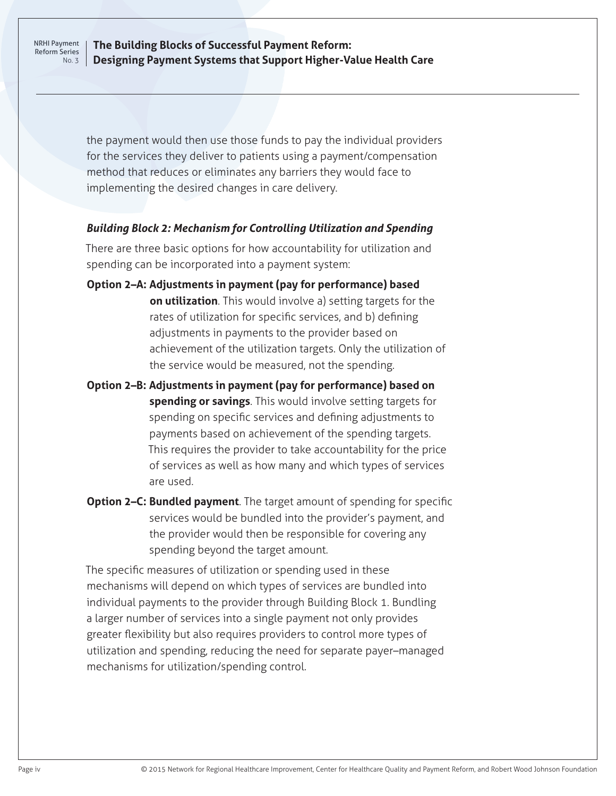### **The Building Blocks of Successful Payment Reform: Designing Payment Systems that Support Higher-Value Health Care**

the payment would then use those funds to pay the individual providers for the services they deliver to patients using a payment/compensation method that reduces or eliminates any barriers they would face to implementing the desired changes in care delivery.

### *Building Block 2: Mechanism for Controlling Utilization and Spending*

There are three basic options for how accountability for utilization and spending can be incorporated into a payment system:

- **Option 2–A: Adjustments in payment (pay for performance) based on utilization**. This would involve a) setting targets for the rates of utilization for specific services, and b) defining adjustments in payments to the provider based on achievement of the utilization targets. Only the utilization of the service would be measured, not the spending.
- **Option 2–B: Adjustments in payment (pay for performance) based on spending or savings**. This would involve setting targets for spending on specific services and defining adjustments to payments based on achievement of the spending targets. This requires the provider to take accountability for the price of services as well as how many and which types of services are used.
- **Option 2–C: Bundled payment**. The target amount of spending for specific services would be bundled into the provider's payment, and the provider would then be responsible for covering any spending beyond the target amount.

The specific measures of utilization or spending used in these mechanisms will depend on which types of services are bundled into individual payments to the provider through Building Block 1. Bundling a larger number of services into a single payment not only provides greater flexibility but also requires providers to control more types of utilization and spending, reducing the need for separate payer–managed mechanisms for utilization/spending control.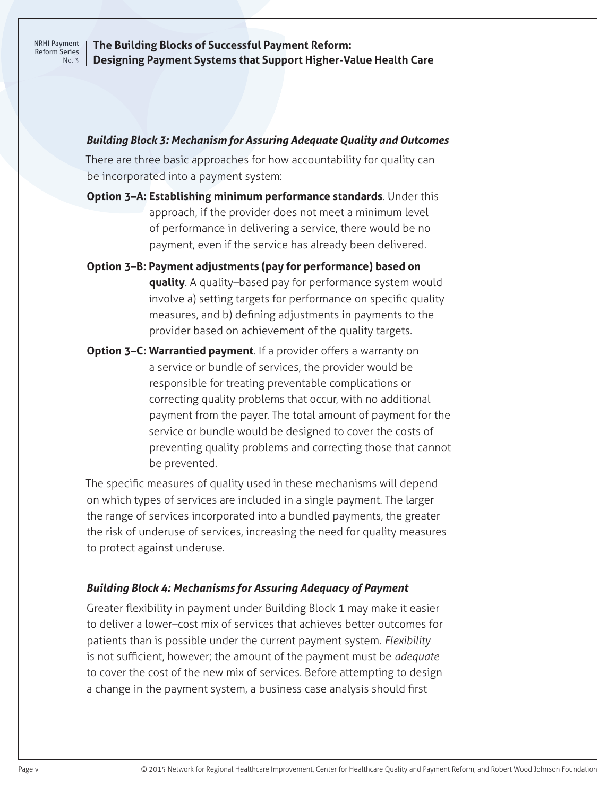### **The Building Blocks of Successful Payment Reform: Designing Payment Systems that Support Higher-Value Health Care**

### *Building Block 3: Mechanism for Assuring Adequate Quality and Outcomes*

There are three basic approaches for how accountability for quality can be incorporated into a payment system:

**Option 3–A: Establishing minimum performance standards**. Under this approach, if the provider does not meet a minimum level of performance in delivering a service, there would be no payment, even if the service has already been delivered.

**Option 3–B: Payment adjustments (pay for performance) based on quality**. A quality–based pay for performance system would involve a) setting targets for performance on specific quality measures, and b) defining adjustments in payments to the provider based on achievement of the quality targets.

**Option 3–C: Warrantied payment**. If a provider offers a warranty on a service or bundle of services, the provider would be responsible for treating preventable complications or correcting quality problems that occur, with no additional payment from the payer. The total amount of payment for the service or bundle would be designed to cover the costs of preventing quality problems and correcting those that cannot be prevented.

The specific measures of quality used in these mechanisms will depend on which types of services are included in a single payment. The larger the range of services incorporated into a bundled payments, the greater the risk of underuse of services, increasing the need for quality measures to protect against underuse.

### *Building Block 4: Mechanisms for Assuring Adequacy of Payment*

Greater flexibility in payment under Building Block 1 may make it easier to deliver a lower–cost mix of services that achieves better outcomes for patients than is possible under the current payment system. *Flexibility* is not sufficient, however; the amount of the payment must be *adequate* to cover the cost of the new mix of services. Before attempting to design a change in the payment system, a business case analysis should first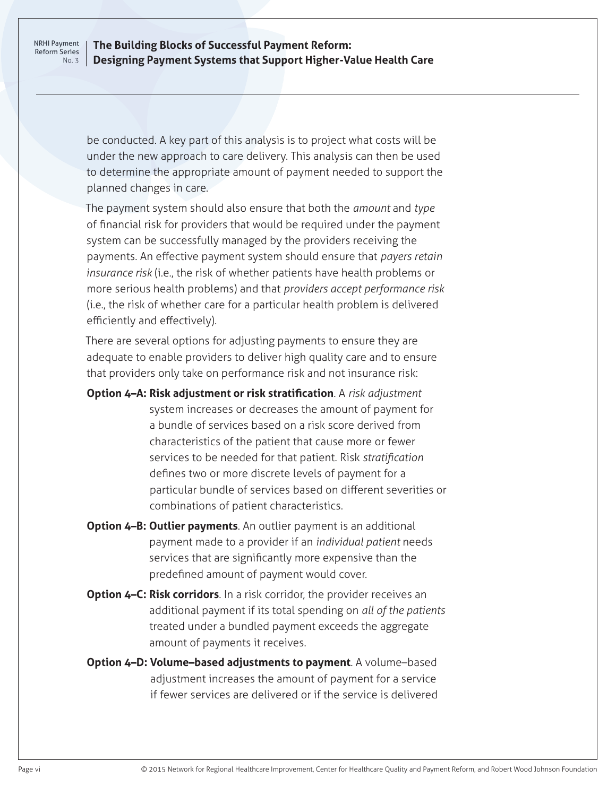### **The Building Blocks of Successful Payment Reform: Designing Payment Systems that Support Higher-Value Health Care**

be conducted. A key part of this analysis is to project what costs will be under the new approach to care delivery. This analysis can then be used to determine the appropriate amount of payment needed to support the planned changes in care.

The payment system should also ensure that both the *amount* and *type* of financial risk for providers that would be required under the payment system can be successfully managed by the providers receiving the payments. An effective payment system should ensure that *payers retain insurance risk* (i.e., the risk of whether patients have health problems or more serious health problems) and that *providers accept performance risk* (i.e., the risk of whether care for a particular health problem is delivered efficiently and effectively).

There are several options for adjusting payments to ensure they are adequate to enable providers to deliver high quality care and to ensure that providers only take on performance risk and not insurance risk:

**Option 4–A: Risk adjustment or risk stratification**. A *risk adjustment* system increases or decreases the amount of payment for a bundle of services based on a risk score derived from characteristics of the patient that cause more or fewer services to be needed for that patient. Risk *stratification* defines two or more discrete levels of payment for a particular bundle of services based on different severities or combinations of patient characteristics.

**Option 4–B: Outlier payments**. An outlier payment is an additional payment made to a provider if an *individual patient* needs services that are significantly more expensive than the predefined amount of payment would cover.

**Option 4–C: Risk corridors**. In a risk corridor, the provider receives an additional payment if its total spending on *all of the patients* treated under a bundled payment exceeds the aggregate amount of payments it receives.

**Option 4–D: Volume–based adjustments to payment**. A volume–based adjustment increases the amount of payment for a service if fewer services are delivered or if the service is delivered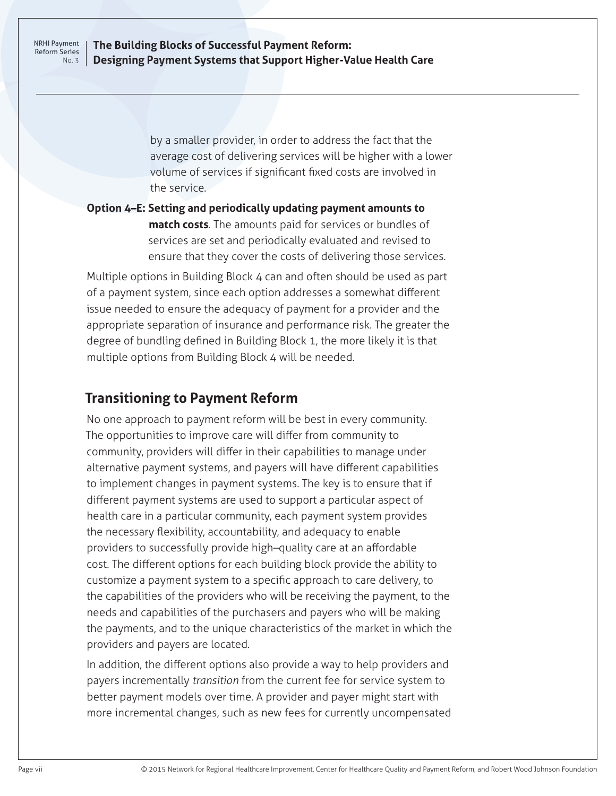### **The Building Blocks of Successful Payment Reform: Designing Payment Systems that Support Higher-Value Health Care**

by a smaller provider, in order to address the fact that the average cost of delivering services will be higher with a lower volume of services if significant fixed costs are involved in the service.

### **Option 4–E: Setting and periodically updating payment amounts to match costs**. The amounts paid for services or bundles of services are set and periodically evaluated and revised to ensure that they cover the costs of delivering those services.

Multiple options in Building Block 4 can and often should be used as part of a payment system, since each option addresses a somewhat different issue needed to ensure the adequacy of payment for a provider and the appropriate separation of insurance and performance risk. The greater the degree of bundling defined in Building Block 1, the more likely it is that multiple options from Building Block 4 will be needed.

### **Transitioning to Payment Reform**

No one approach to payment reform will be best in every community. The opportunities to improve care will differ from community to community, providers will differ in their capabilities to manage under alternative payment systems, and payers will have different capabilities to implement changes in payment systems. The key is to ensure that if different payment systems are used to support a particular aspect of health care in a particular community, each payment system provides the necessary flexibility, accountability, and adequacy to enable providers to successfully provide high–quality care at an affordable cost. The different options for each building block provide the ability to customize a payment system to a specific approach to care delivery, to the capabilities of the providers who will be receiving the payment, to the needs and capabilities of the purchasers and payers who will be making the payments, and to the unique characteristics of the market in which the providers and payers are located.

In addition, the different options also provide a way to help providers and payers incrementally *transition* from the current fee for service system to better payment models over time. A provider and payer might start with more incremental changes, such as new fees for currently uncompensated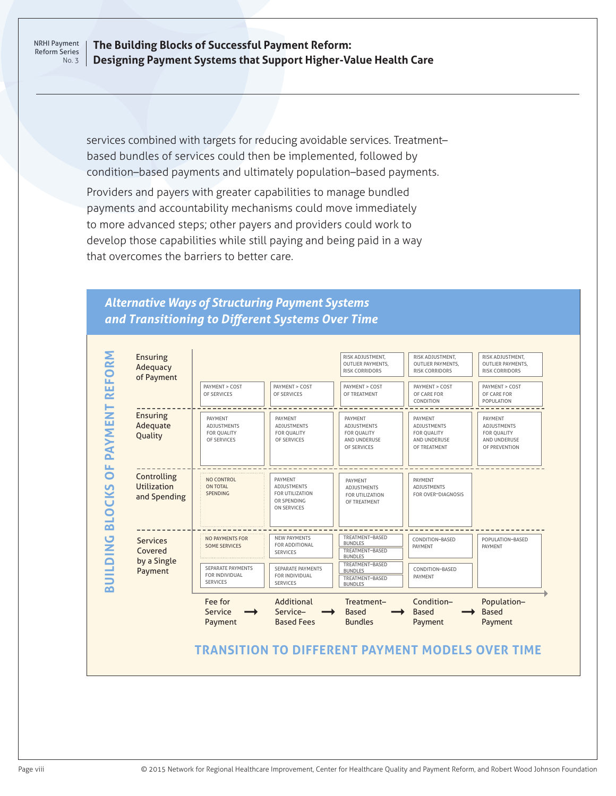### **The Building Blocks of Successful Payment Reform: Designing Payment Systems that Support Higher-Value Health Care**

services combined with targets for reducing avoidable services. Treatment– based bundles of services could then be implemented, followed by condition–based payments and ultimately population–based payments.

Providers and payers with greater capabilities to manage bundled payments and accountability mechanisms could move immediately to more advanced steps; other payers and providers could work to develop those capabilities while still paying and being paid in a way that overcomes the barriers to better care.

### *Alternative Ways of Structuring Payment Systems and Transitioning to Different Systems Over Time*

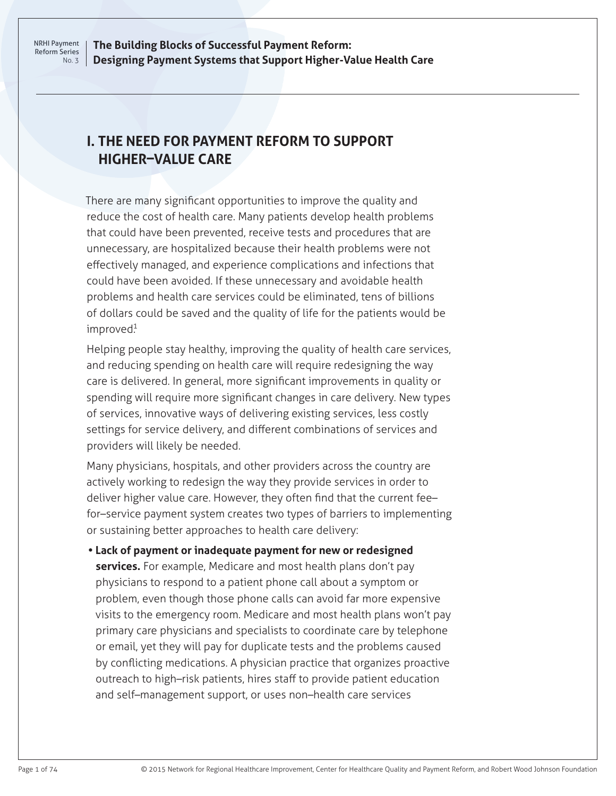### <span id="page-11-0"></span>**I. THE NEED FOR PAYMENT REFORM TO SUPPORT HIGHER–VALUE CARE**

There are many significant opportunities to improve the quality and reduce the cost of health care. Many patients develop health problems that could have been prevented, receive tests and procedures that are unnecessary, are hospitalized because their health problems were not effectively managed, and experience complications and infections that could have been avoided. If these unnecessary and avoidable health problems and health care services could be eliminated, tens of billions of dollars could be saved and the quality of life for the patients would be  $improved<sup>1</sup>$ 

Helping people stay healthy, improving the quality of health care services, and reducing spending on health care will require redesigning the way care is delivered. In general, more significant improvements in quality or spending will require more significant changes in care delivery. New types of services, innovative ways of delivering existing services, less costly settings for service delivery, and different combinations of services and providers will likely be needed.

Many physicians, hospitals, and other providers across the country are actively working to redesign the way they provide services in order to deliver higher value care. However, they often find that the current fee– for–service payment system creates two types of barriers to implementing or sustaining better approaches to health care delivery:

**• Lack of payment or inadequate payment for new or redesigned services.** For example, Medicare and most health plans don't pay physicians to respond to a patient phone call about a symptom or problem, even though those phone calls can avoid far more expensive visits to the emergency room. Medicare and most health plans won't pay primary care physicians and specialists to coordinate care by telephone or email, yet they will pay for duplicate tests and the problems caused by conflicting medications. A physician practice that organizes proactive outreach to high–risk patients, hires staff to provide patient education and self–management support, or uses non–health care services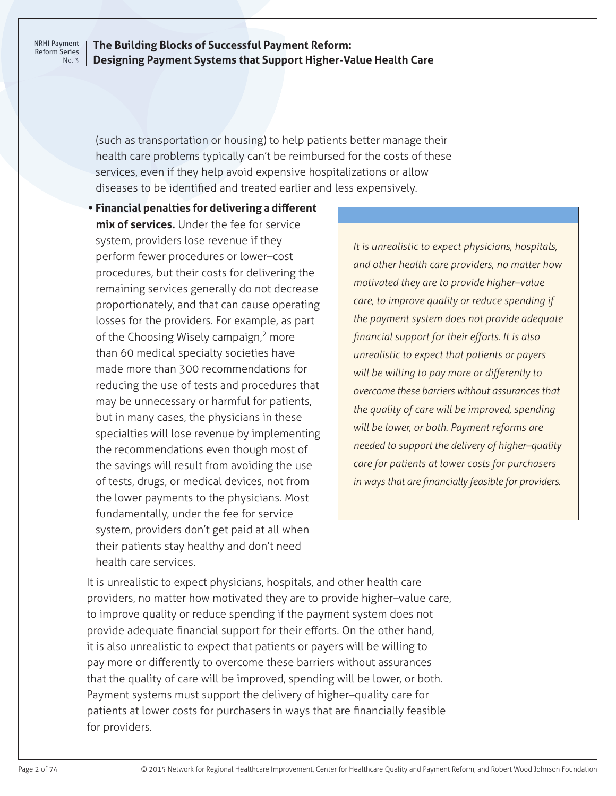### **The Building Blocks of Successful Payment Reform: Designing Payment Systems that Support Higher-Value Health Care**

(such as transportation or housing) to help patients better manage their health care problems typically can't be reimbursed for the costs of these services, even if they help avoid expensive hospitalizations or allow diseases to be identified and treated earlier and less expensively.

**• Financial penalties for delivering a different mix of services.** Under the fee for service system, providers lose revenue if they perform fewer procedures or lower–cost procedures, but their costs for delivering the remaining services generally do not decrease proportionately, and that can cause operating losses for the providers. For example, as part of the Choosing Wisely campaign,<sup>2</sup> more than 60 medical specialty societies have made more than 300 recommendations for reducing the use of tests and procedures that may be unnecessary or harmful for patients, but in many cases, the physicians in these specialties will lose revenue by implementing the recommendations even though most of the savings will result from avoiding the use of tests, drugs, or medical devices, not from the lower payments to the physicians. Most fundamentally, under the fee for service system, providers don't get paid at all when their patients stay healthy and don't need health care services.

*It is unrealistic to expect physicians, hospitals, and other health care providers, no matter how motivated they are to provide higher–value care, to improve quality or reduce spending if the payment system does not provide adequate financial support for their efforts. It is also unrealistic to expect that patients or payers will be willing to pay more or differently to overcome these barriers without assurances that the quality of care will be improved, spending will be lower, or both. Payment reforms are needed to support the delivery of higher–quality care for patients at lower costs for purchasers in ways that are financially feasible for providers.*

It is unrealistic to expect physicians, hospitals, and other health care providers, no matter how motivated they are to provide higher–value care, to improve quality or reduce spending if the payment system does not provide adequate financial support for their efforts. On the other hand, it is also unrealistic to expect that patients or payers will be willing to pay more or differently to overcome these barriers without assurances that the quality of care will be improved, spending will be lower, or both. Payment systems must support the delivery of higher–quality care for patients at lower costs for purchasers in ways that are financially feasible for providers.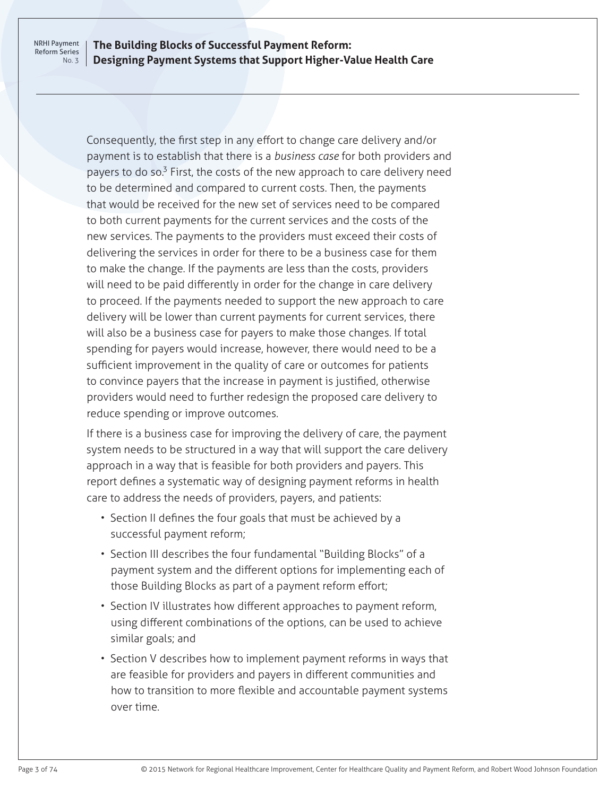### **The Building Blocks of Successful Payment Reform: Designing Payment Systems that Support Higher-Value Health Care**

Consequently, the first step in any effort to change care delivery and/or payment is to establish that there is a *business case* for both providers and payers to do so.<sup>3</sup> First, the costs of the new approach to care delivery need to be determined and compared to current costs. Then, the payments that would be received for the new set of services need to be compared to both current payments for the current services and the costs of the new services. The payments to the providers must exceed their costs of delivering the services in order for there to be a business case for them to make the change. If the payments are less than the costs, providers will need to be paid differently in order for the change in care delivery to proceed. If the payments needed to support the new approach to care delivery will be lower than current payments for current services, there will also be a business case for payers to make those changes. If total spending for payers would increase, however, there would need to be a sufficient improvement in the quality of care or outcomes for patients to convince payers that the increase in payment is justified, otherwise providers would need to further redesign the proposed care delivery to reduce spending or improve outcomes.

If there is a business case for improving the delivery of care, the payment system needs to be structured in a way that will support the care delivery approach in a way that is feasible for both providers and payers. This report defines a systematic way of designing payment reforms in health care to address the needs of providers, payers, and patients:

- Section II defines the four goals that must be achieved by a successful payment reform;
- Section III describes the four fundamental "Building Blocks" of a payment system and the different options for implementing each of those Building Blocks as part of a payment reform effort;
- Section IV illustrates how different approaches to payment reform, using different combinations of the options, can be used to achieve similar goals; and
- Section V describes how to implement payment reforms in ways that are feasible for providers and payers in different communities and how to transition to more flexible and accountable payment systems over time.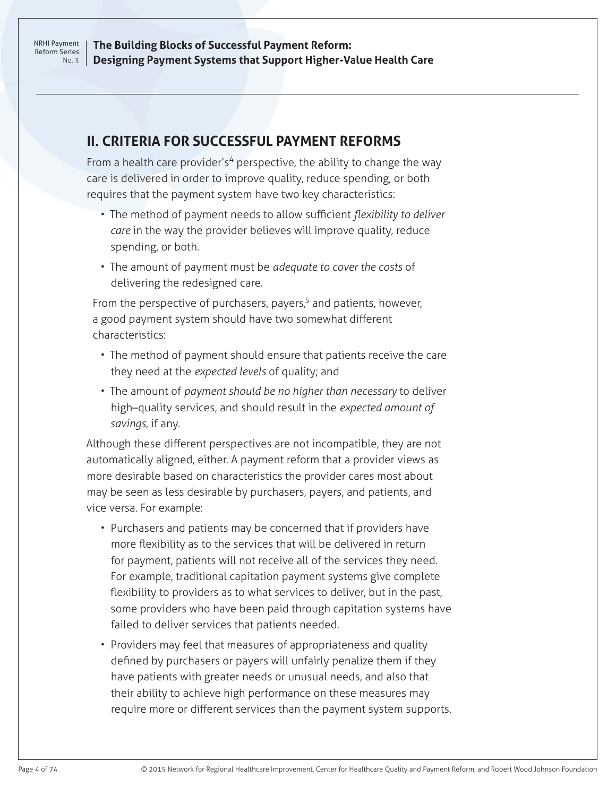<span id="page-14-0"></span>**The Building Blocks of Successful Payment Reform: Designing Payment Systems that Support Higher-Value Health Care**

### **II. CRITERIA FOR SUCCESSFUL PAYMENT REFORMS**

From a health care provider's<sup>4</sup> perspective, the ability to change the way care is delivered in order to improve quality, reduce spending, or both requires that the payment system have two key characteristics:

- The method of payment needs to allow sufficient *flexibility to deliver care* in the way the provider believes will improve quality, reduce spending, or both.
- The amount of payment must be *adequate to cover the costs* of delivering the redesigned care.

From the perspective of purchasers, payers,<sup>5</sup> and patients, however, a good payment system should have two somewhat different characteristics:

- The method of payment should ensure that patients receive the care they need at the *expected levels* of quality; and
- The amount of *payment should be no higher than necessary* to deliver high–quality services, and should result in the *expected amount of savings*, if any.

Although these different perspectives are not incompatible, they are not automatically aligned, either. A payment reform that a provider views as more desirable based on characteristics the provider cares most about may be seen as less desirable by purchasers, payers, and patients, and vice versa. For example:

- Purchasers and patients may be concerned that if providers have more flexibility as to the services that will be delivered in return for payment, patients will not receive all of the services they need. For example, traditional capitation payment systems give complete flexibility to providers as to what services to deliver, but in the past, some providers who have been paid through capitation systems have failed to deliver services that patients needed.
- Providers may feel that measures of appropriateness and quality defined by purchasers or payers will unfairly penalize them if they have patients with greater needs or unusual needs, and also that their ability to achieve high performance on these measures may require more or different services than the payment system supports.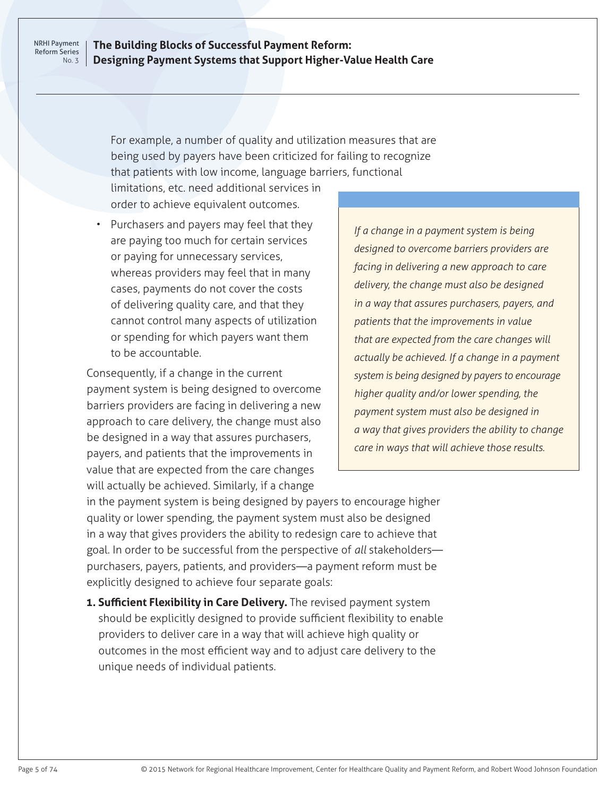### **The Building Blocks of Successful Payment Reform: Designing Payment Systems that Support Higher-Value Health Care**

For example, a number of quality and utilization measures that are being used by payers have been criticized for failing to recognize that patients with low income, language barriers, functional

limitations, etc. need additional services in order to achieve equivalent outcomes.

• Purchasers and payers may feel that they are paying too much for certain services or paying for unnecessary services, whereas providers may feel that in many cases, payments do not cover the costs of delivering quality care, and that they cannot control many aspects of utilization or spending for which payers want them to be accountable.

Consequently, if a change in the current payment system is being designed to overcome barriers providers are facing in delivering a new approach to care delivery, the change must also be designed in a way that assures purchasers, payers, and patients that the improvements in value that are expected from the care changes will actually be achieved. Similarly, if a change

*If a change in a payment system is being designed to overcome barriers providers are facing in delivering a new approach to care delivery, the change must also be designed in a way that assures purchasers, payers, and patients that the improvements in value that are expected from the care changes will actually be achieved. If a change in a payment system is being designed by payers to encourage higher quality and/or lower spending, the payment system must also be designed in a way that gives providers the ability to change care in ways that will achieve those results.*

in the payment system is being designed by payers to encourage higher quality or lower spending, the payment system must also be designed in a way that gives providers the ability to redesign care to achieve that goal. In order to be successful from the perspective of *all* stakeholders purchasers, payers, patients, and providers—a payment reform must be explicitly designed to achieve four separate goals:

**1. Sufficient Flexibility in Care Delivery.** The revised payment system should be explicitly designed to provide sufficient flexibility to enable providers to deliver care in a way that will achieve high quality or outcomes in the most efficient way and to adjust care delivery to the unique needs of individual patients.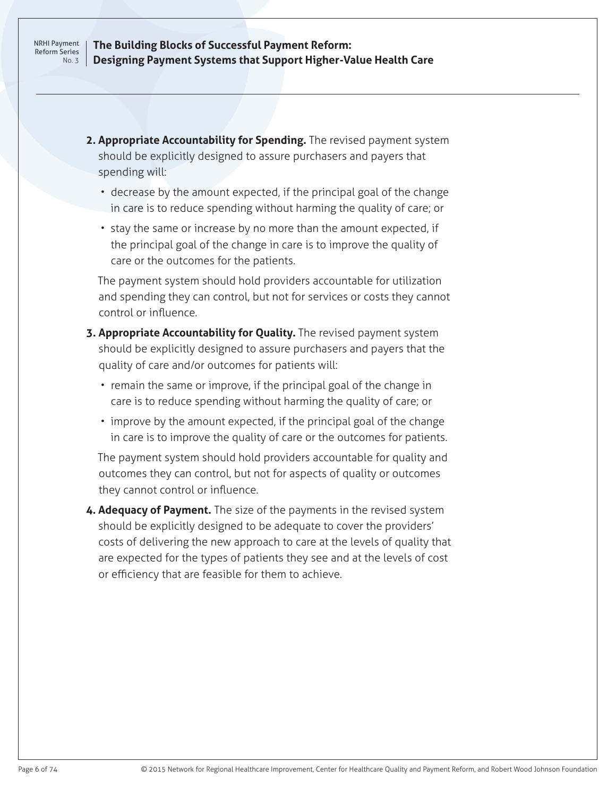- 2. Appropriate Accountability for Spending. The revised payment system should be explicitly designed to assure purchasers and payers that spending will:
	- decrease by the amount expected, if the principal goal of the change in care is to reduce spending without harming the quality of care; or
	- stay the same or increase by no more than the amount expected, if the principal goal of the change in care is to improve the quality of care or the outcomes for the patients.

The payment system should hold providers accountable for utilization and spending they can control, but not for services or costs they cannot control or influence.

- **3. Appropriate Accountability for Quality.** The revised payment system should be explicitly designed to assure purchasers and payers that the quality of care and/or outcomes for patients will:
	- remain the same or improve, if the principal goal of the change in care is to reduce spending without harming the quality of care; or
	- improve by the amount expected, if the principal goal of the change in care is to improve the quality of care or the outcomes for patients.

The payment system should hold providers accountable for quality and outcomes they can control, but not for aspects of quality or outcomes they cannot control or influence.

**4. Adequacy of Payment.** The size of the payments in the revised system should be explicitly designed to be adequate to cover the providers' costs of delivering the new approach to care at the levels of quality that are expected for the types of patients they see and at the levels of cost or efficiency that are feasible for them to achieve.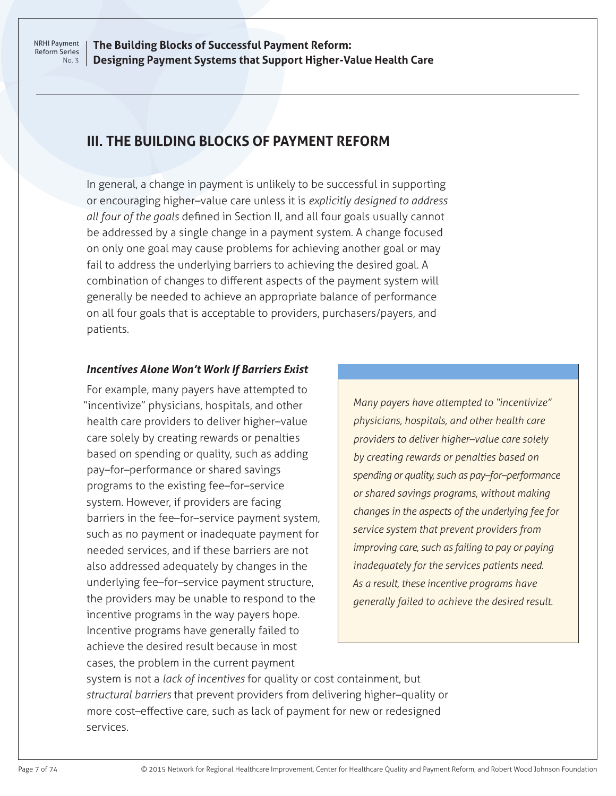<span id="page-17-0"></span>**The Building Blocks of Successful Payment Reform: Designing Payment Systems that Support Higher-Value Health Care**

### **III. THE BUILDING BLOCKS OF PAYMENT REFORM**

In general, a change in payment is unlikely to be successful in supporting or encouraging higher–value care unless it is *explicitly designed to address all four of the goals* defined in Section II, and all four goals usually cannot be addressed by a single change in a payment system. A change focused on only one goal may cause problems for achieving another goal or may fail to address the underlying barriers to achieving the desired goal. A combination of changes to different aspects of the payment system will generally be needed to achieve an appropriate balance of performance on all four goals that is acceptable to providers, purchasers/payers, and patients.

### *Incentives Alone Won't Work If Barriers Exist*

For example, many payers have attempted to "incentivize" physicians, hospitals, and other health care providers to deliver higher–value care solely by creating rewards or penalties based on spending or quality, such as adding pay–for–performance or shared savings programs to the existing fee–for–service system. However, if providers are facing barriers in the fee–for–service payment system, such as no payment or inadequate payment for needed services, and if these barriers are not also addressed adequately by changes in the underlying fee–for–service payment structure, the providers may be unable to respond to the incentive programs in the way payers hope. Incentive programs have generally failed to achieve the desired result because in most cases, the problem in the current payment

*Many payers have attempted to "incentivize" physicians, hospitals, and other health care providers to deliver higher–value care solely by creating rewards or penalties based on spending or quality, such as pay–for–performance or shared savings programs, without making changes in the aspects of the underlying fee for service system that prevent providers from improving care, such as failing to pay or paying inadequately for the services patients need. As a result, these incentive programs have generally failed to achieve the desired result.*

system is not a *lack of incentives* for quality or cost containment, but *structural barriers* that prevent providers from delivering higher–quality or more cost–effective care, such as lack of payment for new or redesigned services.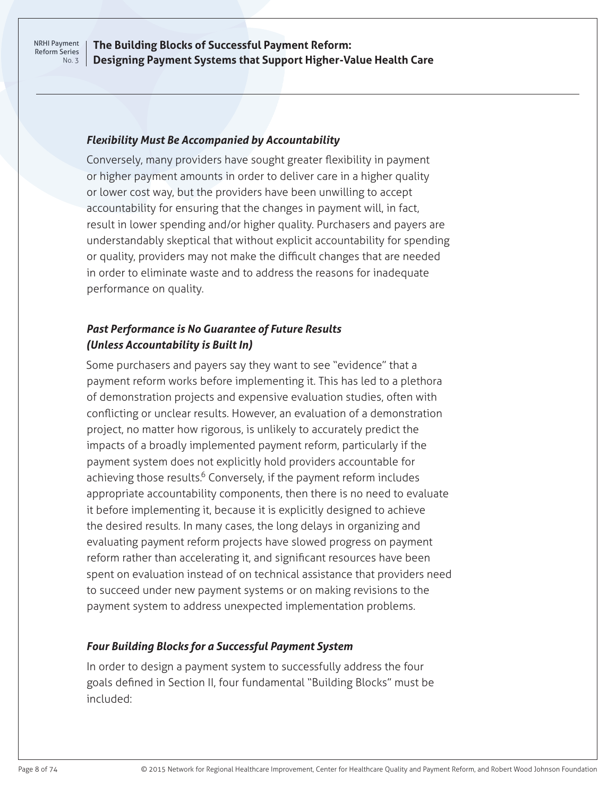**The Building Blocks of Successful Payment Reform: Designing Payment Systems that Support Higher-Value Health Care**

#### *Flexibility Must Be Accompanied by Accountability*

Conversely, many providers have sought greater flexibility in payment or higher payment amounts in order to deliver care in a higher quality or lower cost way, but the providers have been unwilling to accept accountability for ensuring that the changes in payment will, in fact, result in lower spending and/or higher quality. Purchasers and payers are understandably skeptical that without explicit accountability for spending or quality, providers may not make the difficult changes that are needed in order to eliminate waste and to address the reasons for inadequate performance on quality.

### *Past Performance is No Guarantee of Future Results (Unless Accountability is Built In)*

Some purchasers and payers say they want to see "evidence" that a payment reform works before implementing it. This has led to a plethora of demonstration projects and expensive evaluation studies, often with conflicting or unclear results. However, an evaluation of a demonstration project, no matter how rigorous, is unlikely to accurately predict the impacts of a broadly implemented payment reform, particularly if the payment system does not explicitly hold providers accountable for achieving those results.<sup>6</sup> Conversely, if the payment reform includes appropriate accountability components, then there is no need to evaluate it before implementing it, because it is explicitly designed to achieve the desired results. In many cases, the long delays in organizing and evaluating payment reform projects have slowed progress on payment reform rather than accelerating it, and significant resources have been spent on evaluation instead of on technical assistance that providers need to succeed under new payment systems or on making revisions to the payment system to address unexpected implementation problems.

### *Four Building Blocks for a Successful Payment System*

In order to design a payment system to successfully address the four goals defined in Section II, four fundamental "Building Blocks" must be included: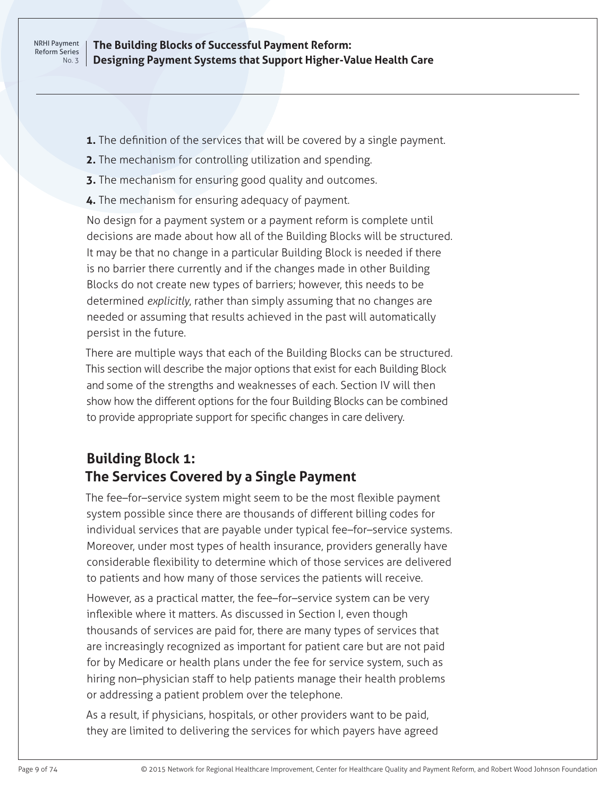- <span id="page-19-0"></span>**1.** The definition of the services that will be covered by a single payment.
- **2.** The mechanism for controlling utilization and spending.
- **3.** The mechanism for ensuring good quality and outcomes.
- **4.** The mechanism for ensuring adequacy of payment.

No design for a payment system or a payment reform is complete until decisions are made about how all of the Building Blocks will be structured. It may be that no change in a particular Building Block is needed if there is no barrier there currently and if the changes made in other Building Blocks do not create new types of barriers; however, this needs to be determined *explicitly*, rather than simply assuming that no changes are needed or assuming that results achieved in the past will automatically persist in the future.

There are multiple ways that each of the Building Blocks can be structured. This section will describe the major options that exist for each Building Block and some of the strengths and weaknesses of each. Section IV will then show how the different options for the four Building Blocks can be combined to provide appropriate support for specific changes in care delivery.

### **Building Block 1: The Services Covered by a Single Payment**

The fee–for–service system might seem to be the most flexible payment system possible since there are thousands of different billing codes for individual services that are payable under typical fee–for–service systems. Moreover, under most types of health insurance, providers generally have considerable flexibility to determine which of those services are delivered to patients and how many of those services the patients will receive.

However, as a practical matter, the fee–for–service system can be very inflexible where it matters. As discussed in Section I, even though thousands of services are paid for, there are many types of services that are increasingly recognized as important for patient care but are not paid for by Medicare or health plans under the fee for service system, such as hiring non–physician staff to help patients manage their health problems or addressing a patient problem over the telephone.

As a result, if physicians, hospitals, or other providers want to be paid, they are limited to delivering the services for which payers have agreed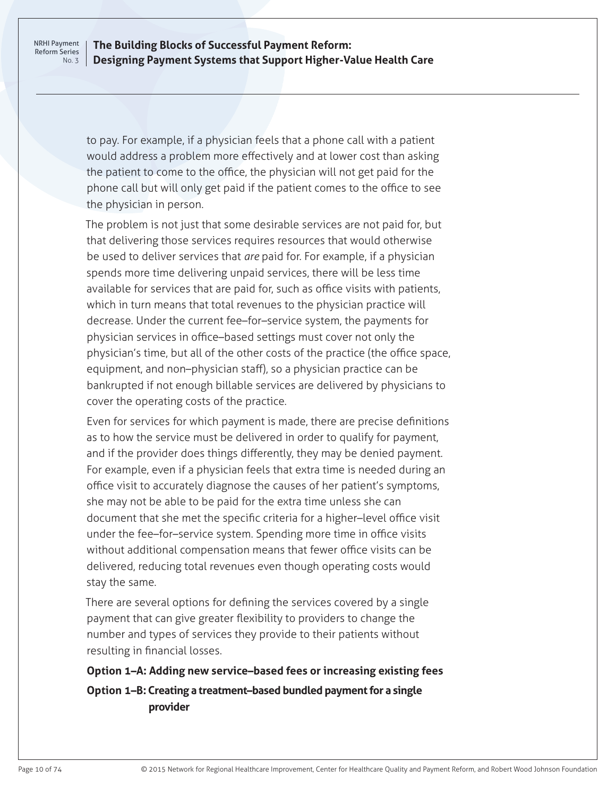### **The Building Blocks of Successful Payment Reform: Designing Payment Systems that Support Higher-Value Health Care**

to pay. For example, if a physician feels that a phone call with a patient would address a problem more effectively and at lower cost than asking the patient to come to the office, the physician will not get paid for the phone call but will only get paid if the patient comes to the office to see the physician in person.

The problem is not just that some desirable services are not paid for, but that delivering those services requires resources that would otherwise be used to deliver services that *are* paid for. For example, if a physician spends more time delivering unpaid services, there will be less time available for services that are paid for, such as office visits with patients, which in turn means that total revenues to the physician practice will decrease. Under the current fee–for–service system, the payments for physician services in office–based settings must cover not only the physician's time, but all of the other costs of the practice (the office space, equipment, and non–physician staff), so a physician practice can be bankrupted if not enough billable services are delivered by physicians to cover the operating costs of the practice.

Even for services for which payment is made, there are precise definitions as to how the service must be delivered in order to qualify for payment, and if the provider does things differently, they may be denied payment. For example, even if a physician feels that extra time is needed during an office visit to accurately diagnose the causes of her patient's symptoms, she may not be able to be paid for the extra time unless she can document that she met the specific criteria for a higher–level office visit under the fee–for–service system. Spending more time in office visits without additional compensation means that fewer office visits can be delivered, reducing total revenues even though operating costs would stay the same.

There are several options for defining the services covered by a single payment that can give greater flexibility to providers to change the number and types of services they provide to their patients without resulting in financial losses.

### **Option 1–A: Adding new service–based fees or increasing existing fees Option 1–B: Creating a treatment–based bundled payment for a single provider**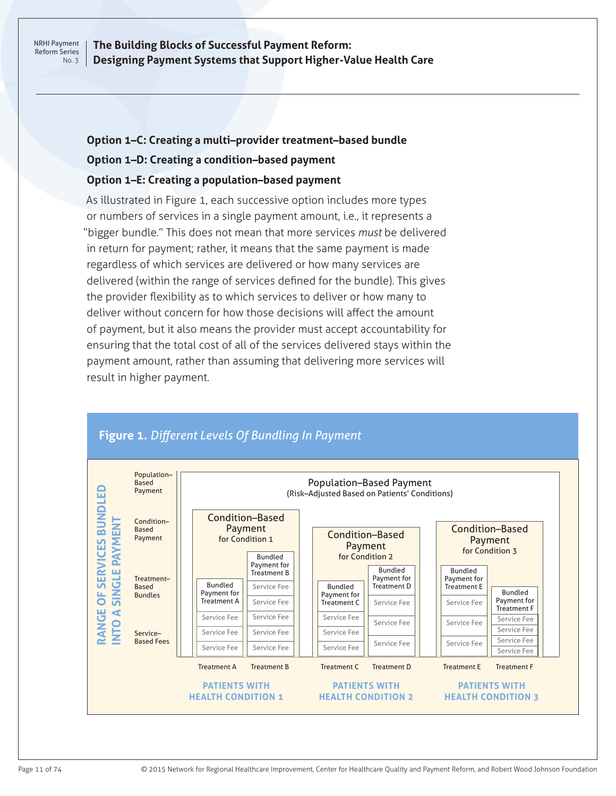**The Building Blocks of Successful Payment Reform: Designing Payment Systems that Support Higher-Value Health Care**

# **Option 1–C: Creating a multi–provider treatment–based bundle Option 1–D: Creating a condition–based payment**

### **Option 1–E: Creating a population–based payment**

As illustrated in Figure 1, each successive option includes more types or numbers of services in a single payment amount, i.e., it represents a "bigger bundle." This does not mean that more services *must* be delivered in return for payment; rather, it means that the same payment is made regardless of which services are delivered or how many services are delivered (within the range of services defined for the bundle). This gives the provider flexibility as to which services to deliver or how many to deliver without concern for how those decisions will affect the amount of payment, but it also means the provider must accept accountability for ensuring that the total cost of all of the services delivered stays within the payment amount, rather than assuming that delivering more services will result in higher payment.



### **Figure 1.** *Different Levels Of Bundling In Payment*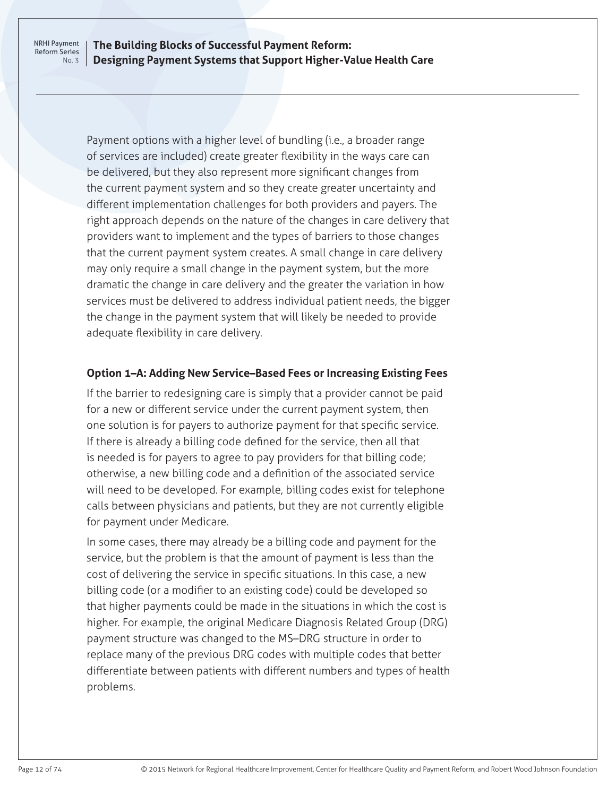<span id="page-22-0"></span>**The Building Blocks of Successful Payment Reform: Designing Payment Systems that Support Higher-Value Health Care**

Payment options with a higher level of bundling (i.e., a broader range of services are included) create greater flexibility in the ways care can be delivered, but they also represent more significant changes from the current payment system and so they create greater uncertainty and different implementation challenges for both providers and payers. The right approach depends on the nature of the changes in care delivery that providers want to implement and the types of barriers to those changes that the current payment system creates. A small change in care delivery may only require a small change in the payment system, but the more dramatic the change in care delivery and the greater the variation in how services must be delivered to address individual patient needs, the bigger the change in the payment system that will likely be needed to provide adequate flexibility in care delivery.

### **Option 1–A: Adding New Service–Based Fees or Increasing Existing Fees**

If the barrier to redesigning care is simply that a provider cannot be paid for a new or different service under the current payment system, then one solution is for payers to authorize payment for that specific service. If there is already a billing code defined for the service, then all that is needed is for payers to agree to pay providers for that billing code; otherwise, a new billing code and a definition of the associated service will need to be developed. For example, billing codes exist for telephone calls between physicians and patients, but they are not currently eligible for payment under Medicare.

In some cases, there may already be a billing code and payment for the service, but the problem is that the amount of payment is less than the cost of delivering the service in specific situations. In this case, a new billing code (or a modifier to an existing code) could be developed so that higher payments could be made in the situations in which the cost is higher. For example, the original Medicare Diagnosis Related Group (DRG) payment structure was changed to the MS–DRG structure in order to replace many of the previous DRG codes with multiple codes that better differentiate between patients with different numbers and types of health problems.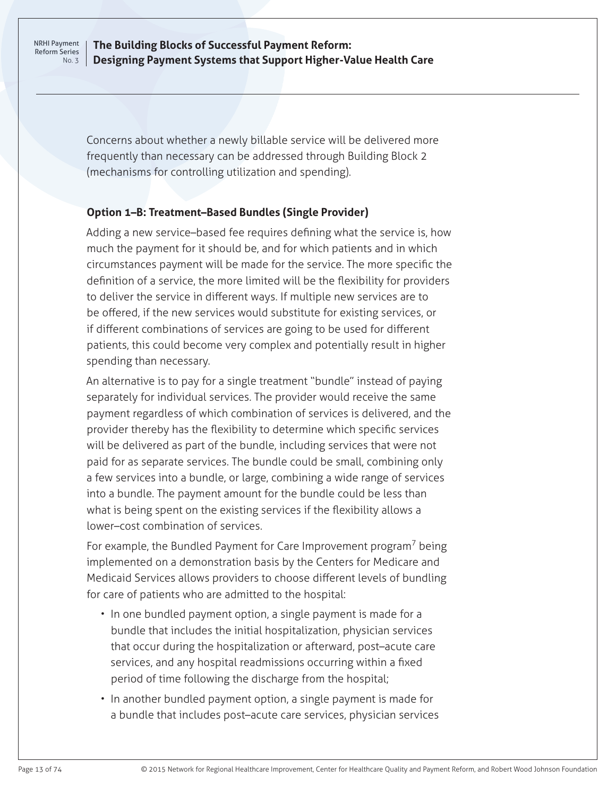### <span id="page-23-0"></span>**The Building Blocks of Successful Payment Reform: Designing Payment Systems that Support Higher-Value Health Care**

Concerns about whether a newly billable service will be delivered more frequently than necessary can be addressed through Building Block 2 (mechanisms for controlling utilization and spending).

### **Option 1–B: Treatment–Based Bundles (Single Provider)**

Adding a new service–based fee requires defining what the service is, how much the payment for it should be, and for which patients and in which circumstances payment will be made for the service. The more specific the definition of a service, the more limited will be the flexibility for providers to deliver the service in different ways. If multiple new services are to be offered, if the new services would substitute for existing services, or if different combinations of services are going to be used for different patients, this could become very complex and potentially result in higher spending than necessary.

An alternative is to pay for a single treatment "bundle" instead of paying separately for individual services. The provider would receive the same payment regardless of which combination of services is delivered, and the provider thereby has the flexibility to determine which specific services will be delivered as part of the bundle, including services that were not paid for as separate services. The bundle could be small, combining only a few services into a bundle, or large, combining a wide range of services into a bundle. The payment amount for the bundle could be less than what is being spent on the existing services if the flexibility allows a lower–cost combination of services.

For example, the Bundled Payment for Care Improvement program<sup>7</sup> being implemented on a demonstration basis by the Centers for Medicare and Medicaid Services allows providers to choose different levels of bundling for care of patients who are admitted to the hospital:

- In one bundled payment option, a single payment is made for a bundle that includes the initial hospitalization, physician services that occur during the hospitalization or afterward, post–acute care services, and any hospital readmissions occurring within a fixed period of time following the discharge from the hospital;
- In another bundled payment option, a single payment is made for a bundle that includes post–acute care services, physician services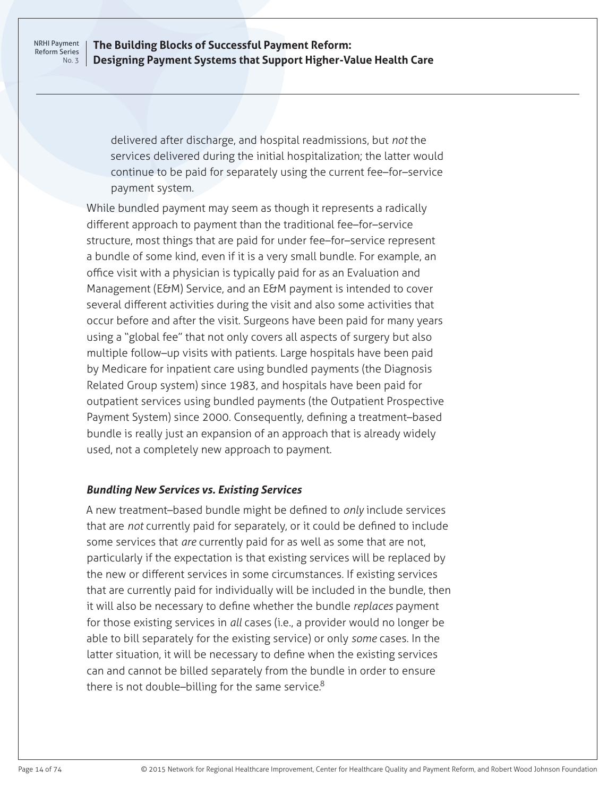### **The Building Blocks of Successful Payment Reform: Designing Payment Systems that Support Higher-Value Health Care**

delivered after discharge, and hospital readmissions, but *not* the services delivered during the initial hospitalization; the latter would continue to be paid for separately using the current fee–for–service payment system.

While bundled payment may seem as though it represents a radically different approach to payment than the traditional fee–for–service structure, most things that are paid for under fee–for–service represent a bundle of some kind, even if it is a very small bundle. For example, an office visit with a physician is typically paid for as an Evaluation and Management (E&M) Service, and an E&M payment is intended to cover several different activities during the visit and also some activities that occur before and after the visit. Surgeons have been paid for many years using a "global fee" that not only covers all aspects of surgery but also multiple follow–up visits with patients. Large hospitals have been paid by Medicare for inpatient care using bundled payments (the Diagnosis Related Group system) since 1983, and hospitals have been paid for outpatient services using bundled payments (the Outpatient Prospective Payment System) since 2000. Consequently, defining a treatment–based bundle is really just an expansion of an approach that is already widely used, not a completely new approach to payment.

#### *Bundling New Services vs. Existing Services*

A new treatment–based bundle might be defined to *only* include services that are *not* currently paid for separately, or it could be defined to include some services that *are* currently paid for as well as some that are not, particularly if the expectation is that existing services will be replaced by the new or different services in some circumstances. If existing services that are currently paid for individually will be included in the bundle, then it will also be necessary to define whether the bundle *replaces* payment for those existing services in *all* cases (i.e., a provider would no longer be able to bill separately for the existing service) or only *some* cases. In the latter situation, it will be necessary to define when the existing services can and cannot be billed separately from the bundle in order to ensure there is not double–billing for the same service. $8$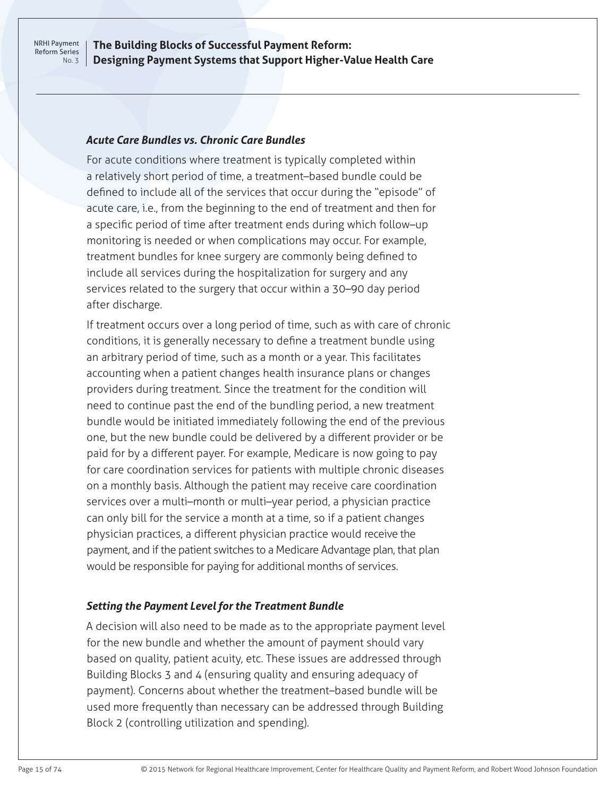**The Building Blocks of Successful Payment Reform: Designing Payment Systems that Support Higher-Value Health Care**

#### *Acute Care Bundles vs. Chronic Care Bundles*

For acute conditions where treatment is typically completed within a relatively short period of time, a treatment–based bundle could be defined to include all of the services that occur during the "episode" of acute care, i.e., from the beginning to the end of treatment and then for a specific period of time after treatment ends during which follow–up monitoring is needed or when complications may occur. For example, treatment bundles for knee surgery are commonly being defined to include all services during the hospitalization for surgery and any services related to the surgery that occur within a 30–90 day period after discharge.

If treatment occurs over a long period of time, such as with care of chronic conditions, it is generally necessary to define a treatment bundle using an arbitrary period of time, such as a month or a year. This facilitates accounting when a patient changes health insurance plans or changes providers during treatment. Since the treatment for the condition will need to continue past the end of the bundling period, a new treatment bundle would be initiated immediately following the end of the previous one, but the new bundle could be delivered by a different provider or be paid for by a different payer. For example, Medicare is now going to pay for care coordination services for patients with multiple chronic diseases on a monthly basis. Although the patient may receive care coordination services over a multi–month or multi–year period, a physician practice can only bill for the service a month at a time, so if a patient changes physician practices, a different physician practice would receive the payment, and if the patient switches to a Medicare Advantage plan, that plan would be responsible for paying for additional months of services.

### *Setting the Payment Level for the Treatment Bundle*

A decision will also need to be made as to the appropriate payment level for the new bundle and whether the amount of payment should vary based on quality, patient acuity, etc. These issues are addressed through Building Blocks 3 and 4 (ensuring quality and ensuring adequacy of payment). Concerns about whether the treatment–based bundle will be used more frequently than necessary can be addressed through Building Block 2 (controlling utilization and spending).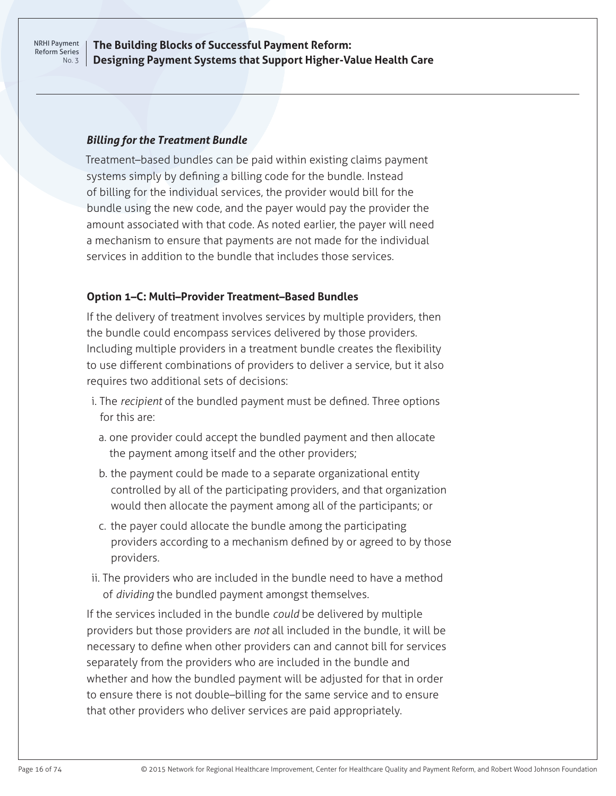<span id="page-26-0"></span>**The Building Blocks of Successful Payment Reform: Designing Payment Systems that Support Higher-Value Health Care**

#### *Billing for the Treatment Bundle*

Treatment–based bundles can be paid within existing claims payment systems simply by defining a billing code for the bundle. Instead of billing for the individual services, the provider would bill for the bundle using the new code, and the payer would pay the provider the amount associated with that code. As noted earlier, the payer will need a mechanism to ensure that payments are not made for the individual services in addition to the bundle that includes those services.

### **Option 1–C: Multi–Provider Treatment–Based Bundles**

If the delivery of treatment involves services by multiple providers, then the bundle could encompass services delivered by those providers. Including multiple providers in a treatment bundle creates the flexibility to use different combinations of providers to deliver a service, but it also requires two additional sets of decisions:

- i. The *recipient* of the bundled payment must be defined. Three options for this are:
	- a. one provider could accept the bundled payment and then allocate the payment among itself and the other providers;
	- b. the payment could be made to a separate organizational entity controlled by all of the participating providers, and that organization would then allocate the payment among all of the participants; or
	- c. the payer could allocate the bundle among the participating providers according to a mechanism defined by or agreed to by those providers.
- ii. The providers who are included in the bundle need to have a method of *dividing* the bundled payment amongst themselves.

If the services included in the bundle *could* be delivered by multiple providers but those providers are *not* all included in the bundle, it will be necessary to define when other providers can and cannot bill for services separately from the providers who are included in the bundle and whether and how the bundled payment will be adjusted for that in order to ensure there is not double–billing for the same service and to ensure that other providers who deliver services are paid appropriately.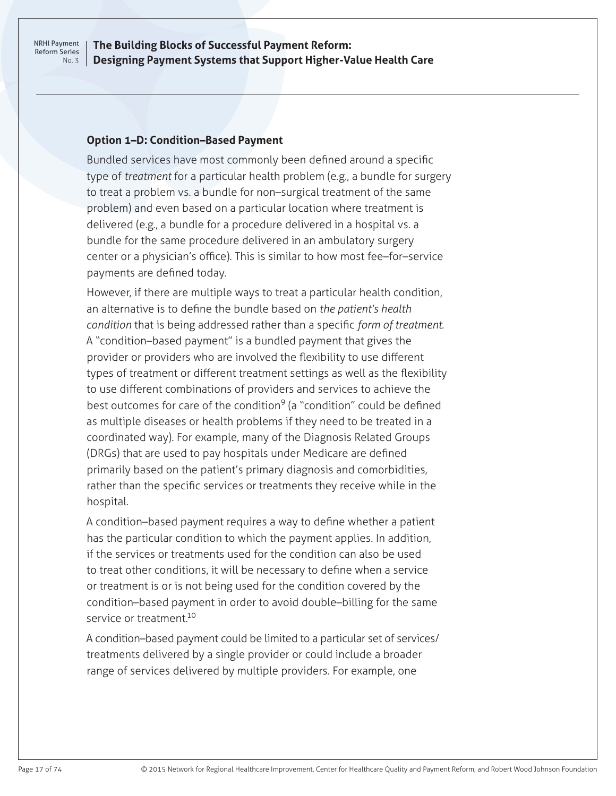<span id="page-27-0"></span>**The Building Blocks of Successful Payment Reform: Designing Payment Systems that Support Higher-Value Health Care**

#### **Option 1–D: Condition–Based Payment**

Bundled services have most commonly been defined around a specific type of *treatment* for a particular health problem (e.g., a bundle for surgery to treat a problem vs. a bundle for non–surgical treatment of the same problem) and even based on a particular location where treatment is delivered (e.g., a bundle for a procedure delivered in a hospital vs. a bundle for the same procedure delivered in an ambulatory surgery center or a physician's office). This is similar to how most fee–for–service payments are defined today.

However, if there are multiple ways to treat a particular health condition, an alternative is to define the bundle based on *the patient's health condition* that is being addressed rather than a specific *form of treatment.* A "condition–based payment" is a bundled payment that gives the provider or providers who are involved the flexibility to use different types of treatment or different treatment settings as well as the flexibility to use different combinations of providers and services to achieve the best outcomes for care of the condition<sup>9</sup> (a "condition" could be defined as multiple diseases or health problems if they need to be treated in a coordinated way). For example, many of the Diagnosis Related Groups (DRGs) that are used to pay hospitals under Medicare are defined primarily based on the patient's primary diagnosis and comorbidities, rather than the specific services or treatments they receive while in the hospital.

A condition–based payment requires a way to define whether a patient has the particular condition to which the payment applies. In addition, if the services or treatments used for the condition can also be used to treat other conditions, it will be necessary to define when a service or treatment is or is not being used for the condition covered by the condition–based payment in order to avoid double–billing for the same service or treatment.<sup>10</sup>

A condition–based payment could be limited to a particular set of services/ treatments delivered by a single provider or could include a broader range of services delivered by multiple providers. For example, one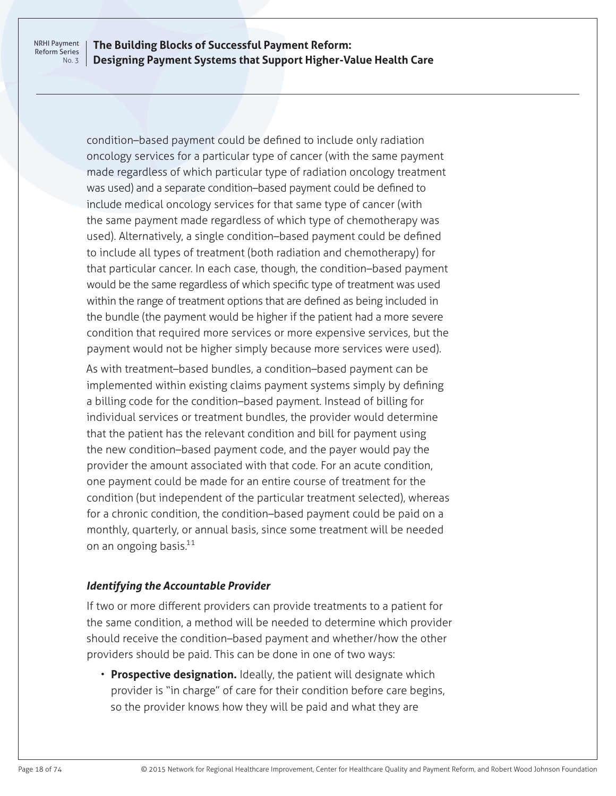### **The Building Blocks of Successful Payment Reform: Designing Payment Systems that Support Higher-Value Health Care**

condition–based payment could be defined to include only radiation oncology services for a particular type of cancer (with the same payment made regardless of which particular type of radiation oncology treatment was used) and a separate condition–based payment could be defined to include medical oncology services for that same type of cancer (with the same payment made regardless of which type of chemotherapy was used). Alternatively, a single condition–based payment could be defined to include all types of treatment (both radiation and chemotherapy) for that particular cancer. In each case, though, the condition–based payment would be the same regardless of which specific type of treatment was used within the range of treatment options that are defined as being included in the bundle (the payment would be higher if the patient had a more severe condition that required more services or more expensive services, but the payment would not be higher simply because more services were used).

As with treatment–based bundles, a condition–based payment can be implemented within existing claims payment systems simply by defining a billing code for the condition–based payment. Instead of billing for individual services or treatment bundles, the provider would determine that the patient has the relevant condition and bill for payment using the new condition–based payment code, and the payer would pay the provider the amount associated with that code. For an acute condition, one payment could be made for an entire course of treatment for the condition (but independent of the particular treatment selected), whereas for a chronic condition, the condition–based payment could be paid on a monthly, quarterly, or annual basis, since some treatment will be needed on an ongoing basis.<sup>11</sup>

### *Identifying the Accountable Provider*

If two or more different providers can provide treatments to a patient for the same condition, a method will be needed to determine which provider should receive the condition–based payment and whether/how the other providers should be paid. This can be done in one of two ways:

• **Prospective designation.** Ideally, the patient will designate which provider is "in charge" of care for their condition before care begins, so the provider knows how they will be paid and what they are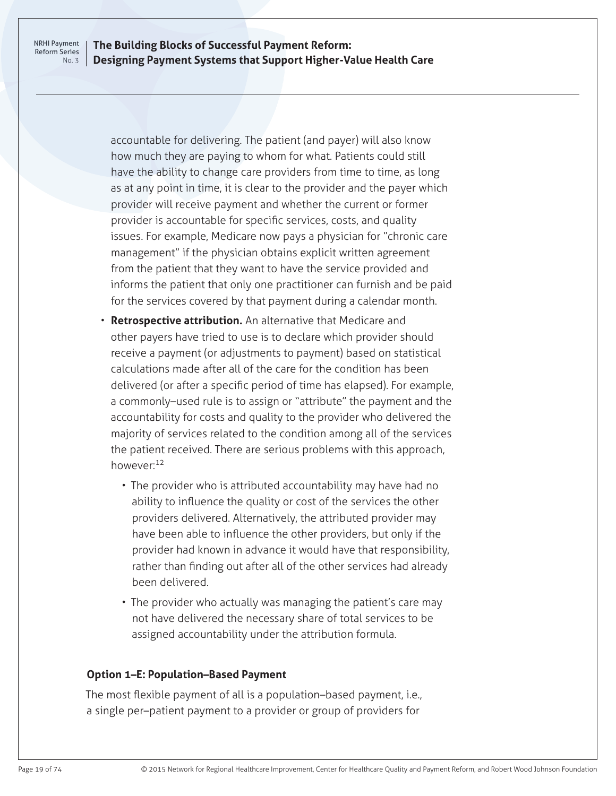### <span id="page-29-0"></span>**The Building Blocks of Successful Payment Reform: Designing Payment Systems that Support Higher-Value Health Care**

accountable for delivering. The patient (and payer) will also know how much they are paying to whom for what. Patients could still have the ability to change care providers from time to time, as long as at any point in time, it is clear to the provider and the payer which provider will receive payment and whether the current or former provider is accountable for specific services, costs, and quality issues. For example, Medicare now pays a physician for "chronic care management" if the physician obtains explicit written agreement from the patient that they want to have the service provided and informs the patient that only one practitioner can furnish and be paid for the services covered by that payment during a calendar month.

- **Retrospective attribution.** An alternative that Medicare and other payers have tried to use is to declare which provider should receive a payment (or adjustments to payment) based on statistical calculations made after all of the care for the condition has been delivered (or after a specific period of time has elapsed). For example, a commonly–used rule is to assign or "attribute" the payment and the accountability for costs and quality to the provider who delivered the majority of services related to the condition among all of the services the patient received. There are serious problems with this approach, however:12
	- The provider who is attributed accountability may have had no ability to influence the quality or cost of the services the other providers delivered. Alternatively, the attributed provider may have been able to influence the other providers, but only if the provider had known in advance it would have that responsibility, rather than finding out after all of the other services had already been delivered.
	- The provider who actually was managing the patient's care may not have delivered the necessary share of total services to be assigned accountability under the attribution formula.

### **Option 1–E: Population–Based Payment**

The most flexible payment of all is a population–based payment, i.e., a single per–patient payment to a provider or group of providers for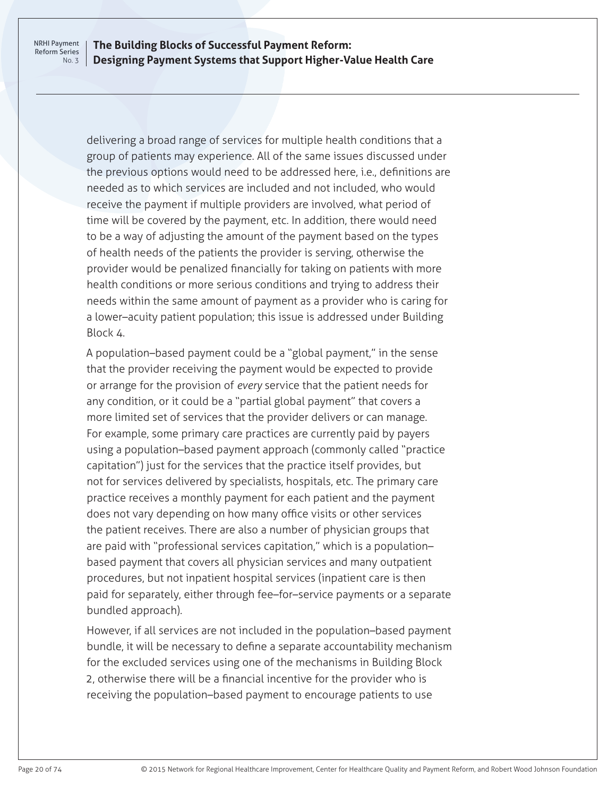### **The Building Blocks of Successful Payment Reform: Designing Payment Systems that Support Higher-Value Health Care**

delivering a broad range of services for multiple health conditions that a group of patients may experience. All of the same issues discussed under the previous options would need to be addressed here, i.e., definitions are needed as to which services are included and not included, who would receive the payment if multiple providers are involved, what period of time will be covered by the payment, etc. In addition, there would need to be a way of adjusting the amount of the payment based on the types of health needs of the patients the provider is serving, otherwise the provider would be penalized financially for taking on patients with more health conditions or more serious conditions and trying to address their needs within the same amount of payment as a provider who is caring for a lower–acuity patient population; this issue is addressed under Building Block 4.

A population–based payment could be a "global payment," in the sense that the provider receiving the payment would be expected to provide or arrange for the provision of *every* service that the patient needs for any condition, or it could be a "partial global payment" that covers a more limited set of services that the provider delivers or can manage. For example, some primary care practices are currently paid by payers using a population–based payment approach (commonly called "practice capitation") just for the services that the practice itself provides, but not for services delivered by specialists, hospitals, etc. The primary care practice receives a monthly payment for each patient and the payment does not vary depending on how many office visits or other services the patient receives. There are also a number of physician groups that are paid with "professional services capitation," which is a population– based payment that covers all physician services and many outpatient procedures, but not inpatient hospital services (inpatient care is then paid for separately, either through fee–for–service payments or a separate bundled approach).

However, if all services are not included in the population–based payment bundle, it will be necessary to define a separate accountability mechanism for the excluded services using one of the mechanisms in Building Block 2, otherwise there will be a financial incentive for the provider who is receiving the population–based payment to encourage patients to use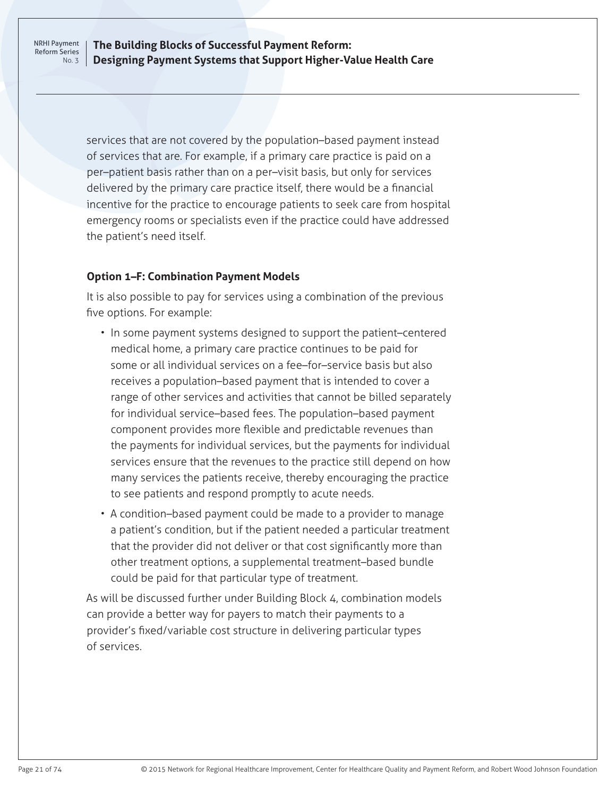<span id="page-31-0"></span>**The Building Blocks of Successful Payment Reform: Designing Payment Systems that Support Higher-Value Health Care**

services that are not covered by the population–based payment instead of services that are. For example, if a primary care practice is paid on a per–patient basis rather than on a per–visit basis, but only for services delivered by the primary care practice itself, there would be a financial incentive for the practice to encourage patients to seek care from hospital emergency rooms or specialists even if the practice could have addressed the patient's need itself.

### **Option 1–F: Combination Payment Models**

It is also possible to pay for services using a combination of the previous five options. For example:

- In some payment systems designed to support the patient–centered medical home, a primary care practice continues to be paid for some or all individual services on a fee–for–service basis but also receives a population–based payment that is intended to cover a range of other services and activities that cannot be billed separately for individual service–based fees. The population–based payment component provides more flexible and predictable revenues than the payments for individual services, but the payments for individual services ensure that the revenues to the practice still depend on how many services the patients receive, thereby encouraging the practice to see patients and respond promptly to acute needs.
- A condition–based payment could be made to a provider to manage a patient's condition, but if the patient needed a particular treatment that the provider did not deliver or that cost significantly more than other treatment options, a supplemental treatment–based bundle could be paid for that particular type of treatment.

As will be discussed further under Building Block 4, combination models can provide a better way for payers to match their payments to a provider's fixed/variable cost structure in delivering particular types of services.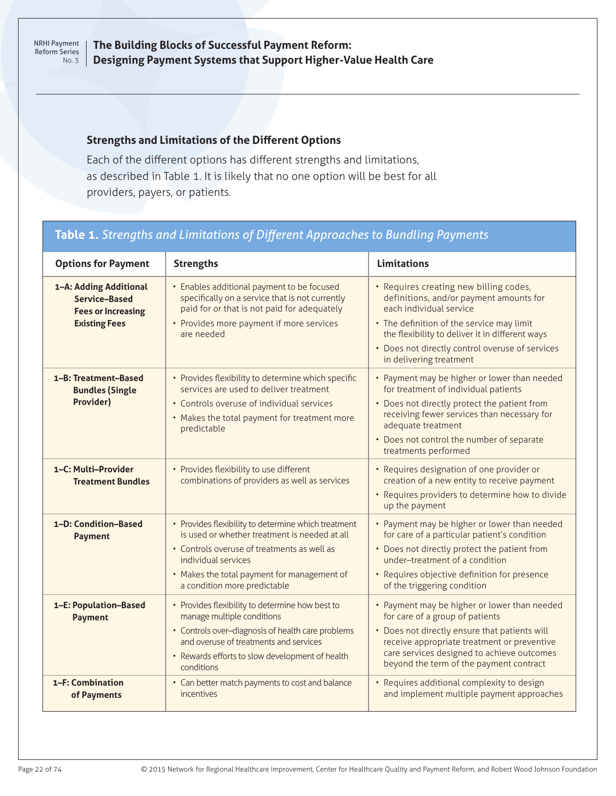<span id="page-32-0"></span>**The Building Blocks of Successful Payment Reform: Designing Payment Systems that Support Higher-Value Health Care**

### **Strengths and Limitations of the Different Options**

Each of the different options has different strengths and limitations, as described in Table 1. It is likely that no one option will be best for all providers, payers, or patients.

### **Table 1.** *Strengths and Limitations of Different Approaches to Bundling Payments*

| <b>Options for Payment</b>                                                                   | <b>Strengths</b>                                                                                                                                                                                                                                          | <b>Limitations</b>                                                                                                                                                                                                                                                                         |
|----------------------------------------------------------------------------------------------|-----------------------------------------------------------------------------------------------------------------------------------------------------------------------------------------------------------------------------------------------------------|--------------------------------------------------------------------------------------------------------------------------------------------------------------------------------------------------------------------------------------------------------------------------------------------|
| 1-A: Adding Additional<br>Service-Based<br><b>Fees or Increasing</b><br><b>Existing Fees</b> | • Enables additional payment to be focused<br>specifically on a service that is not currently<br>paid for or that is not paid for adequately<br>• Provides more payment if more services<br>are needed                                                    | • Requires creating new billing codes,<br>definitions, and/or payment amounts for<br>each individual service<br>• The definition of the service may limit<br>the flexibility to deliver it in different ways<br>• Does not directly control overuse of services<br>in delivering treatment |
| 1-B: Treatment-Based<br><b>Bundles (Single</b><br>Provider)                                  | • Provides flexibility to determine which specific<br>services are used to deliver treatment<br>• Controls overuse of individual services<br>• Makes the total payment for treatment more<br>predictable                                                  | • Payment may be higher or lower than needed<br>for treatment of individual patients<br>• Does not directly protect the patient from<br>receiving fewer services than necessary for<br>adequate treatment<br>• Does not control the number of separate<br>treatments performed             |
| 1–C: Multi–Provider<br><b>Treatment Bundles</b>                                              | • Provides flexibility to use different<br>combinations of providers as well as services                                                                                                                                                                  | • Requires designation of one provider or<br>creation of a new entity to receive payment<br>• Requires providers to determine how to divide<br>up the payment                                                                                                                              |
| 1-D: Condition-Based<br><b>Payment</b>                                                       | • Provides flexibility to determine which treatment<br>is used or whether treatment is needed at all<br>• Controls overuse of treatments as well as<br>individual services<br>• Makes the total payment for management of<br>a condition more predictable | • Payment may be higher or lower than needed<br>for care of a particular patient's condition<br>• Does not directly protect the patient from<br>under-treatment of a condition<br>• Requires objective definition for presence<br>of the triggering condition                              |
| 1-E: Population-Based<br><b>Payment</b>                                                      | • Provides flexibility to determine how best to<br>manage multiple conditions<br>• Controls over-diagnosis of health care problems<br>and overuse of treatments and services<br>• Rewards efforts to slow development of health<br>conditions             | • Payment may be higher or lower than needed<br>for care of a group of patients<br>• Does not directly ensure that patients will<br>receive appropriate treatment or preventive<br>care services designed to achieve outcomes<br>beyond the term of the payment contract                   |
| 1-F: Combination<br>of Payments                                                              | • Can better match payments to cost and balance<br>incentives                                                                                                                                                                                             | • Requires additional complexity to design<br>and implement multiple payment approaches                                                                                                                                                                                                    |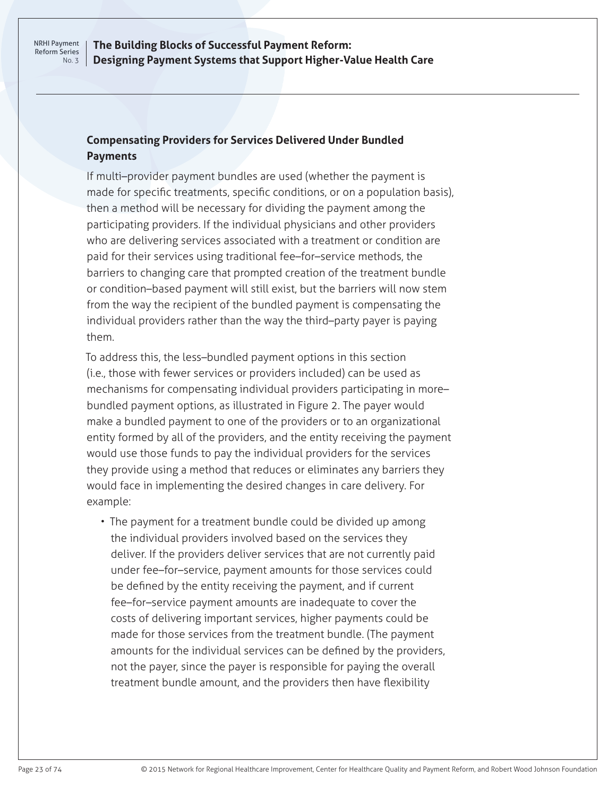### <span id="page-33-0"></span>**The Building Blocks of Successful Payment Reform: Designing Payment Systems that Support Higher-Value Health Care**

### **Compensating Providers for Services Delivered Under Bundled Payments**

If multi–provider payment bundles are used (whether the payment is made for specific treatments, specific conditions, or on a population basis), then a method will be necessary for dividing the payment among the participating providers. If the individual physicians and other providers who are delivering services associated with a treatment or condition are paid for their services using traditional fee–for–service methods, the barriers to changing care that prompted creation of the treatment bundle or condition–based payment will still exist, but the barriers will now stem from the way the recipient of the bundled payment is compensating the individual providers rather than the way the third–party payer is paying them.

To address this, the less–bundled payment options in this section (i.e., those with fewer services or providers included) can be used as mechanisms for compensating individual providers participating in more– bundled payment options, as illustrated in Figure 2. The payer would make a bundled payment to one of the providers or to an organizational entity formed by all of the providers, and the entity receiving the payment would use those funds to pay the individual providers for the services they provide using a method that reduces or eliminates any barriers they would face in implementing the desired changes in care delivery. For example:

• The payment for a treatment bundle could be divided up among the individual providers involved based on the services they deliver. If the providers deliver services that are not currently paid under fee–for–service, payment amounts for those services could be defined by the entity receiving the payment, and if current fee–for–service payment amounts are inadequate to cover the costs of delivering important services, higher payments could be made for those services from the treatment bundle. (The payment amounts for the individual services can be defined by the providers, not the payer, since the payer is responsible for paying the overall treatment bundle amount, and the providers then have flexibility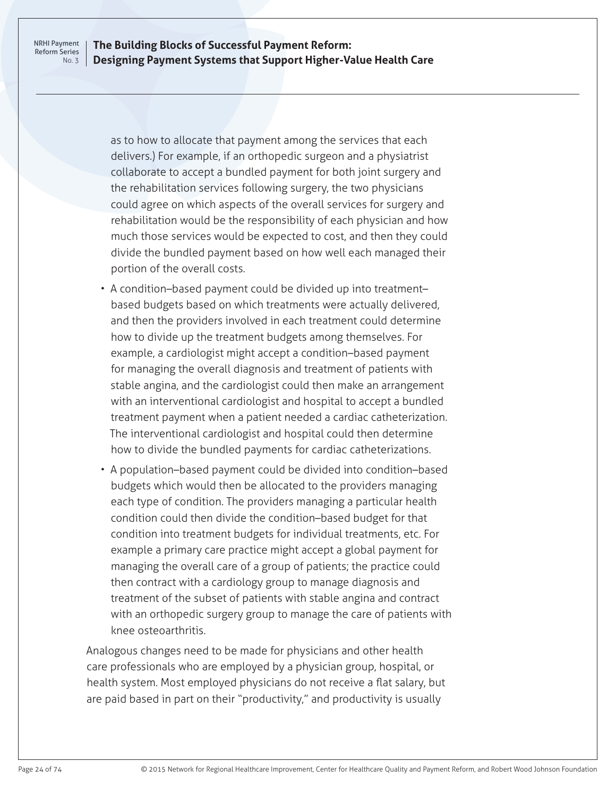### **The Building Blocks of Successful Payment Reform: Designing Payment Systems that Support Higher-Value Health Care**

as to how to allocate that payment among the services that each delivers.) For example, if an orthopedic surgeon and a physiatrist collaborate to accept a bundled payment for both joint surgery and the rehabilitation services following surgery, the two physicians could agree on which aspects of the overall services for surgery and rehabilitation would be the responsibility of each physician and how much those services would be expected to cost, and then they could divide the bundled payment based on how well each managed their portion of the overall costs.

- A condition–based payment could be divided up into treatment– based budgets based on which treatments were actually delivered, and then the providers involved in each treatment could determine how to divide up the treatment budgets among themselves. For example, a cardiologist might accept a condition–based payment for managing the overall diagnosis and treatment of patients with stable angina, and the cardiologist could then make an arrangement with an interventional cardiologist and hospital to accept a bundled treatment payment when a patient needed a cardiac catheterization. The interventional cardiologist and hospital could then determine how to divide the bundled payments for cardiac catheterizations.
- A population–based payment could be divided into condition–based budgets which would then be allocated to the providers managing each type of condition. The providers managing a particular health condition could then divide the condition–based budget for that condition into treatment budgets for individual treatments, etc. For example a primary care practice might accept a global payment for managing the overall care of a group of patients; the practice could then contract with a cardiology group to manage diagnosis and treatment of the subset of patients with stable angina and contract with an orthopedic surgery group to manage the care of patients with knee osteoarthritis.

Analogous changes need to be made for physicians and other health care professionals who are employed by a physician group, hospital, or health system. Most employed physicians do not receive a flat salary, but are paid based in part on their "productivity," and productivity is usually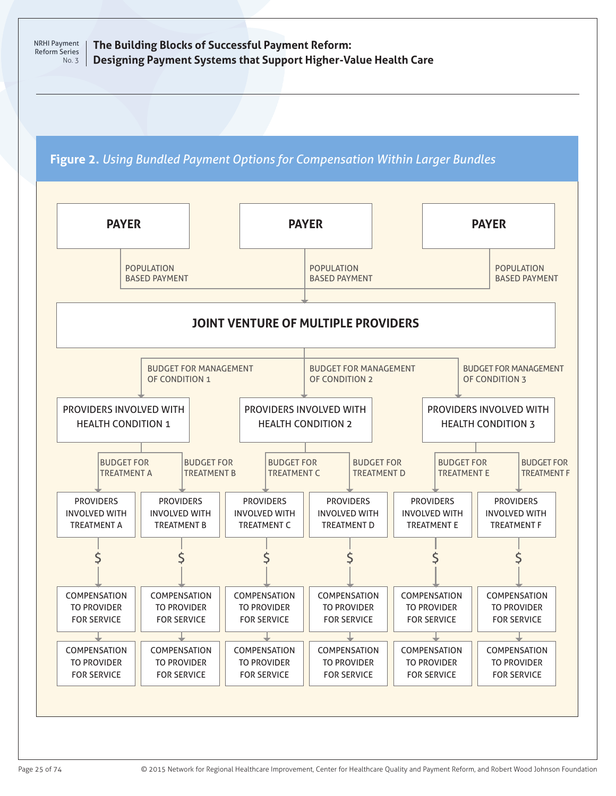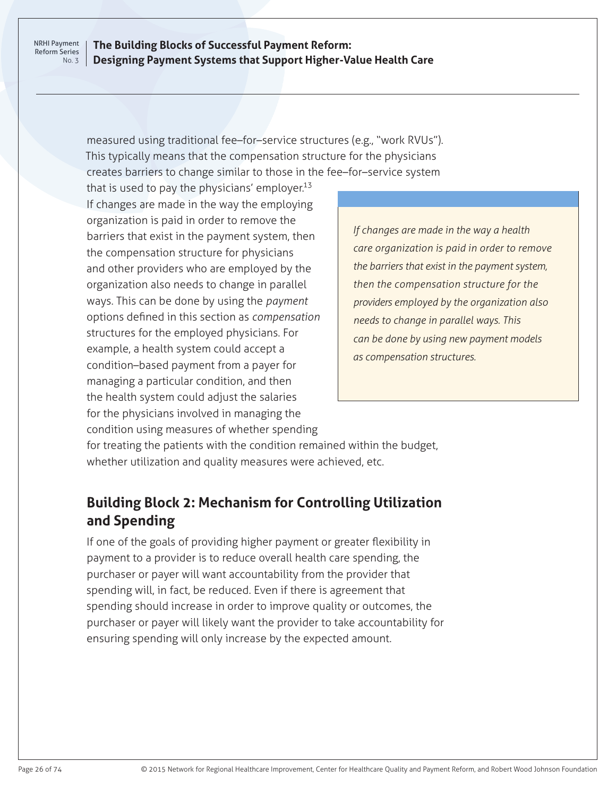### **The Building Blocks of Successful Payment Reform: Designing Payment Systems that Support Higher-Value Health Care**

measured using traditional fee–for–service structures (e.g., "work RVUs"). This typically means that the compensation structure for the physicians creates barriers to change similar to those in the fee–for–service system

that is used to pay the physicians' employer. $13$ If changes are made in the way the employing organization is paid in order to remove the barriers that exist in the payment system, then the compensation structure for physicians and other providers who are employed by the organization also needs to change in parallel ways. This can be done by using the *payment* options defined in this section as *compensation* structures for the employed physicians. For example, a health system could accept a condition–based payment from a payer for managing a particular condition, and then the health system could adjust the salaries for the physicians involved in managing the condition using measures of whether spending

*If changes are made in the way a health care organization is paid in order to remove the barriers that exist in the payment system, then the compensation structure for the providers employed by the organization also needs to change in parallel ways. This can be done by using new payment models as compensation structures.*

for treating the patients with the condition remained within the budget, whether utilization and quality measures were achieved, etc.

# **Building Block 2: Mechanism for Controlling Utilization and Spending**

If one of the goals of providing higher payment or greater flexibility in payment to a provider is to reduce overall health care spending, the purchaser or payer will want accountability from the provider that spending will, in fact, be reduced. Even if there is agreement that spending should increase in order to improve quality or outcomes, the purchaser or payer will likely want the provider to take accountability for ensuring spending will only increase by the expected amount.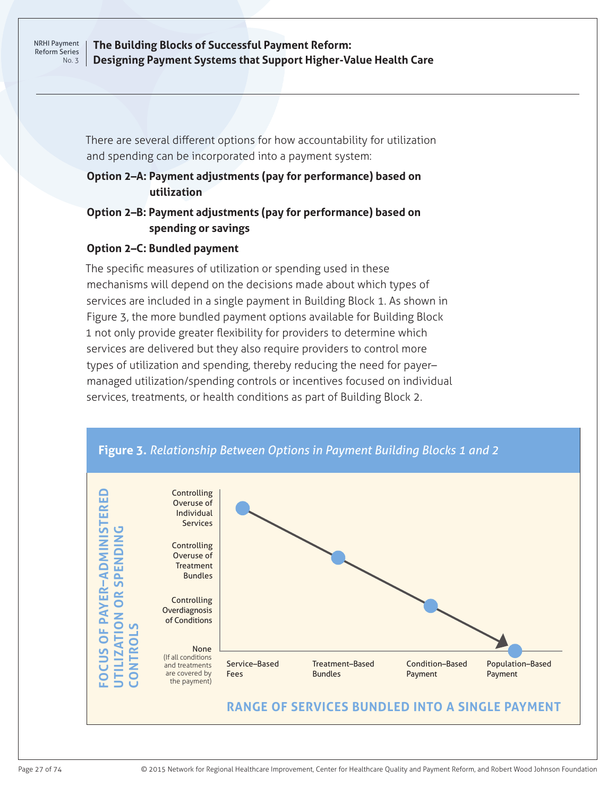### **The Building Blocks of Successful Payment Reform: Designing Payment Systems that Support Higher-Value Health Care**

There are several different options for how accountability for utilization and spending can be incorporated into a payment system:

### **Option 2–A: Payment adjustments (pay for performance) based on utilization**

## **Option 2–B: Payment adjustments (pay for performance) based on spending or savings**

### **Option 2–C: Bundled payment**

The specific measures of utilization or spending used in these mechanisms will depend on the decisions made about which types of services are included in a single payment in Building Block 1. As shown in Figure 3, the more bundled payment options available for Building Block 1 not only provide greater flexibility for providers to determine which services are delivered but they also require providers to control more types of utilization and spending, thereby reducing the need for payer– managed utilization/spending controls or incentives focused on individual services, treatments, or health conditions as part of Building Block 2.

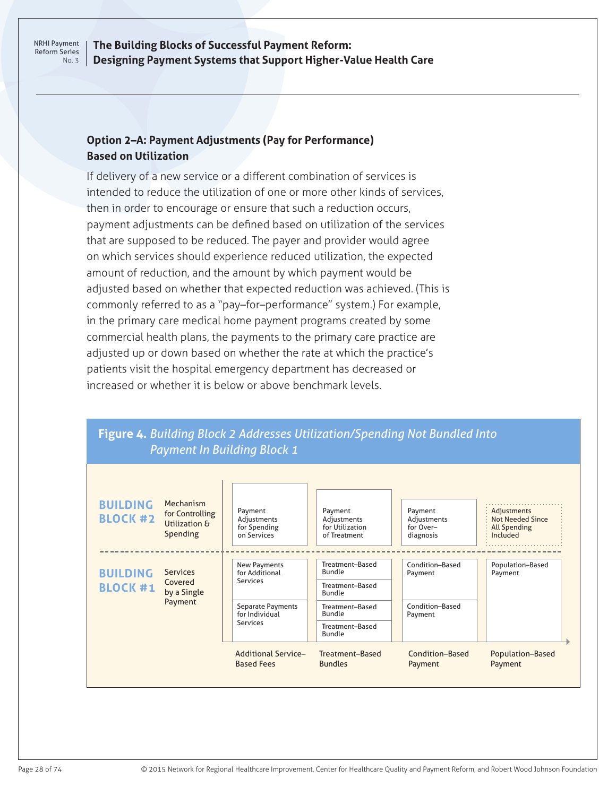**The Building Blocks of Successful Payment Reform: Designing Payment Systems that Support Higher-Value Health Care**

### **Option 2–A: Payment Adjustments (Pay for Performance) Based on Utilization**

If delivery of a new service or a different combination of services is intended to reduce the utilization of one or more other kinds of services, then in order to encourage or ensure that such a reduction occurs, payment adjustments can be defined based on utilization of the services that are supposed to be reduced. The payer and provider would agree on which services should experience reduced utilization, the expected amount of reduction, and the amount by which payment would be adjusted based on whether that expected reduction was achieved. (This is commonly referred to as a "pay–for–performance" system.) For example, in the primary care medical home payment programs created by some commercial health plans, the payments to the primary care practice are adjusted up or down based on whether the rate at which the practice's patients visit the hospital emergency department has decreased or increased or whether it is below or above benchmark levels.

# **Figure 4.** *Building Block 2 Addresses Utilization/Spending Not Bundled Into Payment In Building Block 1*

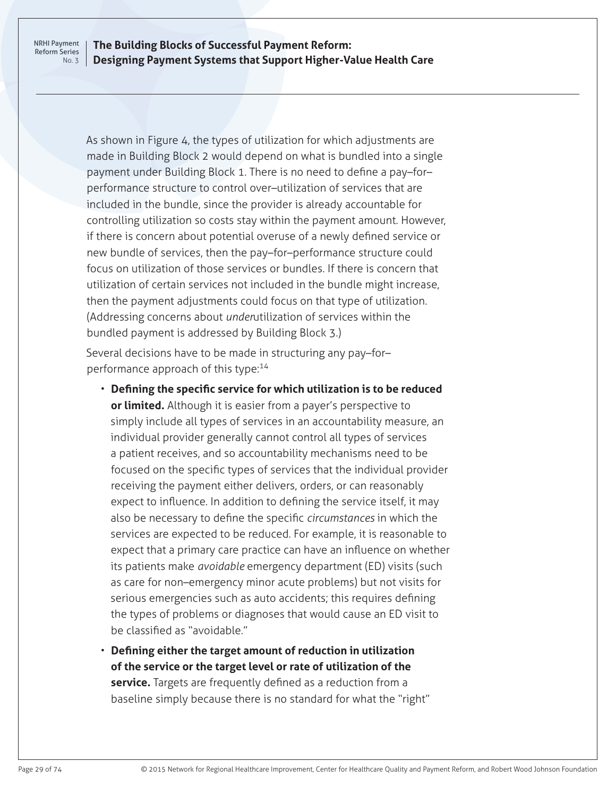### **The Building Blocks of Successful Payment Reform: Designing Payment Systems that Support Higher-Value Health Care**

As shown in Figure 4, the types of utilization for which adjustments are made in Building Block 2 would depend on what is bundled into a single payment under Building Block 1. There is no need to define a pay–for– performance structure to control over–utilization of services that are included in the bundle, since the provider is already accountable for controlling utilization so costs stay within the payment amount. However, if there is concern about potential overuse of a newly defined service or new bundle of services, then the pay–for–performance structure could focus on utilization of those services or bundles. If there is concern that utilization of certain services not included in the bundle might increase, then the payment adjustments could focus on that type of utilization. (Addressing concerns about *under*utilization of services within the bundled payment is addressed by Building Block 3.)

Several decisions have to be made in structuring any pay–for– performance approach of this type:<sup>14</sup>

- **Defining the specific service for which utilization is to be reduced or limited.** Although it is easier from a payer's perspective to simply include all types of services in an accountability measure, an individual provider generally cannot control all types of services a patient receives, and so accountability mechanisms need to be focused on the specific types of services that the individual provider receiving the payment either delivers, orders, or can reasonably expect to influence. In addition to defining the service itself, it may also be necessary to define the specific *circumstances* in which the services are expected to be reduced. For example, it is reasonable to expect that a primary care practice can have an influence on whether its patients make *avoidable* emergency department (ED) visits (such as care for non–emergency minor acute problems) but not visits for serious emergencies such as auto accidents; this requires defining the types of problems or diagnoses that would cause an ED visit to be classified as "avoidable."
- **Defining either the target amount of reduction in utilization of the service or the target level or rate of utilization of the service.** Targets are frequently defined as a reduction from a baseline simply because there is no standard for what the "right"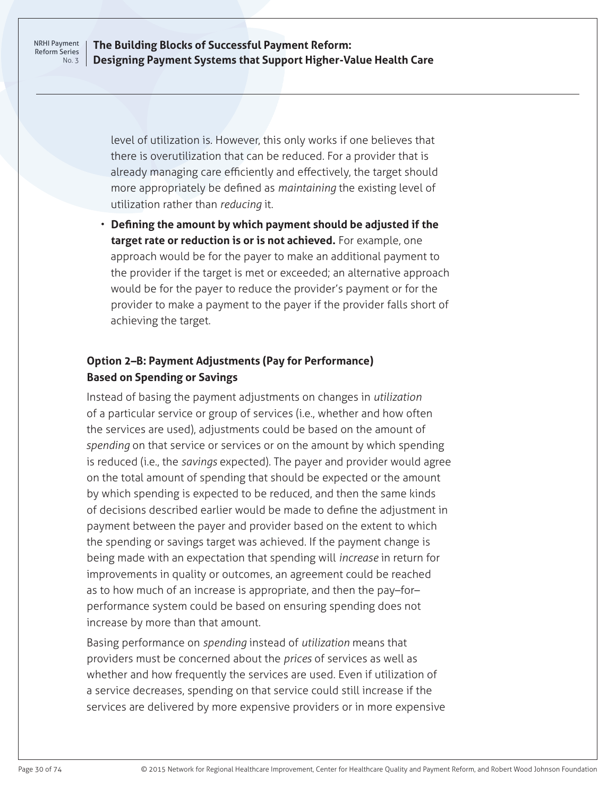**The Building Blocks of Successful Payment Reform: Designing Payment Systems that Support Higher-Value Health Care**

level of utilization is. However, this only works if one believes that there is overutilization that can be reduced. For a provider that is already managing care efficiently and effectively, the target should more appropriately be defined as *maintaining* the existing level of utilization rather than *reducing* it.

• **Defining the amount by which payment should be adjusted if the target rate or reduction is or is not achieved.** For example, one approach would be for the payer to make an additional payment to the provider if the target is met or exceeded; an alternative approach would be for the payer to reduce the provider's payment or for the provider to make a payment to the payer if the provider falls short of achieving the target.

# **Option 2–B: Payment Adjustments (Pay for Performance) Based on Spending or Savings**

Instead of basing the payment adjustments on changes in *utilization* of a particular service or group of services (i.e., whether and how often the services are used), adjustments could be based on the amount of *spending* on that service or services or on the amount by which spending is reduced (i.e., the *savings* expected). The payer and provider would agree on the total amount of spending that should be expected or the amount by which spending is expected to be reduced, and then the same kinds of decisions described earlier would be made to define the adjustment in payment between the payer and provider based on the extent to which the spending or savings target was achieved. If the payment change is being made with an expectation that spending will *increase* in return for improvements in quality or outcomes, an agreement could be reached as to how much of an increase is appropriate, and then the pay–for– performance system could be based on ensuring spending does not increase by more than that amount.

Basing performance on *spending* instead of *utilization* means that providers must be concerned about the *prices* of services as well as whether and how frequently the services are used. Even if utilization of a service decreases, spending on that service could still increase if the services are delivered by more expensive providers or in more expensive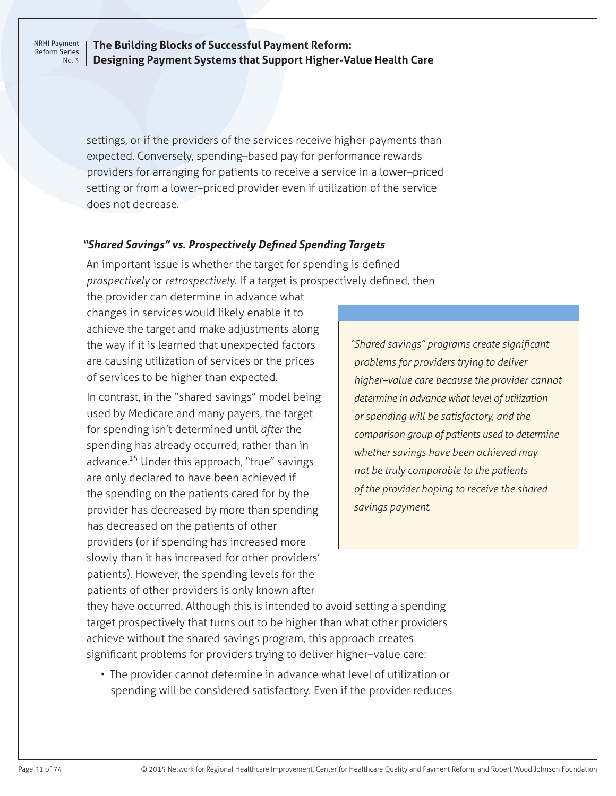### **The Building Blocks of Successful Payment Reform: Designing Payment Systems that Support Higher-Value Health Care**

settings, or if the providers of the services receive higher payments than expected. Conversely, spending–based pay for performance rewards providers for arranging for patients to receive a service in a lower–priced setting or from a lower–priced provider even if utilization of the service does not decrease.

### *"Shared Savings" vs. Prospectively Defined Spending Targets*

An important issue is whether the target for spending is defined *prospectively* or *retrospectively*. If a target is prospectively defined, then

the provider can determine in advance what changes in services would likely enable it to achieve the target and make adjustments along the way if it is learned that unexpected factors are causing utilization of services or the prices of services to be higher than expected.

In contrast, in the "shared savings" model being used by Medicare and many payers, the target for spending isn't determined until *after* the spending has already occurred, rather than in advance.<sup>15</sup> Under this approach, "true" savings are only declared to have been achieved if the spending on the patients cared for by the provider has decreased by more than spending has decreased on the patients of other providers (or if spending has increased more slowly than it has increased for other providers' patients). However, the spending levels for the patients of other providers is only known after

*"Shared savings" programs create significant problems for providers trying to deliver higher–value care because the provider cannot determine in advance what level of utilization or spending will be satisfactory, and the comparison group of patients used to determine whether savings have been achieved may not be truly comparable to the patients of the provider hoping to receive the shared savings payment.*

they have occurred. Although this is intended to avoid setting a spending target prospectively that turns out to be higher than what other providers achieve without the shared savings program, this approach creates significant problems for providers trying to deliver higher–value care:

• The provider cannot determine in advance what level of utilization or spending will be considered satisfactory. Even if the provider reduces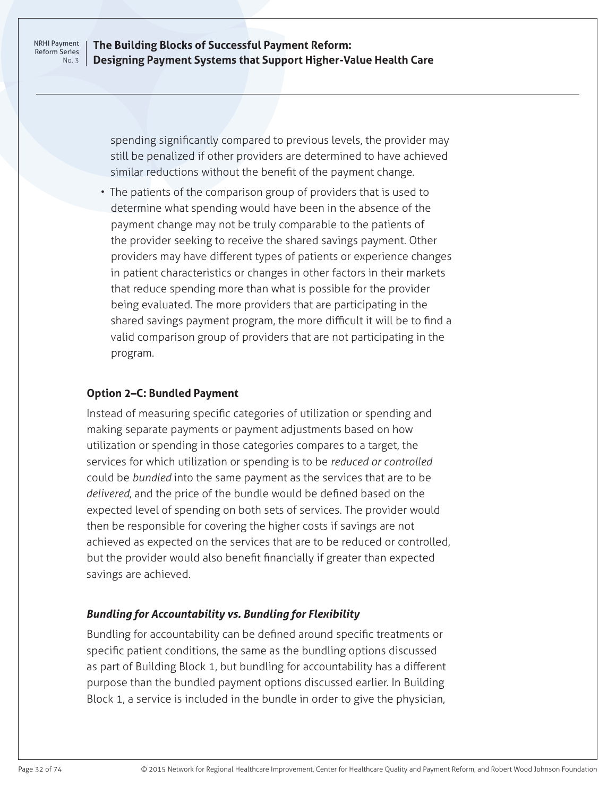**The Building Blocks of Successful Payment Reform: Designing Payment Systems that Support Higher-Value Health Care**

spending significantly compared to previous levels, the provider may still be penalized if other providers are determined to have achieved similar reductions without the benefit of the payment change.

• The patients of the comparison group of providers that is used to determine what spending would have been in the absence of the payment change may not be truly comparable to the patients of the provider seeking to receive the shared savings payment. Other providers may have different types of patients or experience changes in patient characteristics or changes in other factors in their markets that reduce spending more than what is possible for the provider being evaluated. The more providers that are participating in the shared savings payment program, the more difficult it will be to find a valid comparison group of providers that are not participating in the program.

### **Option 2–C: Bundled Payment**

Instead of measuring specific categories of utilization or spending and making separate payments or payment adjustments based on how utilization or spending in those categories compares to a target, the services for which utilization or spending is to be *reduced or controlled* could be *bundled* into the same payment as the services that are to be *delivered*, and the price of the bundle would be defined based on the expected level of spending on both sets of services. The provider would then be responsible for covering the higher costs if savings are not achieved as expected on the services that are to be reduced or controlled, but the provider would also benefit financially if greater than expected savings are achieved.

### *Bundling for Accountability vs. Bundling for Flexibility*

Bundling for accountability can be defined around specific treatments or specific patient conditions, the same as the bundling options discussed as part of Building Block 1, but bundling for accountability has a different purpose than the bundled payment options discussed earlier. In Building Block 1, a service is included in the bundle in order to give the physician,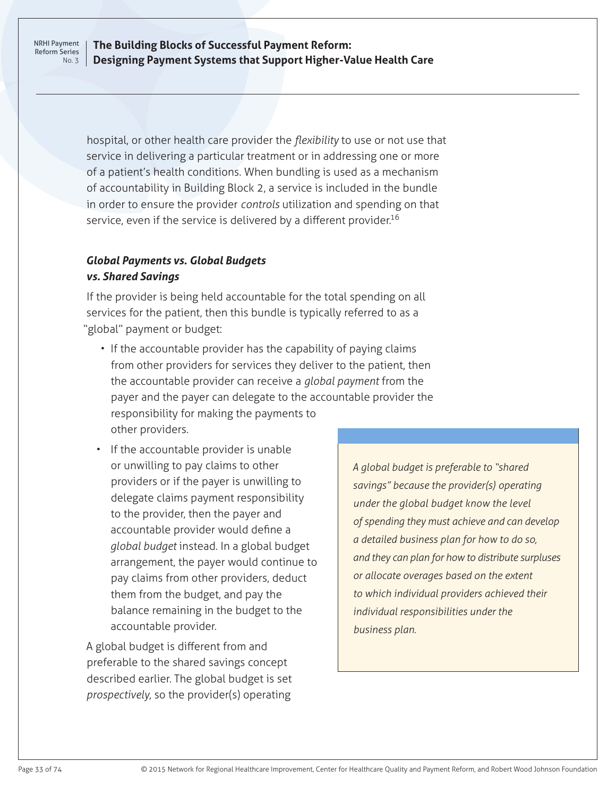### **The Building Blocks of Successful Payment Reform: Designing Payment Systems that Support Higher-Value Health Care**

hospital, or other health care provider the *flexibility* to use or not use that service in delivering a particular treatment or in addressing one or more of a patient's health conditions. When bundling is used as a mechanism of accountability in Building Block 2, a service is included in the bundle in order to ensure the provider *controls* utilization and spending on that service, even if the service is delivered by a different provider.<sup>16</sup>

# *Global Payments vs. Global Budgets vs. Shared Savings*

If the provider is being held accountable for the total spending on all services for the patient, then this bundle is typically referred to as a "global" payment or budget:

- If the accountable provider has the capability of paying claims from other providers for services they deliver to the patient, then the accountable provider can receive a *global payment* from the payer and the payer can delegate to the accountable provider the responsibility for making the payments to other providers.
- If the accountable provider is unable or unwilling to pay claims to other providers or if the payer is unwilling to delegate claims payment responsibility to the provider, then the payer and accountable provider would define a *global budget* instead. In a global budget arrangement, the payer would continue to pay claims from other providers, deduct them from the budget, and pay the balance remaining in the budget to the accountable provider.

A global budget is different from and preferable to the shared savings concept described earlier. The global budget is set *prospectively*, so the provider(s) operating

*A global budget is preferable to "shared savings" because the provider(s) operating under the global budget know the level of spending they must achieve and can develop a detailed business plan for how to do so, and they can plan for how to distribute surpluses or allocate overages based on the extent to which individual providers achieved their individual responsibilities under the business plan.*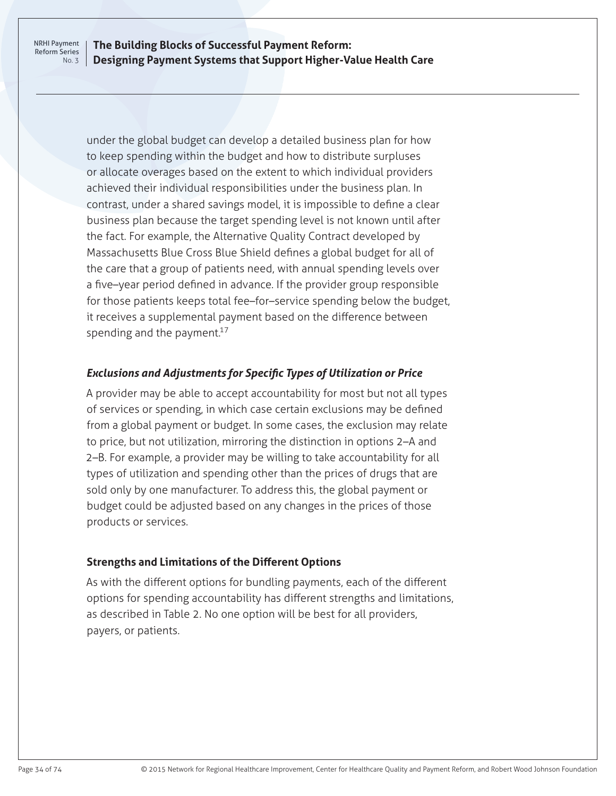**The Building Blocks of Successful Payment Reform: Designing Payment Systems that Support Higher-Value Health Care**

under the global budget can develop a detailed business plan for how to keep spending within the budget and how to distribute surpluses or allocate overages based on the extent to which individual providers achieved their individual responsibilities under the business plan. In contrast, under a shared savings model, it is impossible to define a clear business plan because the target spending level is not known until after the fact. For example, the Alternative Quality Contract developed by Massachusetts Blue Cross Blue Shield defines a global budget for all of the care that a group of patients need, with annual spending levels over a five–year period defined in advance. If the provider group responsible for those patients keeps total fee–for–service spending below the budget, it receives a supplemental payment based on the difference between spending and the payment. $17$ 

### *Exclusions and Adjustments for Specific Types of Utilization or Price*

A provider may be able to accept accountability for most but not all types of services or spending, in which case certain exclusions may be defined from a global payment or budget. In some cases, the exclusion may relate to price, but not utilization, mirroring the distinction in options 2–A and 2–B. For example, a provider may be willing to take accountability for all types of utilization and spending other than the prices of drugs that are sold only by one manufacturer. To address this, the global payment or budget could be adjusted based on any changes in the prices of those products or services.

#### **Strengths and Limitations of the Different Options**

As with the different options for bundling payments, each of the different options for spending accountability has different strengths and limitations, as described in Table 2. No one option will be best for all providers, payers, or patients.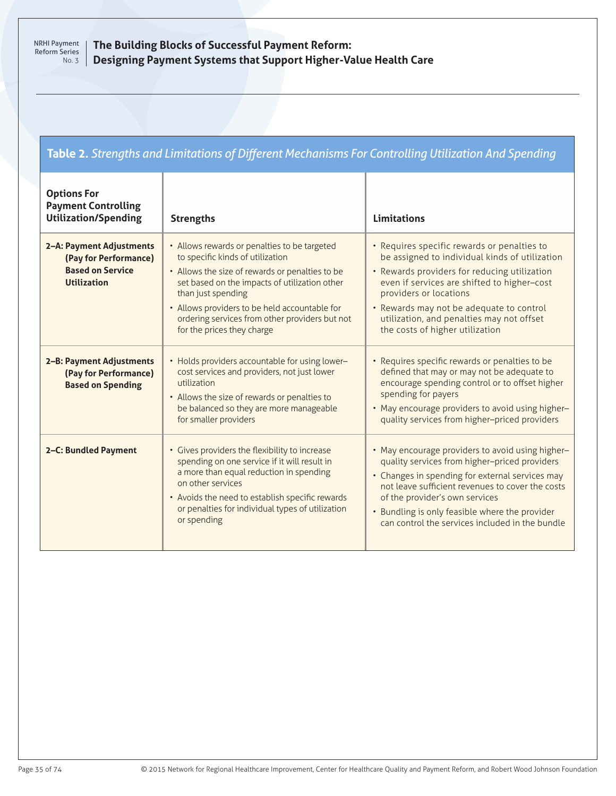# **Table 2.** *Strengths and Limitations of Different Mechanisms For Controlling Utilization And Spending*

| <b>Options For</b><br><b>Payment Controlling</b><br><b>Utilization/Spending</b>                    | <b>Strengths</b>                                                                                                                                                                                                                                                                                                                            | <b>Limitations</b>                                                                                                                                                                                                                                                                                                                                 |
|----------------------------------------------------------------------------------------------------|---------------------------------------------------------------------------------------------------------------------------------------------------------------------------------------------------------------------------------------------------------------------------------------------------------------------------------------------|----------------------------------------------------------------------------------------------------------------------------------------------------------------------------------------------------------------------------------------------------------------------------------------------------------------------------------------------------|
| 2-A: Payment Adjustments<br>(Pay for Performance)<br><b>Based on Service</b><br><b>Utilization</b> | • Allows rewards or penalties to be targeted<br>to specific kinds of utilization<br>• Allows the size of rewards or penalties to be<br>set based on the impacts of utilization other<br>than just spending<br>• Allows providers to be held accountable for<br>ordering services from other providers but not<br>for the prices they charge | • Requires specific rewards or penalties to<br>be assigned to individual kinds of utilization<br>• Rewards providers for reducing utilization<br>even if services are shifted to higher-cost<br>providers or locations<br>• Rewards may not be adequate to control<br>utilization, and penalties may not offset<br>the costs of higher utilization |
| 2-B: Payment Adjustments<br>(Pay for Performance)<br><b>Based on Spending</b>                      | • Holds providers accountable for using lower-<br>cost services and providers, not just lower<br>utilization<br>• Allows the size of rewards or penalties to<br>be balanced so they are more manageable<br>for smaller providers                                                                                                            | • Requires specific rewards or penalties to be<br>defined that may or may not be adequate to<br>encourage spending control or to offset higher<br>spending for payers<br>• May encourage providers to avoid using higher-<br>quality services from higher-priced providers                                                                         |
| 2-C: Bundled Payment                                                                               | • Gives providers the flexibility to increase<br>spending on one service if it will result in<br>a more than equal reduction in spending<br>on other services<br>• Avoids the need to establish specific rewards<br>or penalties for individual types of utilization<br>or spending                                                         | • May encourage providers to avoid using higher-<br>quality services from higher-priced providers<br>• Changes in spending for external services may<br>not leave sufficient revenues to cover the costs<br>of the provider's own services<br>• Bundling is only feasible where the provider<br>can control the services included in the bundle    |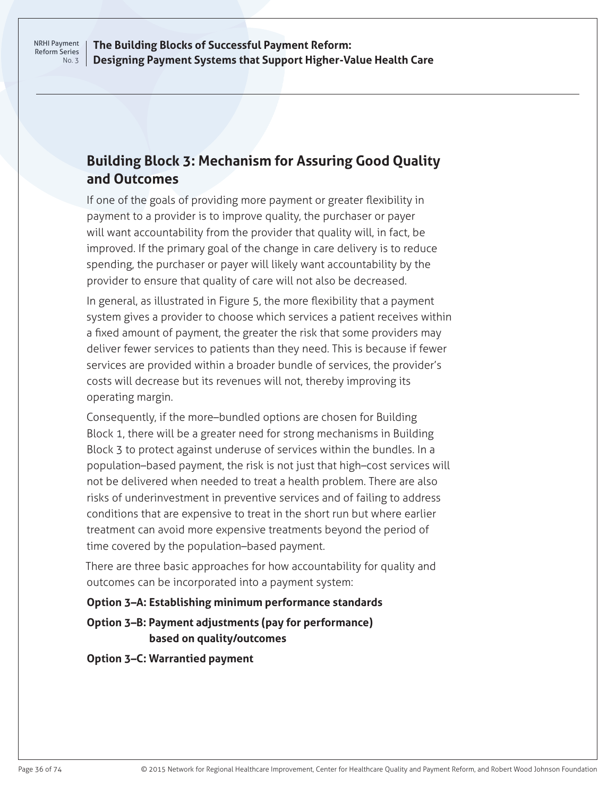# **Building Block 3: Mechanism for Assuring Good Quality and Outcomes**

If one of the goals of providing more payment or greater flexibility in payment to a provider is to improve quality, the purchaser or payer will want accountability from the provider that quality will, in fact, be improved. If the primary goal of the change in care delivery is to reduce spending, the purchaser or payer will likely want accountability by the provider to ensure that quality of care will not also be decreased.

In general, as illustrated in Figure 5, the more flexibility that a payment system gives a provider to choose which services a patient receives within a fixed amount of payment, the greater the risk that some providers may deliver fewer services to patients than they need. This is because if fewer services are provided within a broader bundle of services, the provider's costs will decrease but its revenues will not, thereby improving its operating margin.

Consequently, if the more–bundled options are chosen for Building Block 1, there will be a greater need for strong mechanisms in Building Block 3 to protect against underuse of services within the bundles. In a population–based payment, the risk is not just that high–cost services will not be delivered when needed to treat a health problem. There are also risks of underinvestment in preventive services and of failing to address conditions that are expensive to treat in the short run but where earlier treatment can avoid more expensive treatments beyond the period of time covered by the population–based payment.

There are three basic approaches for how accountability for quality and outcomes can be incorporated into a payment system:

### **Option 3–A: Establishing minimum performance standards**

**Option 3–B: Payment adjustments (pay for performance) based on quality/outcomes**

**Option 3–C: Warrantied payment**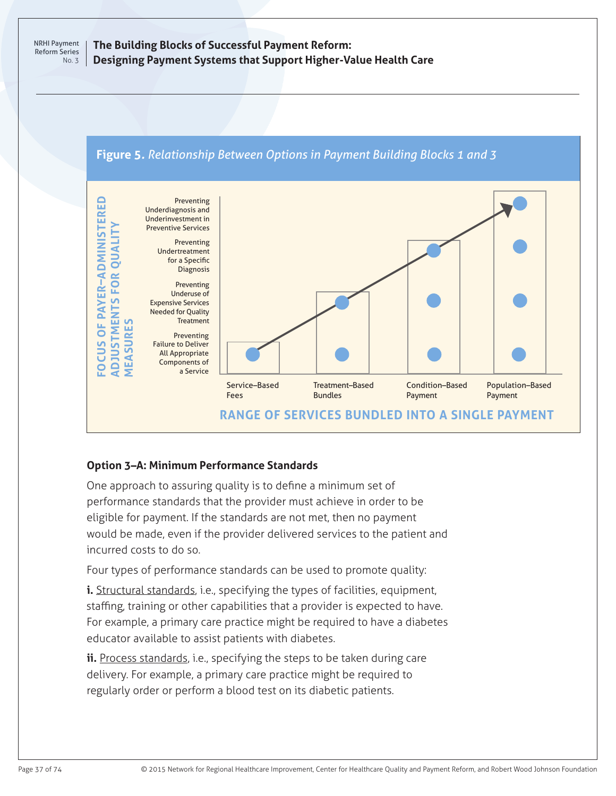# **The Building Blocks of Successful Payment Reform: Designing Payment Systems that Support Higher-Value Health Care**



### **Option 3–A: Minimum Performance Standards**

One approach to assuring quality is to define a minimum set of performance standards that the provider must achieve in order to be eligible for payment. If the standards are not met, then no payment would be made, even if the provider delivered services to the patient and incurred costs to do so.

Four types of performance standards can be used to promote quality:

**i.** Structural standards, i.e., specifying the types of facilities, equipment, staffing, training or other capabilities that a provider is expected to have. For example, a primary care practice might be required to have a diabetes educator available to assist patients with diabetes.

**ii.** Process standards, i.e., specifying the steps to be taken during care delivery. For example, a primary care practice might be required to regularly order or perform a blood test on its diabetic patients.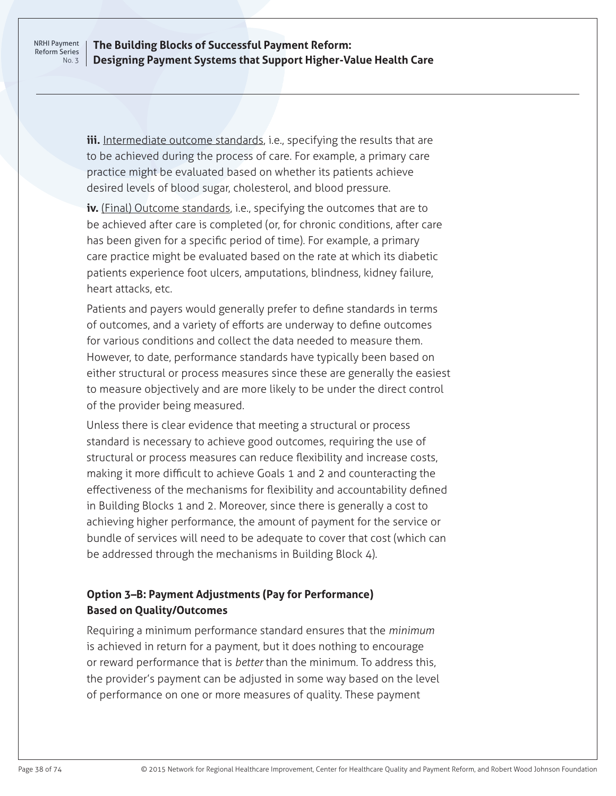### **The Building Blocks of Successful Payment Reform: Designing Payment Systems that Support Higher-Value Health Care**

**iii.** Intermediate outcome standards, i.e., specifying the results that are to be achieved during the process of care. For example, a primary care practice might be evaluated based on whether its patients achieve desired levels of blood sugar, cholesterol, and blood pressure.

**iv.** (Final) Outcome standards, i.e., specifying the outcomes that are to be achieved after care is completed (or, for chronic conditions, after care has been given for a specific period of time). For example, a primary care practice might be evaluated based on the rate at which its diabetic patients experience foot ulcers, amputations, blindness, kidney failure, heart attacks, etc.

Patients and payers would generally prefer to define standards in terms of outcomes, and a variety of efforts are underway to define outcomes for various conditions and collect the data needed to measure them. However, to date, performance standards have typically been based on either structural or process measures since these are generally the easiest to measure objectively and are more likely to be under the direct control of the provider being measured.

Unless there is clear evidence that meeting a structural or process standard is necessary to achieve good outcomes, requiring the use of structural or process measures can reduce flexibility and increase costs, making it more difficult to achieve Goals 1 and 2 and counteracting the effectiveness of the mechanisms for flexibility and accountability defined in Building Blocks 1 and 2. Moreover, since there is generally a cost to achieving higher performance, the amount of payment for the service or bundle of services will need to be adequate to cover that cost (which can be addressed through the mechanisms in Building Block 4).

# **Option 3–B: Payment Adjustments (Pay for Performance) Based on Quality/Outcomes**

Requiring a minimum performance standard ensures that the *minimum* is achieved in return for a payment, but it does nothing to encourage or reward performance that is *better* than the minimum. To address this, the provider's payment can be adjusted in some way based on the level of performance on one or more measures of quality. These payment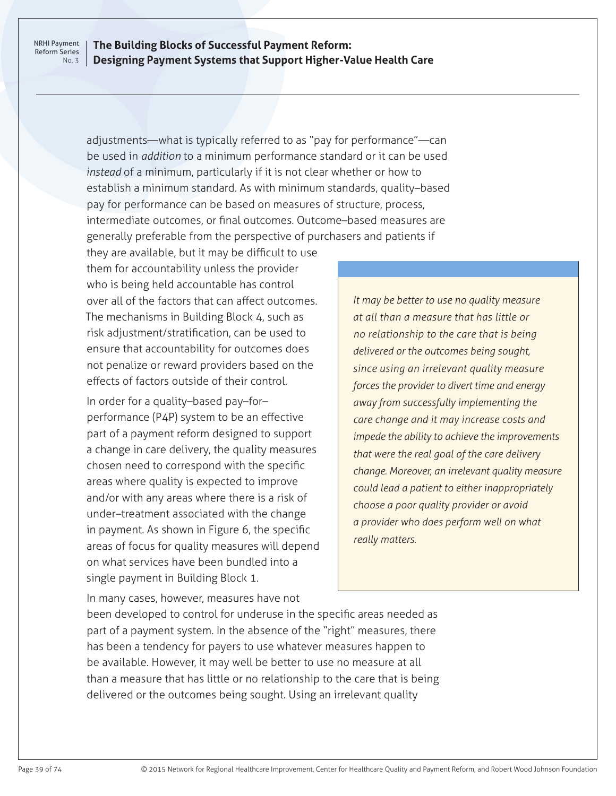### **The Building Blocks of Successful Payment Reform: Designing Payment Systems that Support Higher-Value Health Care**

adjustments—what is typically referred to as "pay for performance"—can be used in *addition* to a minimum performance standard or it can be used *instead* of a minimum, particularly if it is not clear whether or how to establish a minimum standard. As with minimum standards, quality–based pay for performance can be based on measures of structure, process, intermediate outcomes, or final outcomes. Outcome–based measures are generally preferable from the perspective of purchasers and patients if

they are available, but it may be difficult to use them for accountability unless the provider who is being held accountable has control over all of the factors that can affect outcomes. The mechanisms in Building Block 4, such as risk adjustment/stratification, can be used to ensure that accountability for outcomes does not penalize or reward providers based on the effects of factors outside of their control.

In order for a quality–based pay–for– performance (P4P) system to be an effective part of a payment reform designed to support a change in care delivery, the quality measures chosen need to correspond with the specific areas where quality is expected to improve and/or with any areas where there is a risk of under–treatment associated with the change in payment. As shown in Figure 6, the specific areas of focus for quality measures will depend on what services have been bundled into a single payment in Building Block 1.

*It may be better to use no quality measure at all than a measure that has little or no relationship to the care that is being delivered or the outcomes being sought, since using an irrelevant quality measure forces the provider to divert time and energy away from successfully implementing the care change and it may increase costs and impede the ability to achieve the improvements that were the real goal of the care delivery change. Moreover, an irrelevant quality measure could lead a patient to either inappropriately choose a poor quality provider or avoid a provider who does perform well on what really matters.*

In many cases, however, measures have not

been developed to control for underuse in the specific areas needed as part of a payment system. In the absence of the "right" measures, there has been a tendency for payers to use whatever measures happen to be available. However, it may well be better to use no measure at all than a measure that has little or no relationship to the care that is being delivered or the outcomes being sought. Using an irrelevant quality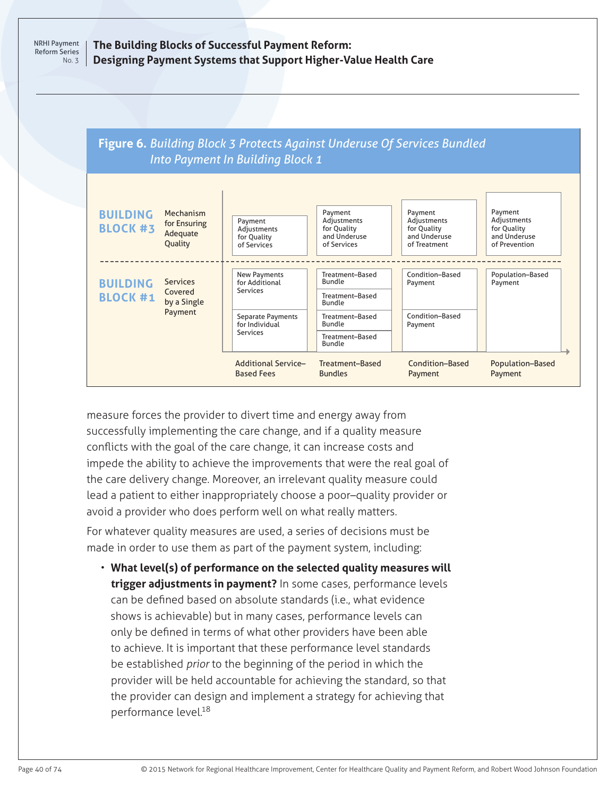**The Building Blocks of Successful Payment Reform: Designing Payment Systems that Support Higher-Value Health Care**





measure forces the provider to divert time and energy away from successfully implementing the care change, and if a quality measure conflicts with the goal of the care change, it can increase costs and impede the ability to achieve the improvements that were the real goal of the care delivery change. Moreover, an irrelevant quality measure could lead a patient to either inappropriately choose a poor–quality provider or avoid a provider who does perform well on what really matters.

For whatever quality measures are used, a series of decisions must be made in order to use them as part of the payment system, including:

• **What level(s) of performance on the selected quality measures will trigger adjustments in payment?** In some cases, performance levels can be defined based on absolute standards (i.e., what evidence shows is achievable) but in many cases, performance levels can only be defined in terms of what other providers have been able to achieve. It is important that these performance level standards be established *prior* to the beginning of the period in which the provider will be held accountable for achieving the standard, so that the provider can design and implement a strategy for achieving that performance level.<sup>18</sup>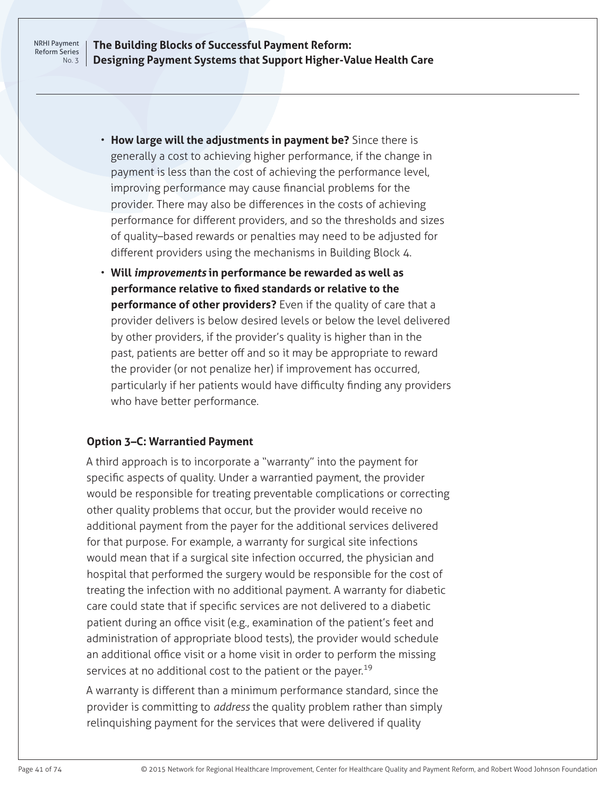- **How large will the adjustments in payment be?** Since there is generally a cost to achieving higher performance, if the change in payment is less than the cost of achieving the performance level, improving performance may cause financial problems for the provider. There may also be differences in the costs of achieving performance for different providers, and so the thresholds and sizes of quality–based rewards or penalties may need to be adjusted for different providers using the mechanisms in Building Block 4.
- **Will** *improvements* **in performance be rewarded as well as performance relative to fixed standards or relative to the performance of other providers?** Even if the quality of care that a provider delivers is below desired levels or below the level delivered by other providers, if the provider's quality is higher than in the past, patients are better off and so it may be appropriate to reward the provider (or not penalize her) if improvement has occurred, particularly if her patients would have difficulty finding any providers who have better performance.

### **Option 3–C: Warrantied Payment**

A third approach is to incorporate a "warranty" into the payment for specific aspects of quality. Under a warrantied payment, the provider would be responsible for treating preventable complications or correcting other quality problems that occur, but the provider would receive no additional payment from the payer for the additional services delivered for that purpose. For example, a warranty for surgical site infections would mean that if a surgical site infection occurred, the physician and hospital that performed the surgery would be responsible for the cost of treating the infection with no additional payment. A warranty for diabetic care could state that if specific services are not delivered to a diabetic patient during an office visit (e.g., examination of the patient's feet and administration of appropriate blood tests), the provider would schedule an additional office visit or a home visit in order to perform the missing services at no additional cost to the patient or the payer.<sup>19</sup>

A warranty is different than a minimum performance standard, since the provider is committing to *address* the quality problem rather than simply relinquishing payment for the services that were delivered if quality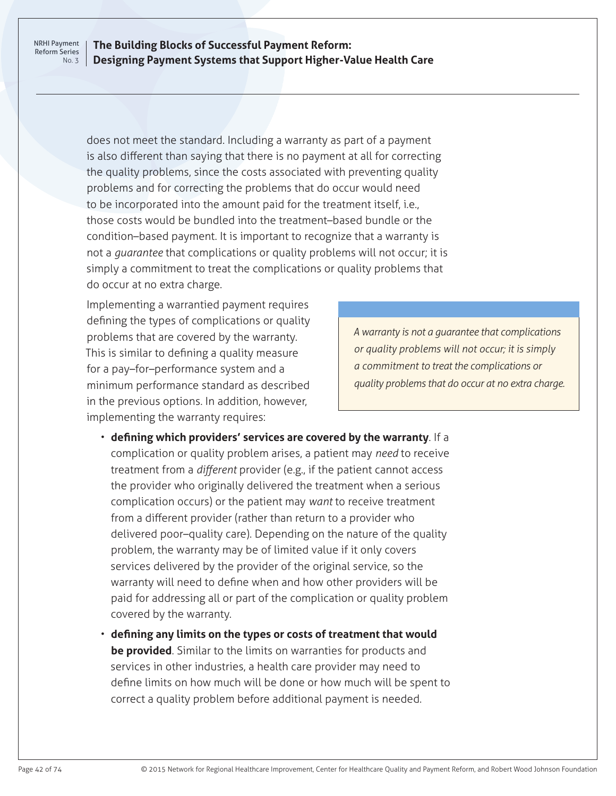### **The Building Blocks of Successful Payment Reform: Designing Payment Systems that Support Higher-Value Health Care**

does not meet the standard. Including a warranty as part of a payment is also different than saying that there is no payment at all for correcting the quality problems, since the costs associated with preventing quality problems and for correcting the problems that do occur would need to be incorporated into the amount paid for the treatment itself, i.e., those costs would be bundled into the treatment–based bundle or the condition–based payment. It is important to recognize that a warranty is not a *guarantee* that complications or quality problems will not occur; it is simply a commitment to treat the complications or quality problems that do occur at no extra charge.

Implementing a warrantied payment requires defining the types of complications or quality problems that are covered by the warranty. This is similar to defining a quality measure for a pay–for–performance system and a minimum performance standard as described in the previous options. In addition, however, implementing the warranty requires:

*A warranty is not a guarantee that complications or quality problems will not occur; it is simply a commitment to treat the complications or quality problems that do occur at no extra charge.*

- **defining which providers' services are covered by the warranty**. If a complication or quality problem arises, a patient may *need* to receive treatment from a *different* provider (e.g., if the patient cannot access the provider who originally delivered the treatment when a serious complication occurs) or the patient may *want* to receive treatment from a different provider (rather than return to a provider who delivered poor–quality care). Depending on the nature of the quality problem, the warranty may be of limited value if it only covers services delivered by the provider of the original service, so the warranty will need to define when and how other providers will be paid for addressing all or part of the complication or quality problem covered by the warranty.
- **defining any limits on the types or costs of treatment that would be provided**. Similar to the limits on warranties for products and services in other industries, a health care provider may need to define limits on how much will be done or how much will be spent to correct a quality problem before additional payment is needed.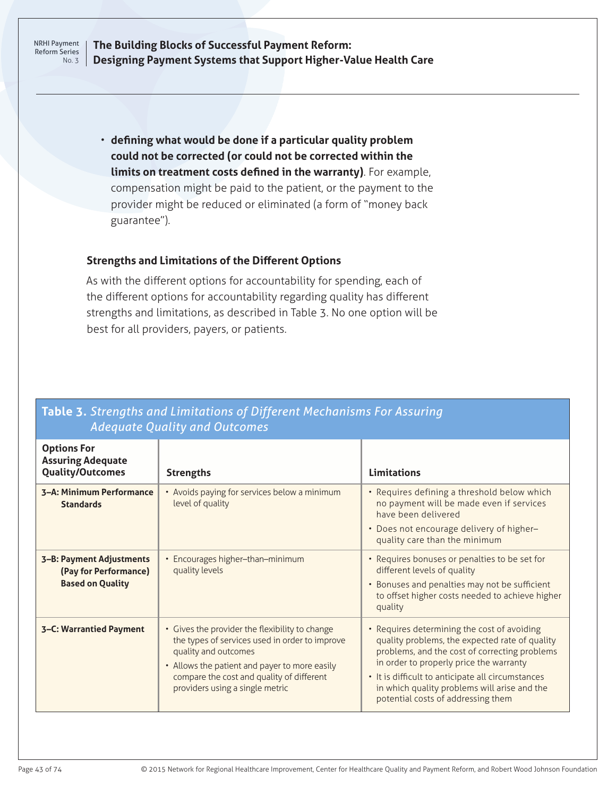**The Building Blocks of Successful Payment Reform: Designing Payment Systems that Support Higher-Value Health Care**

• **defining what would be done if a particular quality problem could not be corrected (or could not be corrected within the limits on treatment costs defined in the warranty)**. For example, compensation might be paid to the patient, or the payment to the provider might be reduced or eliminated (a form of "money back guarantee").

#### **Strengths and Limitations of the Different Options**

As with the different options for accountability for spending, each of the different options for accountability regarding quality has different strengths and limitations, as described in Table 3. No one option will be best for all providers, payers, or patients.

# **Table 3.** *Strengths and Limitations of Different Mechanisms For Assuring Adequate Quality and Outcomes*

| <b>Options For</b><br><b>Assuring Adequate</b><br>Quality/Outcomes           | <b>Strengths</b>                                                                                                                                                                                                                                          | <b>Limitations</b>                                                                                                                                                                                                                                                                                                                   |
|------------------------------------------------------------------------------|-----------------------------------------------------------------------------------------------------------------------------------------------------------------------------------------------------------------------------------------------------------|--------------------------------------------------------------------------------------------------------------------------------------------------------------------------------------------------------------------------------------------------------------------------------------------------------------------------------------|
| 3-A: Minimum Performance<br><b>Standards</b>                                 | • Avoids paying for services below a minimum<br>level of quality                                                                                                                                                                                          | • Requires defining a threshold below which<br>no payment will be made even if services<br>have been delivered<br>• Does not encourage delivery of higher-<br>quality care than the minimum                                                                                                                                          |
| 3-B: Payment Adjustments<br>(Pay for Performance)<br><b>Based on Quality</b> | • Encourages higher-than-minimum<br>quality levels                                                                                                                                                                                                        | • Requires bonuses or penalties to be set for<br>different levels of quality<br>• Bonuses and penalties may not be sufficient<br>to offset higher costs needed to achieve higher<br>quality                                                                                                                                          |
| 3-C: Warrantied Payment                                                      | • Gives the provider the flexibility to change<br>the types of services used in order to improve<br>quality and outcomes<br>• Allows the patient and payer to more easily<br>compare the cost and quality of different<br>providers using a single metric | • Requires determining the cost of avoiding<br>quality problems, the expected rate of quality<br>problems, and the cost of correcting problems<br>in order to properly price the warranty<br>• It is difficult to anticipate all circumstances<br>in which quality problems will arise and the<br>potential costs of addressing them |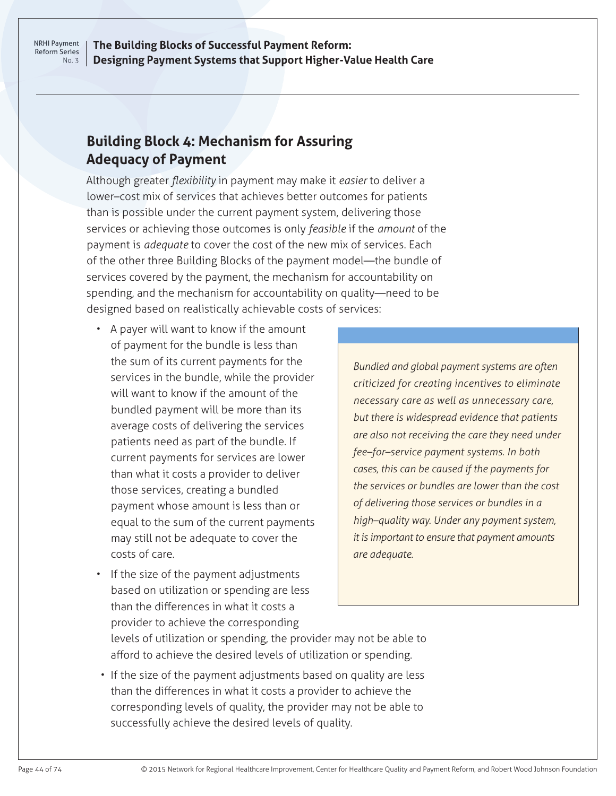**The Building Blocks of Successful Payment Reform: Designing Payment Systems that Support Higher-Value Health Care**

# **Building Block 4: Mechanism for Assuring Adequacy of Payment**

Although greater *flexibility* in payment may make it *easier* to deliver a lower–cost mix of services that achieves better outcomes for patients than is possible under the current payment system, delivering those services or achieving those outcomes is only *feasible* if the *amount* of the payment is *adequate* to cover the cost of the new mix of services. Each of the other three Building Blocks of the payment model—the bundle of services covered by the payment, the mechanism for accountability on spending, and the mechanism for accountability on quality—need to be designed based on realistically achievable costs of services:

- A payer will want to know if the amount of payment for the bundle is less than the sum of its current payments for the services in the bundle, while the provider will want to know if the amount of the bundled payment will be more than its average costs of delivering the services patients need as part of the bundle. If current payments for services are lower than what it costs a provider to deliver those services, creating a bundled payment whose amount is less than or equal to the sum of the current payments may still not be adequate to cover the costs of care.
- If the size of the payment adjustments based on utilization or spending are less than the differences in what it costs a provider to achieve the corresponding

*Bundled and global payment systems are often criticized for creating incentives to eliminate necessary care as well as unnecessary care, but there is widespread evidence that patients are also not receiving the care they need under fee–for–service payment systems. In both cases, this can be caused if the payments for the services or bundles are lower than the cost of delivering those services or bundles in a high–quality way. Under any payment system, it is important to ensure that payment amounts are adequate.* 

levels of utilization or spending, the provider may not be able to afford to achieve the desired levels of utilization or spending.

• If the size of the payment adjustments based on quality are less than the differences in what it costs a provider to achieve the corresponding levels of quality, the provider may not be able to successfully achieve the desired levels of quality.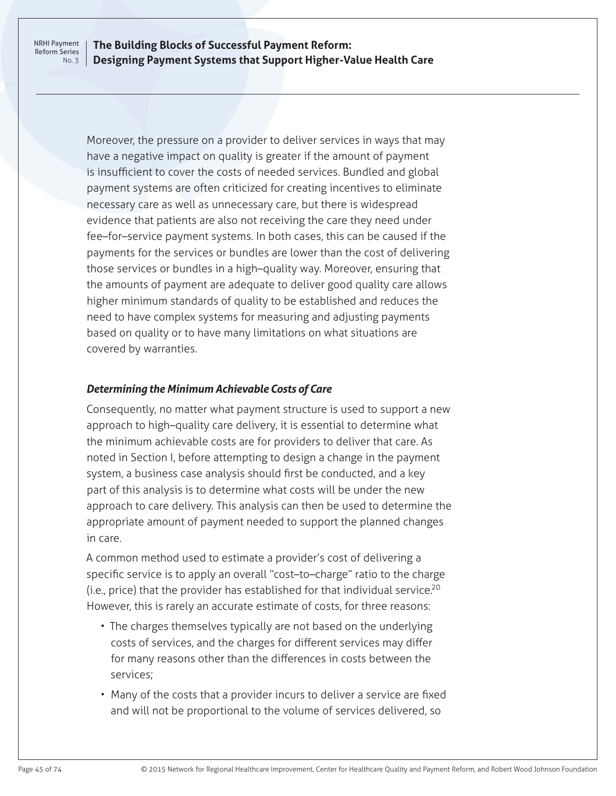**The Building Blocks of Successful Payment Reform: Designing Payment Systems that Support Higher-Value Health Care**

Moreover, the pressure on a provider to deliver services in ways that may have a negative impact on quality is greater if the amount of payment is insufficient to cover the costs of needed services. Bundled and global payment systems are often criticized for creating incentives to eliminate necessary care as well as unnecessary care, but there is widespread evidence that patients are also not receiving the care they need under fee–for–service payment systems. In both cases, this can be caused if the payments for the services or bundles are lower than the cost of delivering those services or bundles in a high–quality way. Moreover, ensuring that the amounts of payment are adequate to deliver good quality care allows higher minimum standards of quality to be established and reduces the need to have complex systems for measuring and adjusting payments based on quality or to have many limitations on what situations are covered by warranties.

### *Determining the Minimum Achievable Costs of Care*

Consequently, no matter what payment structure is used to support a new approach to high–quality care delivery, it is essential to determine what the minimum achievable costs are for providers to deliver that care. As noted in Section I, before attempting to design a change in the payment system, a business case analysis should first be conducted, and a key part of this analysis is to determine what costs will be under the new approach to care delivery. This analysis can then be used to determine the appropriate amount of payment needed to support the planned changes in care.

A common method used to estimate a provider's cost of delivering a specific service is to apply an overall "cost–to–charge" ratio to the charge (i.e., price) that the provider has established for that individual service.20 However, this is rarely an accurate estimate of costs, for three reasons:

- The charges themselves typically are not based on the underlying costs of services, and the charges for different services may differ for many reasons other than the differences in costs between the services;
- Many of the costs that a provider incurs to deliver a service are fixed and will not be proportional to the volume of services delivered, so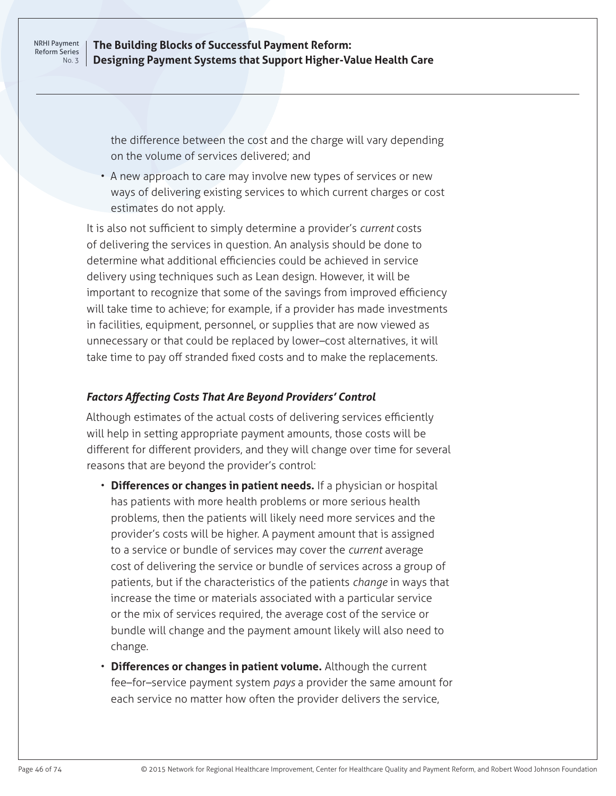### **The Building Blocks of Successful Payment Reform: Designing Payment Systems that Support Higher-Value Health Care**

the difference between the cost and the charge will vary depending on the volume of services delivered; and

• A new approach to care may involve new types of services or new ways of delivering existing services to which current charges or cost estimates do not apply.

It is also not sufficient to simply determine a provider's *current* costs of delivering the services in question. An analysis should be done to determine what additional efficiencies could be achieved in service delivery using techniques such as Lean design. However, it will be important to recognize that some of the savings from improved efficiency will take time to achieve; for example, if a provider has made investments in facilities, equipment, personnel, or supplies that are now viewed as unnecessary or that could be replaced by lower–cost alternatives, it will take time to pay off stranded fixed costs and to make the replacements.

### *Factors Affecting Costs That Are Beyond Providers' Control*

Although estimates of the actual costs of delivering services efficiently will help in setting appropriate payment amounts, those costs will be different for different providers, and they will change over time for several reasons that are beyond the provider's control:

- **Differences or changes in patient needs.** If a physician or hospital has patients with more health problems or more serious health problems, then the patients will likely need more services and the provider's costs will be higher. A payment amount that is assigned to a service or bundle of services may cover the *current* average cost of delivering the service or bundle of services across a group of patients, but if the characteristics of the patients *change* in ways that increase the time or materials associated with a particular service or the mix of services required, the average cost of the service or bundle will change and the payment amount likely will also need to change.
- **Differences or changes in patient volume.** Although the current fee–for–service payment system *pays* a provider the same amount for each service no matter how often the provider delivers the service,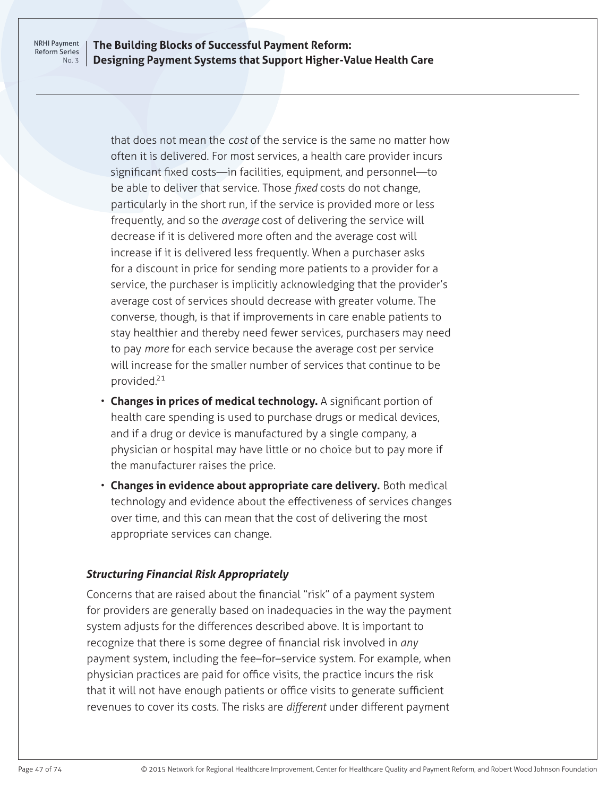## **The Building Blocks of Successful Payment Reform: Designing Payment Systems that Support Higher-Value Health Care**

that does not mean the *cost* of the service is the same no matter how often it is delivered. For most services, a health care provider incurs significant fixed costs—in facilities, equipment, and personnel—to be able to deliver that service. Those *fixed* costs do not change, particularly in the short run, if the service is provided more or less frequently, and so the *average* cost of delivering the service will decrease if it is delivered more often and the average cost will increase if it is delivered less frequently. When a purchaser asks for a discount in price for sending more patients to a provider for a service, the purchaser is implicitly acknowledging that the provider's average cost of services should decrease with greater volume. The converse, though, is that if improvements in care enable patients to stay healthier and thereby need fewer services, purchasers may need to pay *more* for each service because the average cost per service will increase for the smaller number of services that continue to be provided.<sup>21</sup>

- **Changes in prices of medical technology.** A significant portion of health care spending is used to purchase drugs or medical devices, and if a drug or device is manufactured by a single company, a physician or hospital may have little or no choice but to pay more if the manufacturer raises the price.
- **Changes in evidence about appropriate care delivery.** Both medical technology and evidence about the effectiveness of services changes over time, and this can mean that the cost of delivering the most appropriate services can change.

### *Structuring Financial Risk Appropriately*

Concerns that are raised about the financial "risk" of a payment system for providers are generally based on inadequacies in the way the payment system adjusts for the differences described above. It is important to recognize that there is some degree of financial risk involved in *any* payment system, including the fee–for–service system. For example, when physician practices are paid for office visits, the practice incurs the risk that it will not have enough patients or office visits to generate sufficient revenues to cover its costs. The risks are *different* under different payment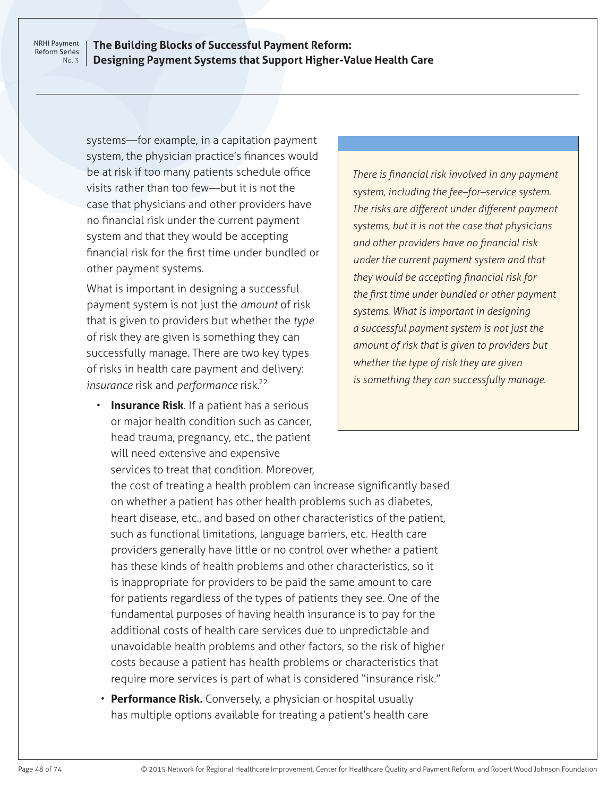systems—for example, in a capitation payment system, the physician practice's finances would be at risk if too many patients schedule office visits rather than too few—but it is not the case that physicians and other providers have no financial risk under the current payment system and that they would be accepting financial risk for the first time under bundled or other payment systems.

What is important in designing a successful payment system is not just the *amount* of risk that is given to providers but whether the *type* of risk they are given is something they can successfully manage. There are two key types of risks in health care payment and delivery: *insurance* risk and *performance* risk.22

• **Insurance Risk**. If a patient has a serious or major health condition such as cancer, head trauma, pregnancy, etc., the patient will need extensive and expensive services to treat that condition. Moreover, *There is financial risk involved in any payment system, including the fee–for–service system. The risks are different under different payment systems, but it is not the case that physicians and other providers have no financial risk under the current payment system and that they would be accepting financial risk for the first time under bundled or other payment systems. What is important in designing a successful payment system is not just the amount of risk that is given to providers but whether the type of risk they are given is something they can successfully manage.* 

the cost of treating a health problem can increase significantly based on whether a patient has other health problems such as diabetes, heart disease, etc., and based on other characteristics of the patient, such as functional limitations, language barriers, etc. Health care providers generally have little or no control over whether a patient has these kinds of health problems and other characteristics, so it is inappropriate for providers to be paid the same amount to care for patients regardless of the types of patients they see. One of the fundamental purposes of having health insurance is to pay for the additional costs of health care services due to unpredictable and unavoidable health problems and other factors, so the risk of higher costs because a patient has health problems or characteristics that require more services is part of what is considered "insurance risk."

• **Performance Risk.** Conversely, a physician or hospital usually has multiple options available for treating a patient's health care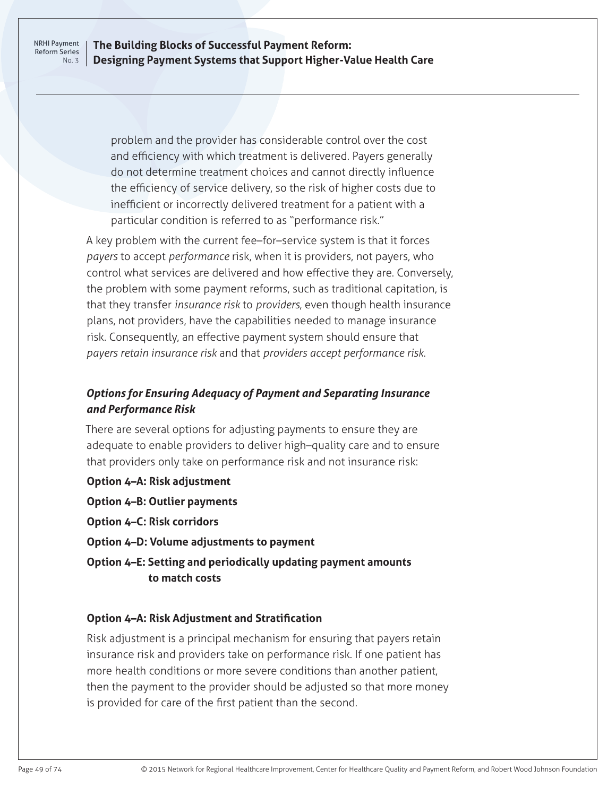**The Building Blocks of Successful Payment Reform: Designing Payment Systems that Support Higher-Value Health Care**

problem and the provider has considerable control over the cost and efficiency with which treatment is delivered. Payers generally do not determine treatment choices and cannot directly influence the efficiency of service delivery, so the risk of higher costs due to inefficient or incorrectly delivered treatment for a patient with a particular condition is referred to as "performance risk."

A key problem with the current fee–for–service system is that it forces *payers* to accept *performance* risk, when it is providers, not payers, who control what services are delivered and how effective they are. Conversely, the problem with some payment reforms, such as traditional capitation, is that they transfer *insurance risk* to *providers*, even though health insurance plans, not providers, have the capabilities needed to manage insurance risk. Consequently, an effective payment system should ensure that *payers retain insurance risk* and that *providers accept performance risk*.

# *Options for Ensuring Adequacy of Payment and Separating Insurance and Performance Risk*

There are several options for adjusting payments to ensure they are adequate to enable providers to deliver high–quality care and to ensure that providers only take on performance risk and not insurance risk:

- **Option 4–A: Risk adjustment**
- **Option 4–B: Outlier payments**
- **Option 4–C: Risk corridors**
- **Option 4–D: Volume adjustments to payment**
- **Option 4–E: Setting and periodically updating payment amounts to match costs**

### **Option 4–A: Risk Adjustment and Stratification**

Risk adjustment is a principal mechanism for ensuring that payers retain insurance risk and providers take on performance risk. If one patient has more health conditions or more severe conditions than another patient, then the payment to the provider should be adjusted so that more money is provided for care of the first patient than the second.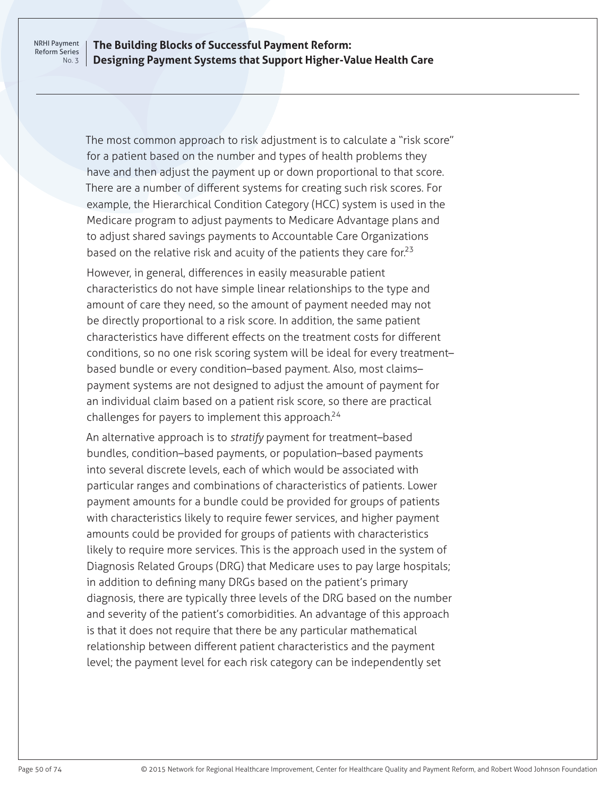### **The Building Blocks of Successful Payment Reform: Designing Payment Systems that Support Higher-Value Health Care**

The most common approach to risk adjustment is to calculate a "risk score" for a patient based on the number and types of health problems they have and then adjust the payment up or down proportional to that score. There are a number of different systems for creating such risk scores. For example, the Hierarchical Condition Category (HCC) system is used in the Medicare program to adjust payments to Medicare Advantage plans and to adjust shared savings payments to Accountable Care Organizations based on the relative risk and acuity of the patients they care for.<sup>23</sup>

However, in general, differences in easily measurable patient characteristics do not have simple linear relationships to the type and amount of care they need, so the amount of payment needed may not be directly proportional to a risk score. In addition, the same patient characteristics have different effects on the treatment costs for different conditions, so no one risk scoring system will be ideal for every treatment– based bundle or every condition–based payment. Also, most claims– payment systems are not designed to adjust the amount of payment for an individual claim based on a patient risk score, so there are practical challenges for payers to implement this approach.<sup>24</sup>

An alternative approach is to *stratify* payment for treatment–based bundles, condition–based payments, or population–based payments into several discrete levels, each of which would be associated with particular ranges and combinations of characteristics of patients. Lower payment amounts for a bundle could be provided for groups of patients with characteristics likely to require fewer services, and higher payment amounts could be provided for groups of patients with characteristics likely to require more services. This is the approach used in the system of Diagnosis Related Groups (DRG) that Medicare uses to pay large hospitals; in addition to defining many DRGs based on the patient's primary diagnosis, there are typically three levels of the DRG based on the number and severity of the patient's comorbidities. An advantage of this approach is that it does not require that there be any particular mathematical relationship between different patient characteristics and the payment level; the payment level for each risk category can be independently set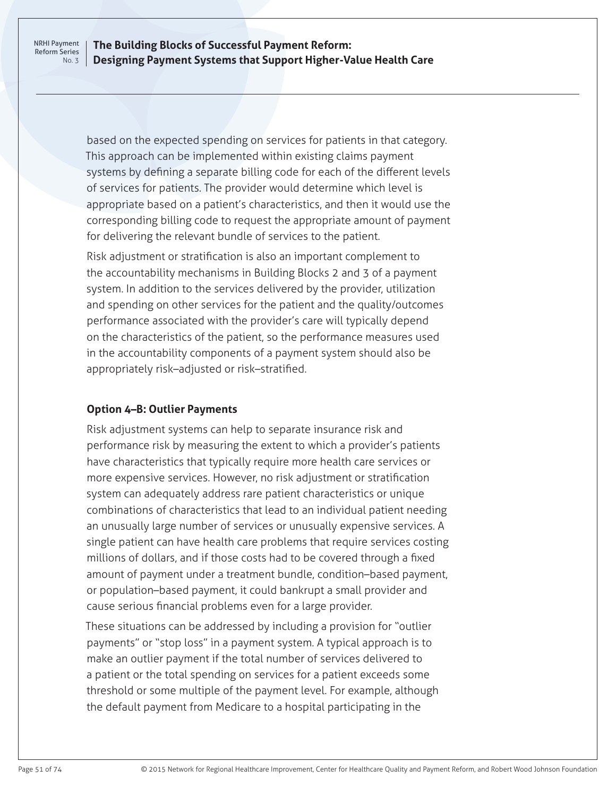### **The Building Blocks of Successful Payment Reform: Designing Payment Systems that Support Higher-Value Health Care**

based on the expected spending on services for patients in that category. This approach can be implemented within existing claims payment systems by defining a separate billing code for each of the different levels of services for patients. The provider would determine which level is appropriate based on a patient's characteristics, and then it would use the corresponding billing code to request the appropriate amount of payment for delivering the relevant bundle of services to the patient.

Risk adjustment or stratification is also an important complement to the accountability mechanisms in Building Blocks 2 and 3 of a payment system. In addition to the services delivered by the provider, utilization and spending on other services for the patient and the quality/outcomes performance associated with the provider's care will typically depend on the characteristics of the patient, so the performance measures used in the accountability components of a payment system should also be appropriately risk–adjusted or risk–stratified.

### **Option 4–B: Outlier Payments**

Risk adjustment systems can help to separate insurance risk and performance risk by measuring the extent to which a provider's patients have characteristics that typically require more health care services or more expensive services. However, no risk adjustment or stratification system can adequately address rare patient characteristics or unique combinations of characteristics that lead to an individual patient needing an unusually large number of services or unusually expensive services. A single patient can have health care problems that require services costing millions of dollars, and if those costs had to be covered through a fixed amount of payment under a treatment bundle, condition–based payment, or population–based payment, it could bankrupt a small provider and cause serious financial problems even for a large provider.

These situations can be addressed by including a provision for "outlier payments" or "stop loss" in a payment system. A typical approach is to make an outlier payment if the total number of services delivered to a patient or the total spending on services for a patient exceeds some threshold or some multiple of the payment level. For example, although the default payment from Medicare to a hospital participating in the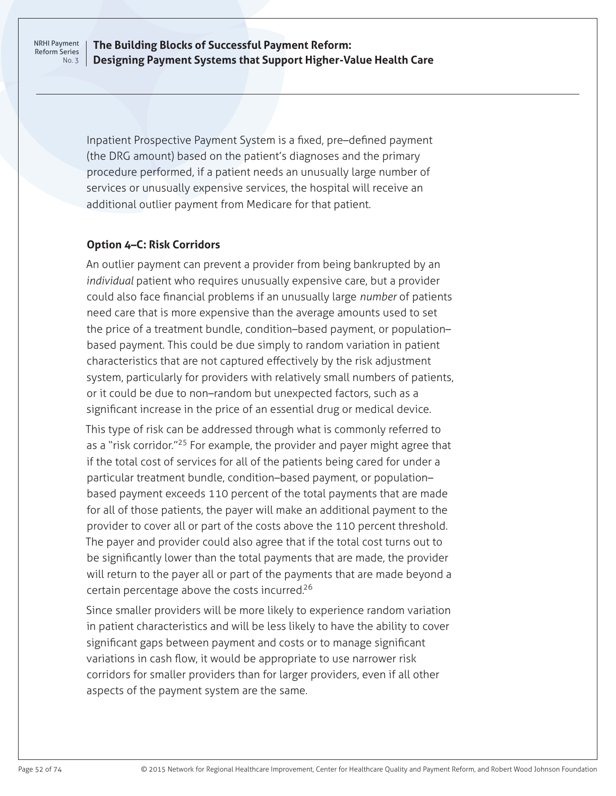### **The Building Blocks of Successful Payment Reform: Designing Payment Systems that Support Higher-Value Health Care**

Inpatient Prospective Payment System is a fixed, pre–defined payment (the DRG amount) based on the patient's diagnoses and the primary procedure performed, if a patient needs an unusually large number of services or unusually expensive services, the hospital will receive an additional outlier payment from Medicare for that patient.

### **Option 4–C: Risk Corridors**

An outlier payment can prevent a provider from being bankrupted by an *individual* patient who requires unusually expensive care, but a provider could also face financial problems if an unusually large *number* of patients need care that is more expensive than the average amounts used to set the price of a treatment bundle, condition–based payment, or population– based payment. This could be due simply to random variation in patient characteristics that are not captured effectively by the risk adjustment system, particularly for providers with relatively small numbers of patients, or it could be due to non–random but unexpected factors, such as a significant increase in the price of an essential drug or medical device.

This type of risk can be addressed through what is commonly referred to as a "risk corridor."<sup>25</sup> For example, the provider and payer might agree that if the total cost of services for all of the patients being cared for under a particular treatment bundle, condition–based payment, or population– based payment exceeds 110 percent of the total payments that are made for all of those patients, the payer will make an additional payment to the provider to cover all or part of the costs above the 110 percent threshold. The payer and provider could also agree that if the total cost turns out to be significantly lower than the total payments that are made, the provider will return to the payer all or part of the payments that are made beyond a certain percentage above the costs incurred.26

Since smaller providers will be more likely to experience random variation in patient characteristics and will be less likely to have the ability to cover significant gaps between payment and costs or to manage significant variations in cash flow, it would be appropriate to use narrower risk corridors for smaller providers than for larger providers, even if all other aspects of the payment system are the same.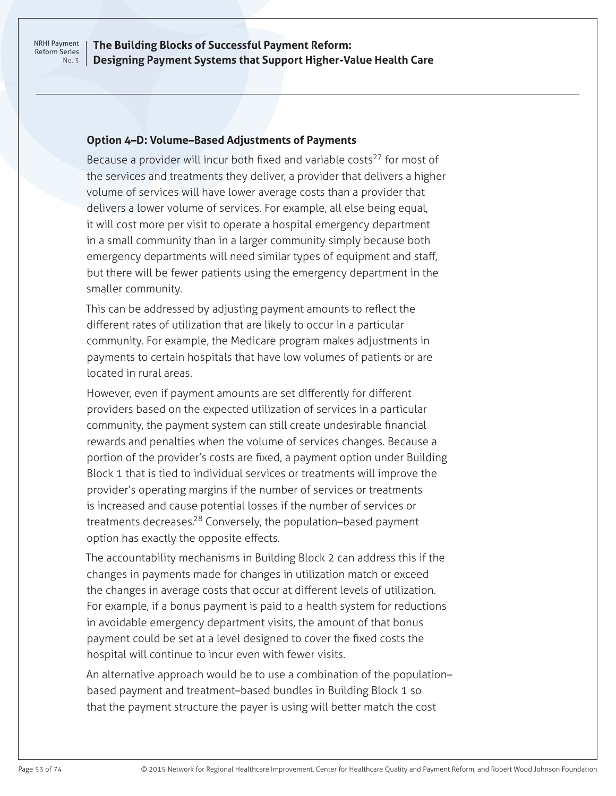**The Building Blocks of Successful Payment Reform: Designing Payment Systems that Support Higher-Value Health Care**

### **Option 4–D: Volume–Based Adjustments of Payments**

Because a provider will incur both fixed and variable costs<sup>27</sup> for most of the services and treatments they deliver, a provider that delivers a higher volume of services will have lower average costs than a provider that delivers a lower volume of services. For example, all else being equal, it will cost more per visit to operate a hospital emergency department in a small community than in a larger community simply because both emergency departments will need similar types of equipment and staff, but there will be fewer patients using the emergency department in the smaller community.

This can be addressed by adjusting payment amounts to reflect the different rates of utilization that are likely to occur in a particular community. For example, the Medicare program makes adjustments in payments to certain hospitals that have low volumes of patients or are located in rural areas.

However, even if payment amounts are set differently for different providers based on the expected utilization of services in a particular community, the payment system can still create undesirable financial rewards and penalties when the volume of services changes. Because a portion of the provider's costs are fixed, a payment option under Building Block 1 that is tied to individual services or treatments will improve the provider's operating margins if the number of services or treatments is increased and cause potential losses if the number of services or treatments decreases.<sup>28</sup> Conversely, the population-based payment option has exactly the opposite effects.

The accountability mechanisms in Building Block 2 can address this if the changes in payments made for changes in utilization match or exceed the changes in average costs that occur at different levels of utilization. For example, if a bonus payment is paid to a health system for reductions in avoidable emergency department visits, the amount of that bonus payment could be set at a level designed to cover the fixed costs the hospital will continue to incur even with fewer visits.

An alternative approach would be to use a combination of the population– based payment and treatment–based bundles in Building Block 1 so that the payment structure the payer is using will better match the cost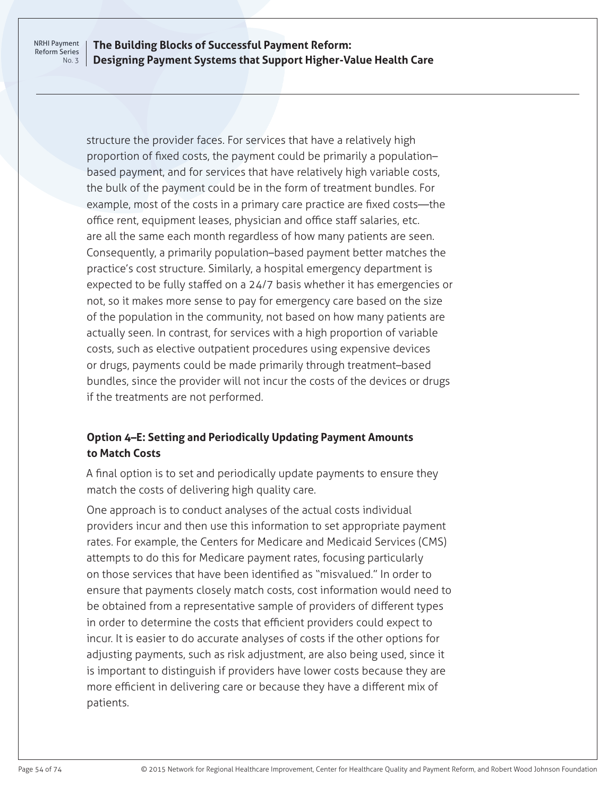**The Building Blocks of Successful Payment Reform: Designing Payment Systems that Support Higher-Value Health Care**

structure the provider faces. For services that have a relatively high proportion of fixed costs, the payment could be primarily a population– based payment, and for services that have relatively high variable costs, the bulk of the payment could be in the form of treatment bundles. For example, most of the costs in a primary care practice are fixed costs—the office rent, equipment leases, physician and office staff salaries, etc. are all the same each month regardless of how many patients are seen. Consequently, a primarily population–based payment better matches the practice's cost structure. Similarly, a hospital emergency department is expected to be fully staffed on a 24/7 basis whether it has emergencies or not, so it makes more sense to pay for emergency care based on the size of the population in the community, not based on how many patients are actually seen. In contrast, for services with a high proportion of variable costs, such as elective outpatient procedures using expensive devices or drugs, payments could be made primarily through treatment–based bundles, since the provider will not incur the costs of the devices or drugs if the treatments are not performed.

# **Option 4–E: Setting and Periodically Updating Payment Amounts to Match Costs**

A final option is to set and periodically update payments to ensure they match the costs of delivering high quality care.

One approach is to conduct analyses of the actual costs individual providers incur and then use this information to set appropriate payment rates. For example, the Centers for Medicare and Medicaid Services (CMS) attempts to do this for Medicare payment rates, focusing particularly on those services that have been identified as "misvalued." In order to ensure that payments closely match costs, cost information would need to be obtained from a representative sample of providers of different types in order to determine the costs that efficient providers could expect to incur. It is easier to do accurate analyses of costs if the other options for adjusting payments, such as risk adjustment, are also being used, since it is important to distinguish if providers have lower costs because they are more efficient in delivering care or because they have a different mix of patients.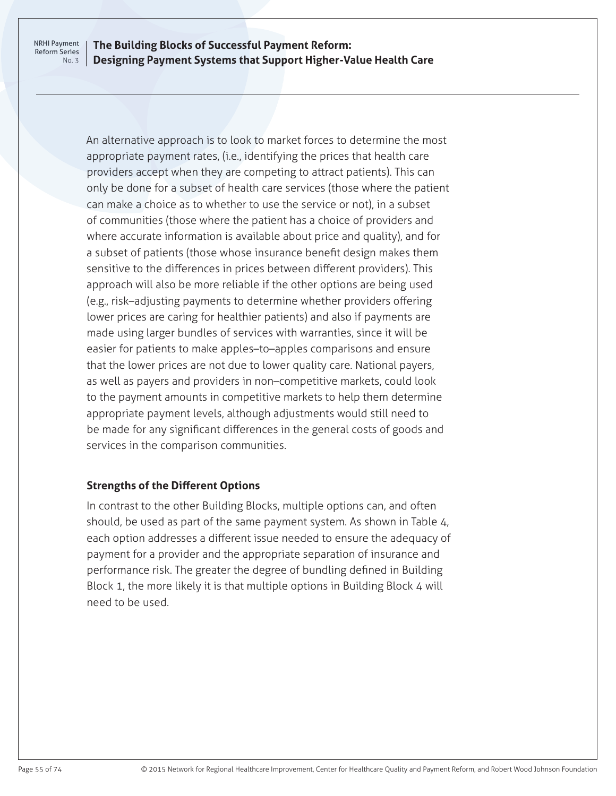### **The Building Blocks of Successful Payment Reform: Designing Payment Systems that Support Higher-Value Health Care**

An alternative approach is to look to market forces to determine the most appropriate payment rates, (i.e., identifying the prices that health care providers accept when they are competing to attract patients). This can only be done for a subset of health care services (those where the patient can make a choice as to whether to use the service or not), in a subset of communities (those where the patient has a choice of providers and where accurate information is available about price and quality), and for a subset of patients (those whose insurance benefit design makes them sensitive to the differences in prices between different providers). This approach will also be more reliable if the other options are being used (e.g., risk–adjusting payments to determine whether providers offering lower prices are caring for healthier patients) and also if payments are made using larger bundles of services with warranties, since it will be easier for patients to make apples–to–apples comparisons and ensure that the lower prices are not due to lower quality care. National payers, as well as payers and providers in non–competitive markets, could look to the payment amounts in competitive markets to help them determine appropriate payment levels, although adjustments would still need to be made for any significant differences in the general costs of goods and services in the comparison communities.

### **Strengths of the Different Options**

In contrast to the other Building Blocks, multiple options can, and often should, be used as part of the same payment system. As shown in Table 4, each option addresses a different issue needed to ensure the adequacy of payment for a provider and the appropriate separation of insurance and performance risk. The greater the degree of bundling defined in Building Block 1, the more likely it is that multiple options in Building Block 4 will need to be used.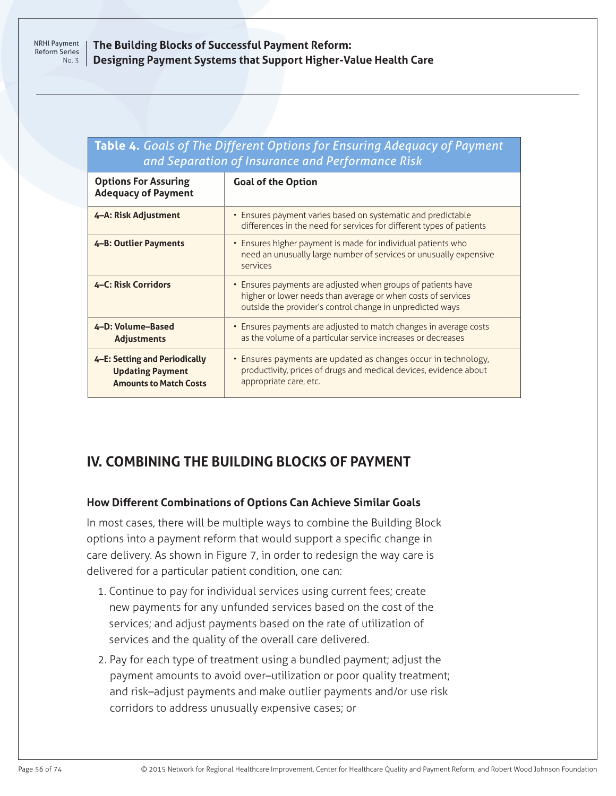## **The Building Blocks of Successful Payment Reform: Designing Payment Systems that Support Higher-Value Health Care**

# **Table 4.** *Goals of The Different Options for Ensuring Adequacy of Payment and Separation of Insurance and Performance Risk*

| <b>Options For Assuring</b><br><b>Adequacy of Payment</b>                                 | <b>Goal of the Option</b>                                                                                                                                                                 |
|-------------------------------------------------------------------------------------------|-------------------------------------------------------------------------------------------------------------------------------------------------------------------------------------------|
| 4-A: Risk Adjustment                                                                      | • Ensures payment varies based on systematic and predictable<br>differences in the need for services for different types of patients                                                      |
| 4-B: Outlier Payments                                                                     | • Ensures higher payment is made for individual patients who<br>need an unusually large number of services or unusually expensive<br>services                                             |
| 4–C: Risk Corridors                                                                       | • Ensures payments are adjusted when groups of patients have<br>higher or lower needs than average or when costs of services<br>outside the provider's control change in unpredicted ways |
| 4-D: Volume-Based<br><b>Adjustments</b>                                                   | • Ensures payments are adjusted to match changes in average costs<br>as the volume of a particular service increases or decreases                                                         |
| 4–E: Setting and Periodically<br><b>Updating Payment</b><br><b>Amounts to Match Costs</b> | • Ensures payments are updated as changes occur in technology,<br>productivity, prices of drugs and medical devices, evidence about<br>appropriate care, etc.                             |

# **IV. COMBINING THE BUILDING BLOCKS OF PAYMENT**

## **How Different Combinations of Options Can Achieve Similar Goals**

In most cases, there will be multiple ways to combine the Building Block options into a payment reform that would support a specific change in care delivery. As shown in Figure 7, in order to redesign the way care is delivered for a particular patient condition, one can:

- 1. Continue to pay for individual services using current fees; create new payments for any unfunded services based on the cost of the services; and adjust payments based on the rate of utilization of services and the quality of the overall care delivered.
- 2. Pay for each type of treatment using a bundled payment; adjust the payment amounts to avoid over–utilization or poor quality treatment; and risk–adjust payments and make outlier payments and/or use risk corridors to address unusually expensive cases; or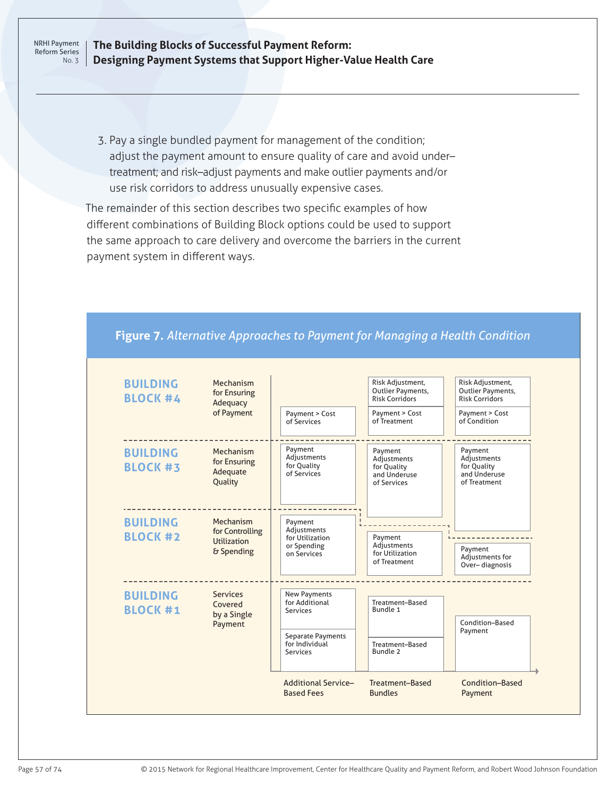**The Building Blocks of Successful Payment Reform: Designing Payment Systems that Support Higher-Value Health Care**

3. Pay a single bundled payment for management of the condition; adjust the payment amount to ensure quality of care and avoid under– treatment; and risk–adjust payments and make outlier payments and/or use risk corridors to address unusually expensive cases.

The remainder of this section describes two specific examples of how different combinations of Building Block options could be used to support the same approach to care delivery and overcome the barriers in the current payment system in different ways.



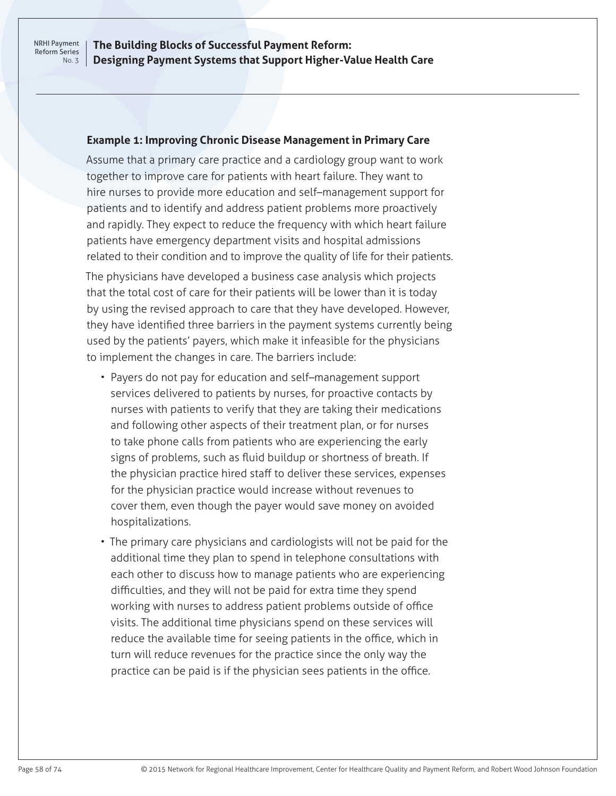**The Building Blocks of Successful Payment Reform: Designing Payment Systems that Support Higher-Value Health Care**

#### **Example 1: Improving Chronic Disease Management in Primary Care**

Assume that a primary care practice and a cardiology group want to work together to improve care for patients with heart failure. They want to hire nurses to provide more education and self–management support for patients and to identify and address patient problems more proactively and rapidly. They expect to reduce the frequency with which heart failure patients have emergency department visits and hospital admissions related to their condition and to improve the quality of life for their patients.

The physicians have developed a business case analysis which projects that the total cost of care for their patients will be lower than it is today by using the revised approach to care that they have developed. However, they have identified three barriers in the payment systems currently being used by the patients' payers, which make it infeasible for the physicians to implement the changes in care. The barriers include:

- Payers do not pay for education and self–management support services delivered to patients by nurses, for proactive contacts by nurses with patients to verify that they are taking their medications and following other aspects of their treatment plan, or for nurses to take phone calls from patients who are experiencing the early signs of problems, such as fluid buildup or shortness of breath. If the physician practice hired staff to deliver these services, expenses for the physician practice would increase without revenues to cover them, even though the payer would save money on avoided hospitalizations.
- The primary care physicians and cardiologists will not be paid for the additional time they plan to spend in telephone consultations with each other to discuss how to manage patients who are experiencing difficulties, and they will not be paid for extra time they spend working with nurses to address patient problems outside of office visits. The additional time physicians spend on these services will reduce the available time for seeing patients in the office, which in turn will reduce revenues for the practice since the only way the practice can be paid is if the physician sees patients in the office.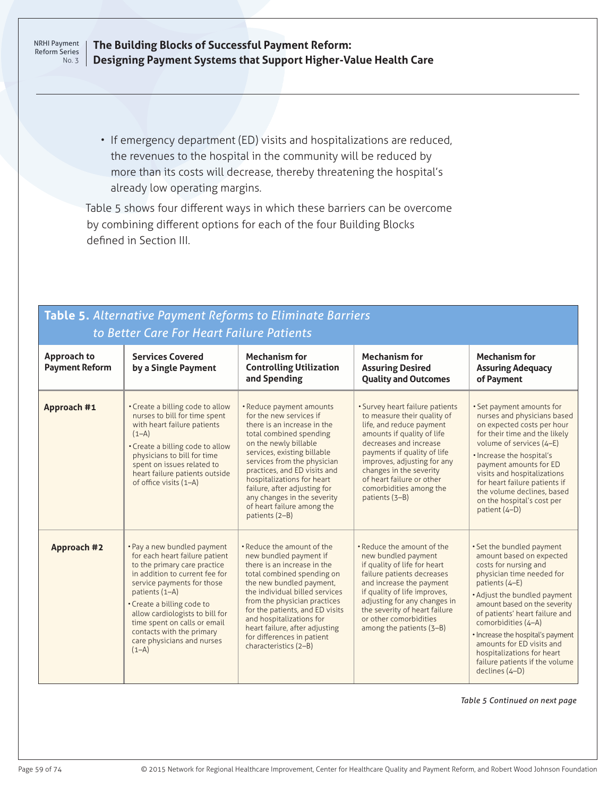### **The Building Blocks of Successful Payment Reform: Designing Payment Systems that Support Higher-Value Health Care**

• If emergency department (ED) visits and hospitalizations are reduced, the revenues to the hospital in the community will be reduced by more than its costs will decrease, thereby threatening the hospital's already low operating margins.

Table 5 shows four different ways in which these barriers can be overcome by combining different options for each of the four Building Blocks defined in Section III.

| to Better Care For Heart Failure Patients   |                                                                                                                                                                                                                                                                                                                                                        |                                                                                                                                                                                                                                                                                                                                                                                   |                                                                                                                                                                                                                                                                                                                       |                                                                                                                                                                                                                                                                                                                                                                                                            |
|---------------------------------------------|--------------------------------------------------------------------------------------------------------------------------------------------------------------------------------------------------------------------------------------------------------------------------------------------------------------------------------------------------------|-----------------------------------------------------------------------------------------------------------------------------------------------------------------------------------------------------------------------------------------------------------------------------------------------------------------------------------------------------------------------------------|-----------------------------------------------------------------------------------------------------------------------------------------------------------------------------------------------------------------------------------------------------------------------------------------------------------------------|------------------------------------------------------------------------------------------------------------------------------------------------------------------------------------------------------------------------------------------------------------------------------------------------------------------------------------------------------------------------------------------------------------|
| <b>Approach to</b><br><b>Payment Reform</b> | <b>Services Covered</b><br>by a Single Payment                                                                                                                                                                                                                                                                                                         | <b>Mechanism for</b><br><b>Controlling Utilization</b><br>and Spending                                                                                                                                                                                                                                                                                                            | <b>Mechanism for</b><br><b>Assuring Desired</b><br><b>Quality and Outcomes</b>                                                                                                                                                                                                                                        | <b>Mechanism for</b><br><b>Assuring Adequacy</b><br>of Payment                                                                                                                                                                                                                                                                                                                                             |
| Approach #1                                 | • Create a billing code to allow<br>nurses to bill for time spent<br>with heart failure patients<br>$(1-A)$<br>• Create a billing code to allow<br>physicians to bill for time<br>spent on issues related to<br>heart failure patients outside<br>of office visits (1-A)                                                                               | • Reduce payment amounts<br>for the new services if<br>there is an increase in the<br>total combined spending<br>on the newly billable<br>services, existing billable<br>services from the physician<br>practices, and ED visits and<br>hospitalizations for heart<br>failure, after adjusting for<br>any changes in the severity<br>of heart failure among the<br>patients (2-B) | • Survey heart failure patients<br>to measure their quality of<br>life, and reduce payment<br>amounts if quality of life<br>decreases and increase<br>payments if quality of life<br>improves, adjusting for any<br>changes in the severity<br>of heart failure or other<br>comorbidities among the<br>patients (3-B) | • Set payment amounts for<br>nurses and physicians based<br>on expected costs per hour<br>for their time and the likely<br>volume of services (4-E)<br>. Increase the hospital's<br>payment amounts for ED<br>visits and hospitalizations<br>for heart failure patients if<br>the volume declines, based<br>on the hospital's cost per<br>patient (4-D)                                                    |
| Approach #2                                 | • Pay a new bundled payment<br>for each heart failure patient<br>to the primary care practice<br>in addition to current fee for<br>service payments for those<br>patients (1-A)<br>• Create a billing code to<br>allow cardiologists to bill for<br>time spent on calls or email<br>contacts with the primary<br>care physicians and nurses<br>$(1-A)$ | . Reduce the amount of the<br>new bundled payment if<br>there is an increase in the<br>total combined spending on<br>the new bundled payment,<br>the individual billed services<br>from the physician practices<br>for the patients, and ED visits<br>and hospitalizations for<br>heart failure, after adjusting<br>for differences in patient<br>characteristics (2-B)           | . Reduce the amount of the<br>new bundled payment<br>if quality of life for heart<br>failure patients decreases<br>and increase the payment<br>if quality of life improves,<br>adjusting for any changes in<br>the severity of heart failure<br>or other comorbidities<br>among the patients (3-B)                    | . Set the bundled payment<br>amount based on expected<br>costs for nursing and<br>physician time needed for<br>patients (4-E)<br>. Adjust the bundled payment<br>amount based on the severity<br>of patients' heart failure and<br>comorbidities (4-A)<br>• Increase the hospital's payment<br>amounts for ED visits and<br>hospitalizations for heart<br>failure patients if the volume<br>declines (4-D) |

# **Table 5.** *Alternative Payment Reforms to Eliminate Barriers*

*Table 5 Continued on next page*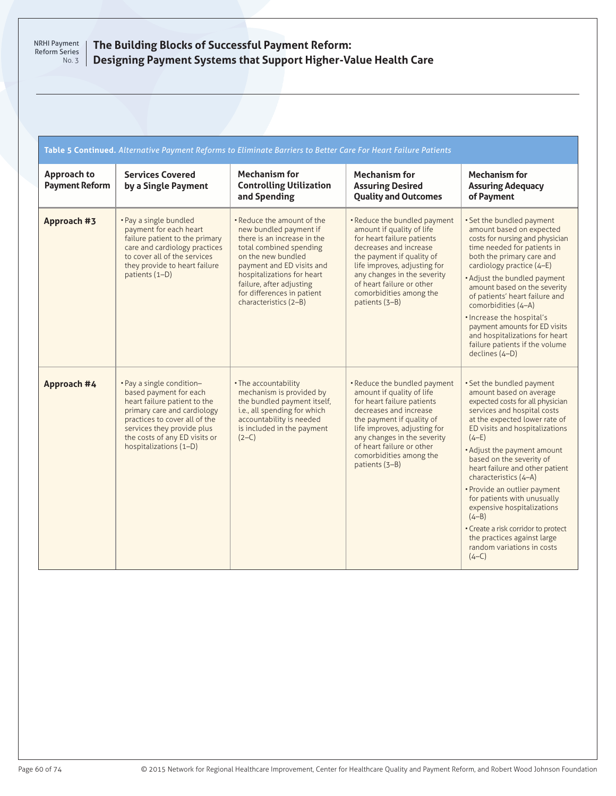### **The Building Blocks of Successful Payment Reform: Designing Payment Systems that Support Higher-Value Health Care**

| Table 5 Continued. Alternative Payment Reforms to Eliminate Barriers to Better Care For Heart Failure Patients |                                                                                                                                                                                                                                              |                                                                                                                                                                                                                                                                                    |                                                                                                                                                                                                                                                                                         |                                                                                                                                                                                                                                                                                                                                                                                                                                                                                                                                                     |  |
|----------------------------------------------------------------------------------------------------------------|----------------------------------------------------------------------------------------------------------------------------------------------------------------------------------------------------------------------------------------------|------------------------------------------------------------------------------------------------------------------------------------------------------------------------------------------------------------------------------------------------------------------------------------|-----------------------------------------------------------------------------------------------------------------------------------------------------------------------------------------------------------------------------------------------------------------------------------------|-----------------------------------------------------------------------------------------------------------------------------------------------------------------------------------------------------------------------------------------------------------------------------------------------------------------------------------------------------------------------------------------------------------------------------------------------------------------------------------------------------------------------------------------------------|--|
| <b>Approach to</b><br><b>Payment Reform</b>                                                                    | <b>Services Covered</b><br>by a Single Payment                                                                                                                                                                                               | <b>Mechanism for</b><br><b>Controlling Utilization</b><br>and Spending                                                                                                                                                                                                             | <b>Mechanism for</b><br><b>Assuring Desired</b><br><b>Quality and Outcomes</b>                                                                                                                                                                                                          | <b>Mechanism for</b><br><b>Assuring Adequacy</b><br>of Payment                                                                                                                                                                                                                                                                                                                                                                                                                                                                                      |  |
| Approach #3                                                                                                    | • Pay a single bundled<br>payment for each heart<br>failure patient to the primary<br>care and cardiology practices<br>to cover all of the services<br>they provide to heart failure<br>patients (1-D)                                       | . Reduce the amount of the<br>new bundled payment if<br>there is an increase in the<br>total combined spending<br>on the new bundled<br>payment and ED visits and<br>hospitalizations for heart<br>failure, after adjusting<br>for differences in patient<br>characteristics (2-B) | . Reduce the bundled payment<br>amount if quality of life<br>for heart failure patients<br>decreases and increase<br>the payment if quality of<br>life improves, adjusting for<br>any changes in the severity<br>of heart failure or other<br>comorbidities among the<br>patients (3-B) | . Set the bundled payment<br>amount based on expected<br>costs for nursing and physician<br>time needed for patients in<br>both the primary care and<br>cardiology practice (4-E)<br>. Adjust the bundled payment<br>amount based on the severity<br>of patients' heart failure and<br>comorbidities (4-A)<br>. Increase the hospital's<br>payment amounts for ED visits<br>and hospitalizations for heart<br>failure patients if the volume<br>declines (4-D)                                                                                      |  |
| Approach #4                                                                                                    | • Pay a single condition-<br>based payment for each<br>heart failure patient to the<br>primary care and cardiology<br>practices to cover all of the<br>services they provide plus<br>the costs of any ED visits or<br>hospitalizations (1-D) | • The accountability<br>mechanism is provided by<br>the bundled payment itself,<br>i.e., all spending for which<br>accountability is needed<br>is included in the payment<br>$(2-C)$                                                                                               | • Reduce the bundled payment<br>amount if quality of life<br>for heart failure patients<br>decreases and increase<br>the payment if quality of<br>life improves, adjusting for<br>any changes in the severity<br>of heart failure or other<br>comorbidities among the<br>patients (3-B) | . Set the bundled payment<br>amount based on average<br>expected costs for all physician<br>services and hospital costs<br>at the expected lower rate of<br>ED visits and hospitalizations<br>$(4-E)$<br>• Adjust the payment amount<br>based on the severity of<br>heart failure and other patient<br>characteristics (4-A)<br>• Provide an outlier payment<br>for patients with unusually<br>expensive hospitalizations<br>$(4-B)$<br>• Create a risk corridor to protect<br>the practices against large<br>random variations in costs<br>$(4-C)$ |  |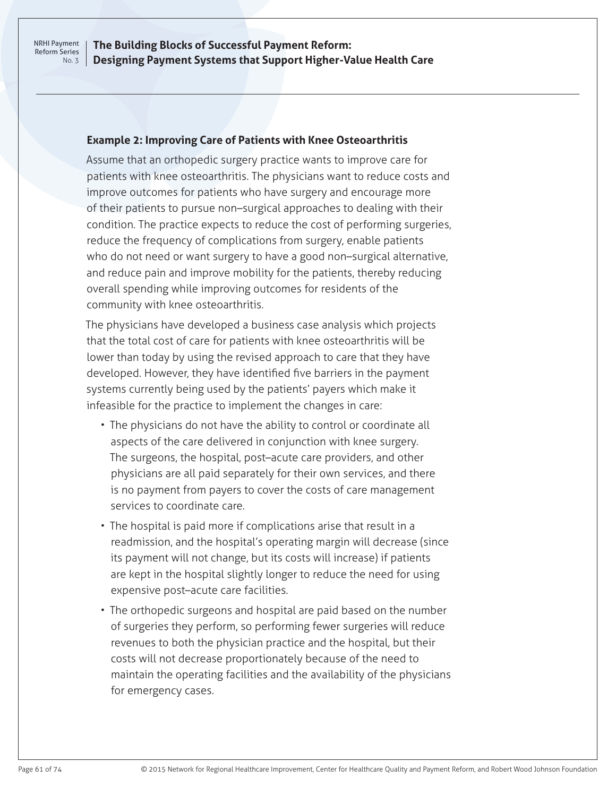**The Building Blocks of Successful Payment Reform: Designing Payment Systems that Support Higher-Value Health Care**

### **Example 2: Improving Care of Patients with Knee Osteoarthritis**

Assume that an orthopedic surgery practice wants to improve care for patients with knee osteoarthritis. The physicians want to reduce costs and improve outcomes for patients who have surgery and encourage more of their patients to pursue non–surgical approaches to dealing with their condition. The practice expects to reduce the cost of performing surgeries, reduce the frequency of complications from surgery, enable patients who do not need or want surgery to have a good non–surgical alternative, and reduce pain and improve mobility for the patients, thereby reducing overall spending while improving outcomes for residents of the community with knee osteoarthritis.

The physicians have developed a business case analysis which projects that the total cost of care for patients with knee osteoarthritis will be lower than today by using the revised approach to care that they have developed. However, they have identified five barriers in the payment systems currently being used by the patients' payers which make it infeasible for the practice to implement the changes in care:

- The physicians do not have the ability to control or coordinate all aspects of the care delivered in conjunction with knee surgery. The surgeons, the hospital, post–acute care providers, and other physicians are all paid separately for their own services, and there is no payment from payers to cover the costs of care management services to coordinate care.
- The hospital is paid more if complications arise that result in a readmission, and the hospital's operating margin will decrease (since its payment will not change, but its costs will increase) if patients are kept in the hospital slightly longer to reduce the need for using expensive post–acute care facilities.
- The orthopedic surgeons and hospital are paid based on the number of surgeries they perform, so performing fewer surgeries will reduce revenues to both the physician practice and the hospital, but their costs will not decrease proportionately because of the need to maintain the operating facilities and the availability of the physicians for emergency cases.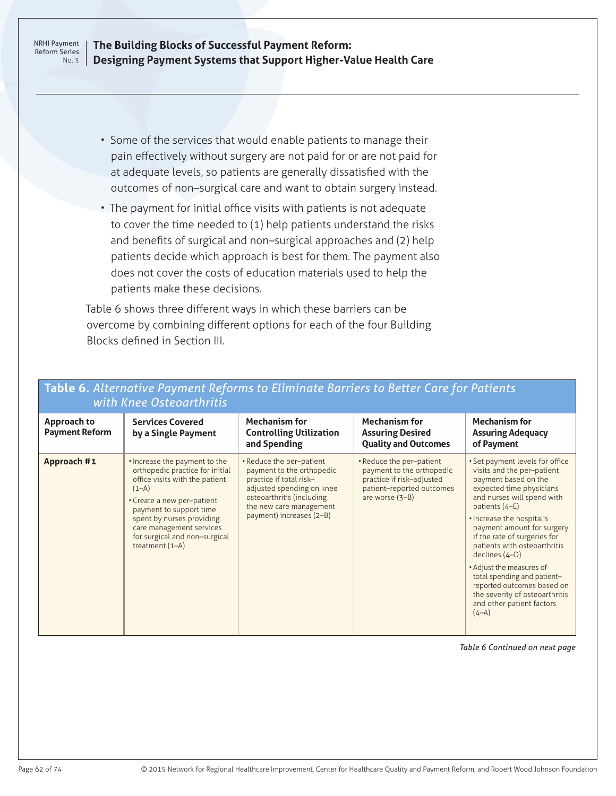**The Building Blocks of Successful Payment Reform: Designing Payment Systems that Support Higher-Value Health Care**

• Some of the services that would enable patients to manage their pain effectively without surgery are not paid for or are not paid for at adequate levels, so patients are generally dissatisfied with the outcomes of non–surgical care and want to obtain surgery instead.

• The payment for initial office visits with patients is not adequate to cover the time needed to (1) help patients understand the risks and benefits of surgical and non–surgical approaches and (2) help patients decide which approach is best for them. The payment also does not cover the costs of education materials used to help the patients make these decisions.

Table 6 shows three different ways in which these barriers can be overcome by combining different options for each of the four Building Blocks defined in Section III.

**Table 6.** *Alternative Payment Reforms to Eliminate Barriers to Better Care for Patients* 

| with Knee Osteoarthritis                    |                                                                                                                                                                                                                                                                                       |                                                                                                                                                                                                   |                                                                                                                                      |                                                                                                                                                                                                                                                                                                                                                                                                                                                                                   |  |
|---------------------------------------------|---------------------------------------------------------------------------------------------------------------------------------------------------------------------------------------------------------------------------------------------------------------------------------------|---------------------------------------------------------------------------------------------------------------------------------------------------------------------------------------------------|--------------------------------------------------------------------------------------------------------------------------------------|-----------------------------------------------------------------------------------------------------------------------------------------------------------------------------------------------------------------------------------------------------------------------------------------------------------------------------------------------------------------------------------------------------------------------------------------------------------------------------------|--|
| <b>Approach to</b><br><b>Payment Reform</b> | <b>Services Covered</b><br>by a Single Payment                                                                                                                                                                                                                                        | <b>Mechanism for</b><br><b>Controlling Utilization</b><br>and Spending                                                                                                                            | <b>Mechanism for</b><br><b>Assuring Desired</b><br><b>Quality and Outcomes</b>                                                       | <b>Mechanism for</b><br><b>Assuring Adequacy</b><br>of Payment                                                                                                                                                                                                                                                                                                                                                                                                                    |  |
| Approach #1                                 | . Increase the payment to the<br>orthopedic practice for initial<br>office visits with the patient<br>$(1-A)$<br>• Create a new per-patient<br>payment to support time<br>spent by nurses providing<br>care management services<br>for surgical and non-surgical<br>treatment $(1-A)$ | • Reduce the per-patient<br>payment to the orthopedic<br>practice if total risk-<br>adjusted spending on knee<br>osteoarthritis (including<br>the new care management<br>payment) increases (2-B) | • Reduce the per-patient<br>payment to the orthopedic<br>practice if risk-adjusted<br>patient-reported outcomes<br>are worse $(3-B)$ | · Set payment levels for office<br>visits and the per-patient<br>payment based on the<br>expected time physicians<br>and nurses will spend with<br>patients (4-E)<br>. Increase the hospital's<br>payment amount for surgery<br>if the rate of surgeries for<br>patients with osteoarthritis<br>declines (4-D)<br>• Adjust the measures of<br>total spending and patient-<br>reported outcomes based on<br>the severity of osteoarthritis<br>and other patient factors<br>$(4-A)$ |  |

*Table 6 Continued on next page*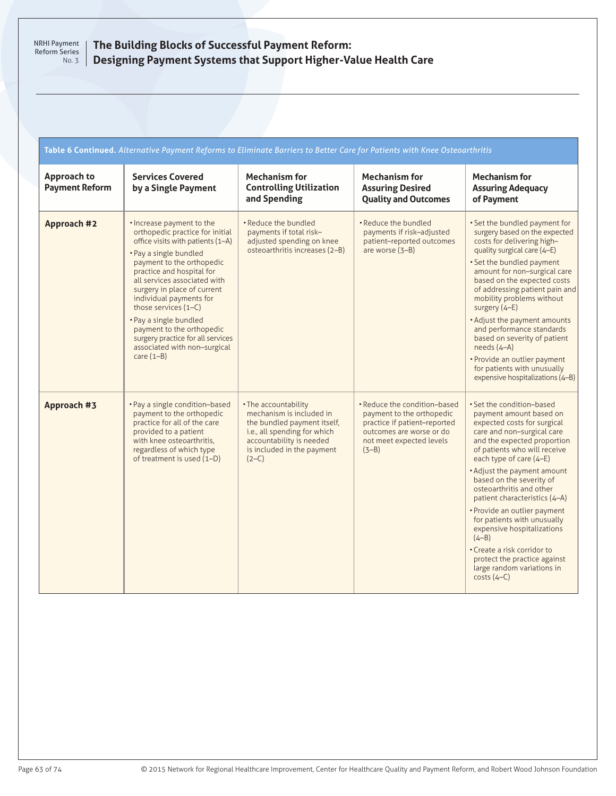| Table 6 Continued. Alternative Payment Reforms to Eliminate Barriers to Better Care for Patients with Knee Osteoarthritis |                                                                                                                                                                                                                                                                                                                                                                                                                                                       |                                                                                                                                                                                      |                                                                                                                                                              |                                                                                                                                                                                                                                                                                                                                                                                                                                                                                                                                                          |  |  |  |
|---------------------------------------------------------------------------------------------------------------------------|-------------------------------------------------------------------------------------------------------------------------------------------------------------------------------------------------------------------------------------------------------------------------------------------------------------------------------------------------------------------------------------------------------------------------------------------------------|--------------------------------------------------------------------------------------------------------------------------------------------------------------------------------------|--------------------------------------------------------------------------------------------------------------------------------------------------------------|----------------------------------------------------------------------------------------------------------------------------------------------------------------------------------------------------------------------------------------------------------------------------------------------------------------------------------------------------------------------------------------------------------------------------------------------------------------------------------------------------------------------------------------------------------|--|--|--|
| <b>Approach to</b><br><b>Payment Reform</b>                                                                               | <b>Services Covered</b><br>by a Single Payment                                                                                                                                                                                                                                                                                                                                                                                                        | <b>Mechanism for</b><br><b>Controlling Utilization</b><br>and Spending                                                                                                               | <b>Mechanism for</b><br><b>Assuring Desired</b><br><b>Quality and Outcomes</b>                                                                               | <b>Mechanism for</b><br><b>Assuring Adequacy</b><br>of Payment                                                                                                                                                                                                                                                                                                                                                                                                                                                                                           |  |  |  |
| Approach #2                                                                                                               | . Increase payment to the<br>orthopedic practice for initial<br>office visits with patients (1-A)<br>• Pay a single bundled<br>payment to the orthopedic<br>practice and hospital for<br>all services associated with<br>surgery in place of current<br>individual payments for<br>those services $(1-C)$<br>• Pay a single bundled<br>payment to the orthopedic<br>surgery practice for all services<br>associated with non-surgical<br>care $(1-B)$ | • Reduce the bundled<br>payments if total risk-<br>adjusted spending on knee<br>osteoarthritis increases (2-B)                                                                       | · Reduce the bundled<br>payments if risk-adjusted<br>patient-reported outcomes<br>are worse $(3-B)$                                                          | . Set the bundled payment for<br>surgery based on the expected<br>costs for delivering high-<br>quality surgical care (4-E)<br>. Set the bundled payment<br>amount for non-surgical care<br>based on the expected costs<br>of addressing patient pain and<br>mobility problems without<br>surgery (4-E)<br>• Adjust the payment amounts<br>and performance standards<br>based on severity of patient<br>$needs (4-A)$<br>· Provide an outlier payment<br>for patients with unusually<br>expensive hospitalizations (4-B)                                 |  |  |  |
| Approach #3                                                                                                               | • Pay a single condition-based<br>payment to the orthopedic<br>practice for all of the care<br>provided to a patient<br>with knee osteoarthritis,<br>regardless of which type<br>of treatment is used (1-D)                                                                                                                                                                                                                                           | . The accountability<br>mechanism is included in<br>the bundled payment itself,<br>i.e., all spending for which<br>accountability is needed<br>is included in the payment<br>$(2-C)$ | • Reduce the condition-based<br>payment to the orthopedic<br>practice if patient-reported<br>outcomes are worse or do<br>not meet expected levels<br>$(3-B)$ | • Set the condition-based<br>payment amount based on<br>expected costs for surgical<br>care and non-surgical care<br>and the expected proportion<br>of patients who will receive<br>each type of care (4-E)<br>• Adjust the payment amount<br>based on the severity of<br>osteoarthritis and other<br>patient characteristics (4-A)<br>• Provide an outlier payment<br>for patients with unusually<br>expensive hospitalizations<br>$(4-B)$<br>• Create a risk corridor to<br>protect the practice against<br>large random variations in<br>$costs(4-C)$ |  |  |  |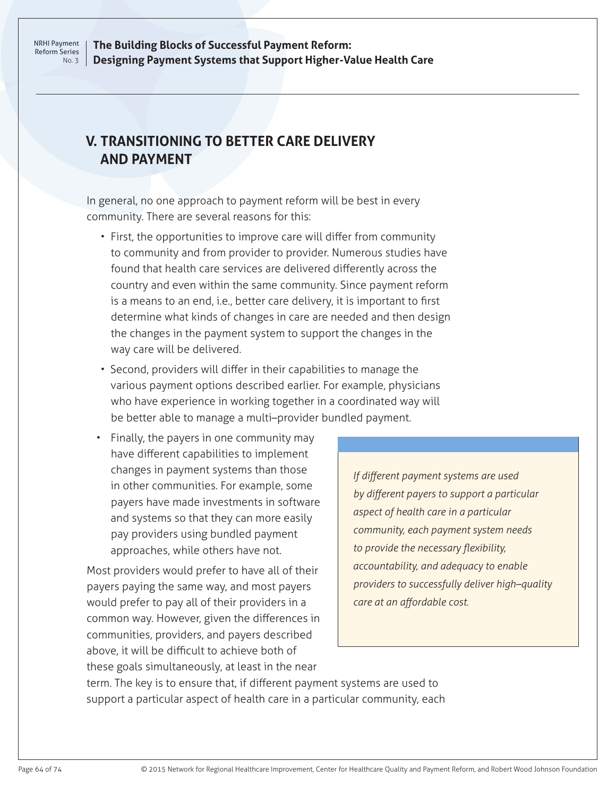## **V. TRANSITIONING TO BETTER CARE DELIVERY AND PAYMENT**

In general, no one approach to payment reform will be best in every community. There are several reasons for this:

- First, the opportunities to improve care will differ from community to community and from provider to provider. Numerous studies have found that health care services are delivered differently across the country and even within the same community. Since payment reform is a means to an end, i.e., better care delivery, it is important to first determine what kinds of changes in care are needed and then design the changes in the payment system to support the changes in the way care will be delivered.
- Second, providers will differ in their capabilities to manage the various payment options described earlier. For example, physicians who have experience in working together in a coordinated way will be better able to manage a multi–provider bundled payment.
- Finally, the payers in one community may have different capabilities to implement changes in payment systems than those in other communities. For example, some payers have made investments in software and systems so that they can more easily pay providers using bundled payment approaches, while others have not.

Most providers would prefer to have all of their payers paying the same way, and most payers would prefer to pay all of their providers in a common way. However, given the differences in communities, providers, and payers described above, it will be difficult to achieve both of these goals simultaneously, at least in the near

*If different payment systems are used by different payers to support a particular aspect of health care in a particular community, each payment system needs to provide the necessary flexibility, accountability, and adequacy to enable providers to successfully deliver high–quality care at an affordable cost.* 

term. The key is to ensure that, if different payment systems are used to support a particular aspect of health care in a particular community, each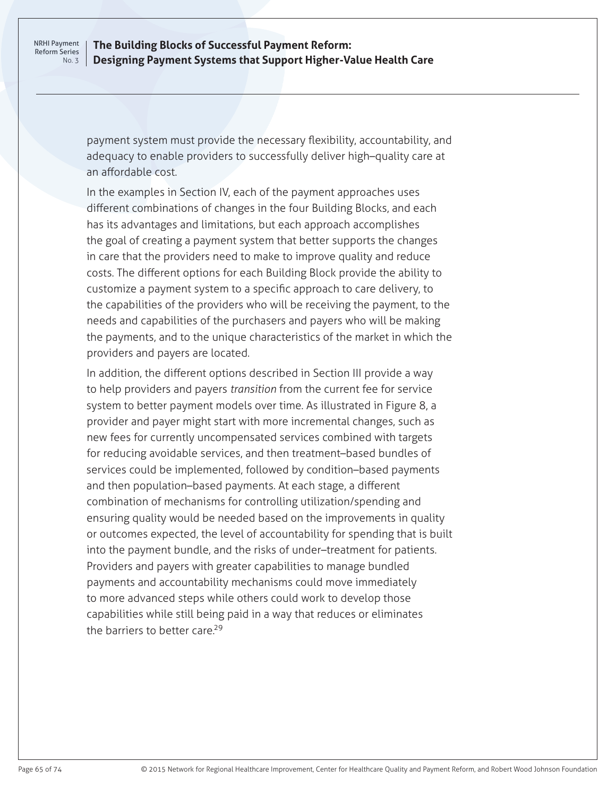#### **The Building Blocks of Successful Payment Reform: Designing Payment Systems that Support Higher-Value Health Care**

payment system must provide the necessary flexibility, accountability, and adequacy to enable providers to successfully deliver high–quality care at an affordable cost.

In the examples in Section IV, each of the payment approaches uses different combinations of changes in the four Building Blocks, and each has its advantages and limitations, but each approach accomplishes the goal of creating a payment system that better supports the changes in care that the providers need to make to improve quality and reduce costs. The different options for each Building Block provide the ability to customize a payment system to a specific approach to care delivery, to the capabilities of the providers who will be receiving the payment, to the needs and capabilities of the purchasers and payers who will be making the payments, and to the unique characteristics of the market in which the providers and payers are located.

In addition, the different options described in Section III provide a way to help providers and payers *transition* from the current fee for service system to better payment models over time. As illustrated in Figure 8, a provider and payer might start with more incremental changes, such as new fees for currently uncompensated services combined with targets for reducing avoidable services, and then treatment–based bundles of services could be implemented, followed by condition–based payments and then population–based payments. At each stage, a different combination of mechanisms for controlling utilization/spending and ensuring quality would be needed based on the improvements in quality or outcomes expected, the level of accountability for spending that is built into the payment bundle, and the risks of under–treatment for patients. Providers and payers with greater capabilities to manage bundled payments and accountability mechanisms could move immediately to more advanced steps while others could work to develop those capabilities while still being paid in a way that reduces or eliminates the barriers to better care<sup>29</sup>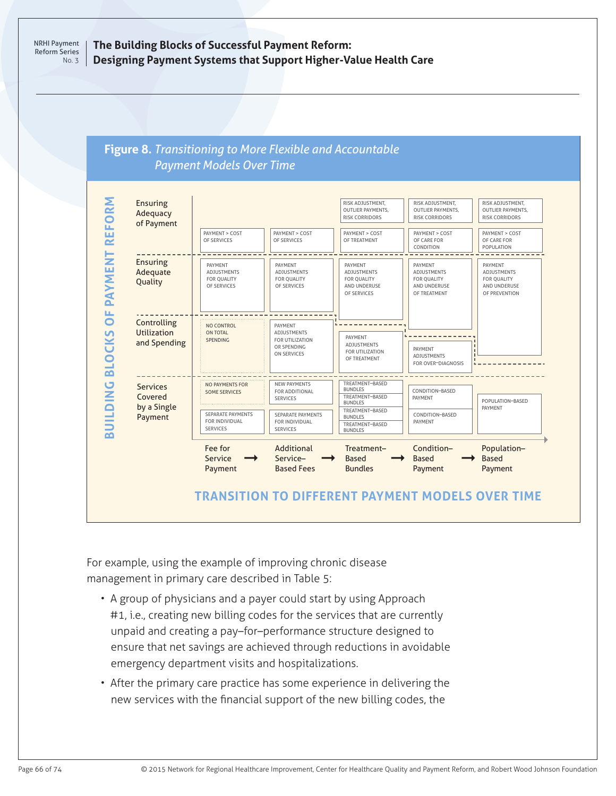**The Building Blocks of Successful Payment Reform: Designing Payment Systems that Support Higher-Value Health Care**

### **Figure 8.** *Transitioning to More Flexible and Accountable Payment Models Over Time*



For example, using the example of improving chronic disease management in primary care described in Table 5:

- A group of physicians and a payer could start by using Approach #1, i.e., creating new billing codes for the services that are currently unpaid and creating a pay–for–performance structure designed to ensure that net savings are achieved through reductions in avoidable emergency department visits and hospitalizations.
- After the primary care practice has some experience in delivering the new services with the financial support of the new billing codes, the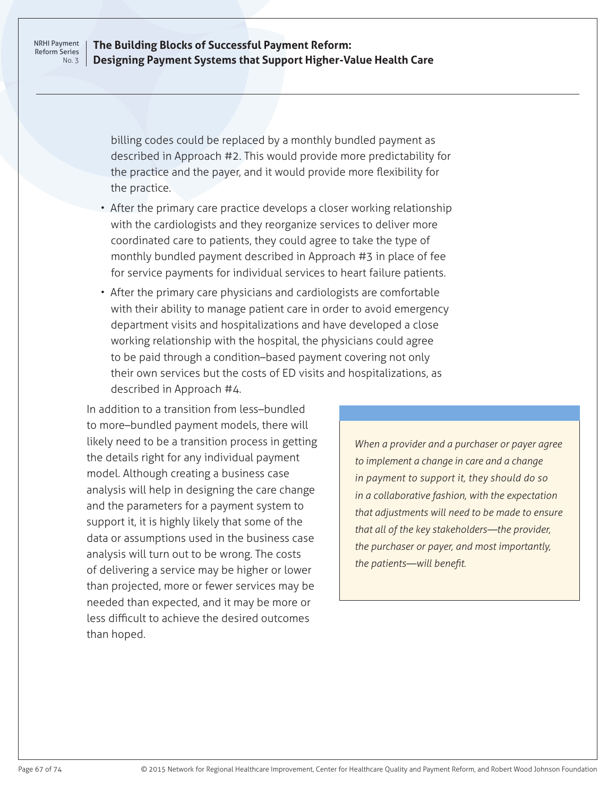#### **The Building Blocks of Successful Payment Reform: Designing Payment Systems that Support Higher-Value Health Care**

billing codes could be replaced by a monthly bundled payment as described in Approach #2. This would provide more predictability for the practice and the payer, and it would provide more flexibility for the practice.

- After the primary care practice develops a closer working relationship with the cardiologists and they reorganize services to deliver more coordinated care to patients, they could agree to take the type of monthly bundled payment described in Approach #3 in place of fee for service payments for individual services to heart failure patients.
- After the primary care physicians and cardiologists are comfortable with their ability to manage patient care in order to avoid emergency department visits and hospitalizations and have developed a close working relationship with the hospital, the physicians could agree to be paid through a condition–based payment covering not only their own services but the costs of ED visits and hospitalizations, as described in Approach #4.

In addition to a transition from less–bundled to more–bundled payment models, there will likely need to be a transition process in getting the details right for any individual payment model. Although creating a business case analysis will help in designing the care change and the parameters for a payment system to support it, it is highly likely that some of the data or assumptions used in the business case analysis will turn out to be wrong. The costs of delivering a service may be higher or lower than projected, more or fewer services may be needed than expected, and it may be more or less difficult to achieve the desired outcomes than hoped.

*When a provider and a purchaser or payer agree to implement a change in care and a change in payment to support it, they should do so in a collaborative fashion, with the expectation that adjustments will need to be made to ensure that all of the key stakeholders—the provider, the purchaser or payer, and most importantly, the patients—will benefit.*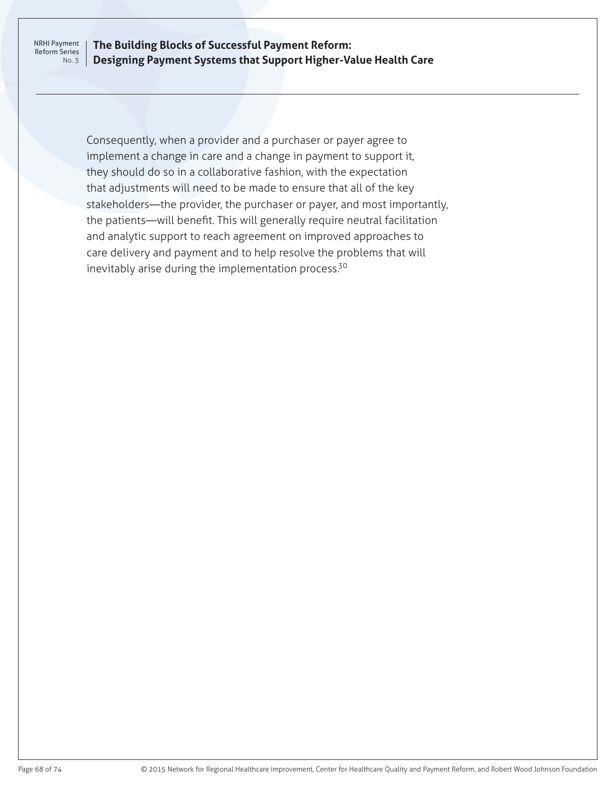#### **The Building Blocks of Successful Payment Reform: Designing Payment Systems that Support Higher-Value Health Care**

Consequently, when a provider and a purchaser or payer agree to implement a change in care and a change in payment to support it, they should do so in a collaborative fashion, with the expectation that adjustments will need to be made to ensure that all of the key stakeholders—the provider, the purchaser or payer, and most importantly, the patients—will benefit. This will generally require neutral facilitation and analytic support to reach agreement on improved approaches to care delivery and payment and to help resolve the problems that will inevitably arise during the implementation process.<sup>30</sup>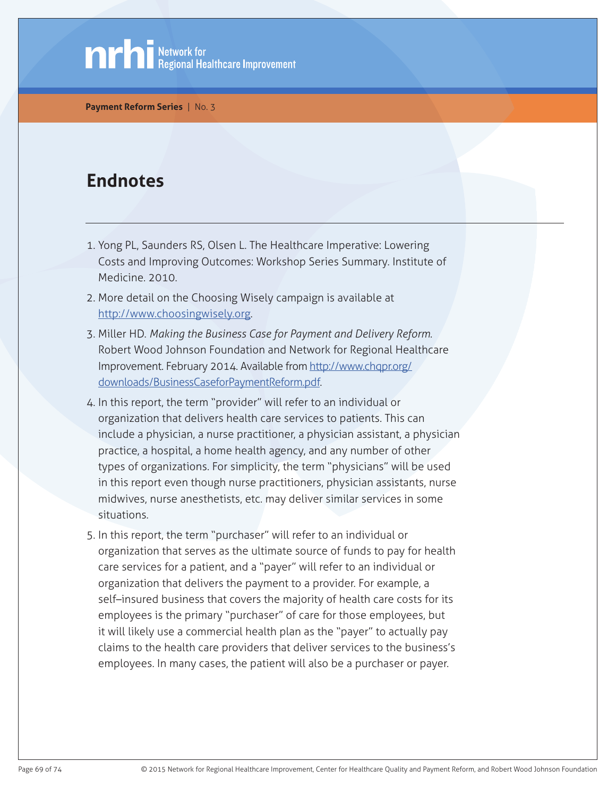**Payment Reform Series** | No. 3

# **Endnotes**

- 1. Yong PL, Saunders RS, Olsen L. The Healthcare Imperative: Lowering Costs and Improving Outcomes: Workshop Series Summary. Institute of Medicine. 2010.
- 2. More detail on the Choosing Wisely campaign is available at <http://www.choosingwisely.org>.
- 3. Miller HD. *Making the Business Case for Payment and Delivery Reform*. Robert Wood Johnson Foundation and Network for Regional Healthcare Improvement. February 2014. Available from [http://www.chqpr.org/](http://www.chqpr.org/downloads/BusinessCaseforPaymentReform.pdf) [downloads/BusinessCaseforPaymentReform.pdf](http://www.chqpr.org/downloads/BusinessCaseforPaymentReform.pdf).
- 4. In this report, the term "provider" will refer to an individual or organization that delivers health care services to patients. This can include a physician, a nurse practitioner, a physician assistant, a physician practice, a hospital, a home health agency, and any number of other types of organizations. For simplicity, the term "physicians" will be used in this report even though nurse practitioners, physician assistants, nurse midwives, nurse anesthetists, etc. may deliver similar services in some situations.
- 5. In this report, the term "purchaser" will refer to an individual or organization that serves as the ultimate source of funds to pay for health care services for a patient, and a "payer" will refer to an individual or organization that delivers the payment to a provider. For example, a self–insured business that covers the majority of health care costs for its employees is the primary "purchaser" of care for those employees, but it will likely use a commercial health plan as the "payer" to actually pay claims to the health care providers that deliver services to the business's employees. In many cases, the patient will also be a purchaser or payer.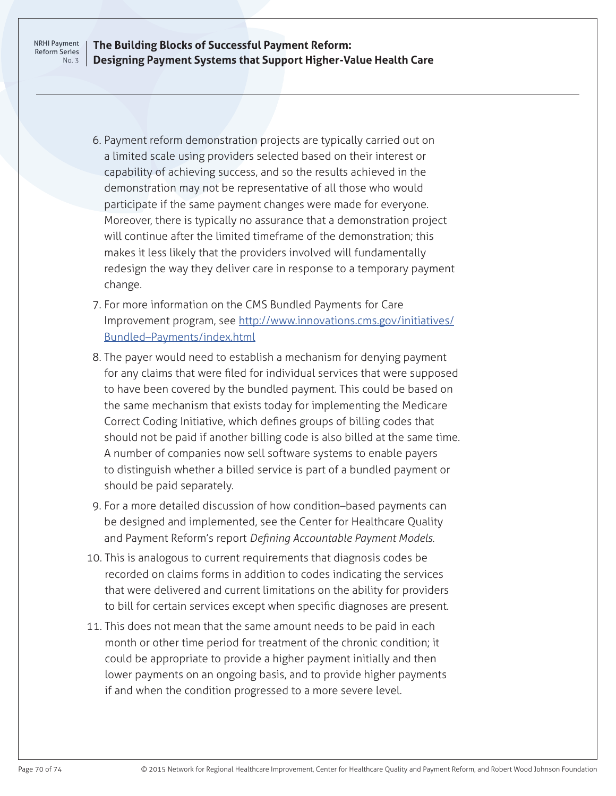- 6. Payment reform demonstration projects are typically carried out on a limited scale using providers selected based on their interest or capability of achieving success, and so the results achieved in the demonstration may not be representative of all those who would participate if the same payment changes were made for everyone. Moreover, there is typically no assurance that a demonstration project will continue after the limited timeframe of the demonstration; this makes it less likely that the providers involved will fundamentally redesign the way they deliver care in response to a temporary payment change.
- 7. For more information on the CMS Bundled Payments for Care Improvement program, see [http://www.innovations.cms.gov/initiatives/](http://www.innovations.cms.gov/initiatives/Bundled-Payments/index.html) [Bundled–Payments/index.html](http://www.innovations.cms.gov/initiatives/Bundled-Payments/index.html)
- 8. The payer would need to establish a mechanism for denying payment for any claims that were filed for individual services that were supposed to have been covered by the bundled payment. This could be based on the same mechanism that exists today for implementing the Medicare Correct Coding Initiative, which defines groups of billing codes that should not be paid if another billing code is also billed at the same time. A number of companies now sell software systems to enable payers to distinguish whether a billed service is part of a bundled payment or should be paid separately.
- 9. For a more detailed discussion of how condition–based payments can be designed and implemented, see the Center for Healthcare Quality and Payment Reform's report *Defining Accountable Payment Models*.
- 10. This is analogous to current requirements that diagnosis codes be recorded on claims forms in addition to codes indicating the services that were delivered and current limitations on the ability for providers to bill for certain services except when specific diagnoses are present.
- 11. This does not mean that the same amount needs to be paid in each month or other time period for treatment of the chronic condition; it could be appropriate to provide a higher payment initially and then lower payments on an ongoing basis, and to provide higher payments if and when the condition progressed to a more severe level.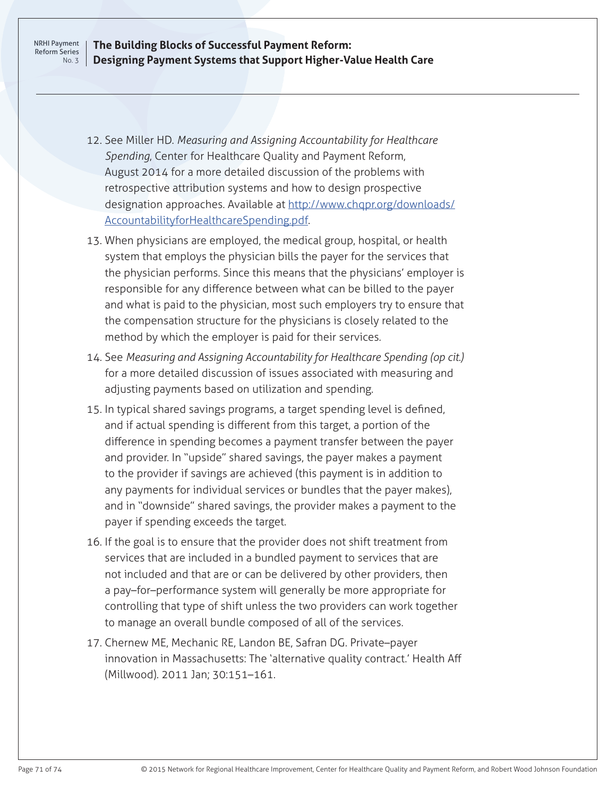- 12. See Miller HD. *Measuring and Assigning Accountability for Healthcare Spending*, Center for Healthcare Quality and Payment Reform, August 2014 for a more detailed discussion of the problems with retrospective attribution systems and how to design prospective designation approaches. Available at [http://www.chqpr.org/downloads/](http://www.chqpr.org/downloads/AccountabilityforHealthcareSpending.pdf) [AccountabilityforHealthcareSpending.pdf](http://www.chqpr.org/downloads/AccountabilityforHealthcareSpending.pdf).
- 13. When physicians are employed, the medical group, hospital, or health system that employs the physician bills the payer for the services that the physician performs. Since this means that the physicians' employer is responsible for any difference between what can be billed to the payer and what is paid to the physician, most such employers try to ensure that the compensation structure for the physicians is closely related to the method by which the employer is paid for their services.
- 14. See *Measuring and Assigning Accountability for Healthcare Spending (op cit.)* for a more detailed discussion of issues associated with measuring and adjusting payments based on utilization and spending.
- 15. In typical shared savings programs, a target spending level is defined, and if actual spending is different from this target, a portion of the difference in spending becomes a payment transfer between the payer and provider. In "upside" shared savings, the payer makes a payment to the provider if savings are achieved (this payment is in addition to any payments for individual services or bundles that the payer makes), and in "downside" shared savings, the provider makes a payment to the payer if spending exceeds the target.
- 16. If the goal is to ensure that the provider does not shift treatment from services that are included in a bundled payment to services that are not included and that are or can be delivered by other providers, then a pay–for–performance system will generally be more appropriate for controlling that type of shift unless the two providers can work together to manage an overall bundle composed of all of the services.
- 17. Chernew ME, Mechanic RE, Landon BE, Safran DG. Private–payer innovation in Massachusetts: The 'alternative quality contract.' Health Aff (Millwood). 2011 Jan; 30:151–161.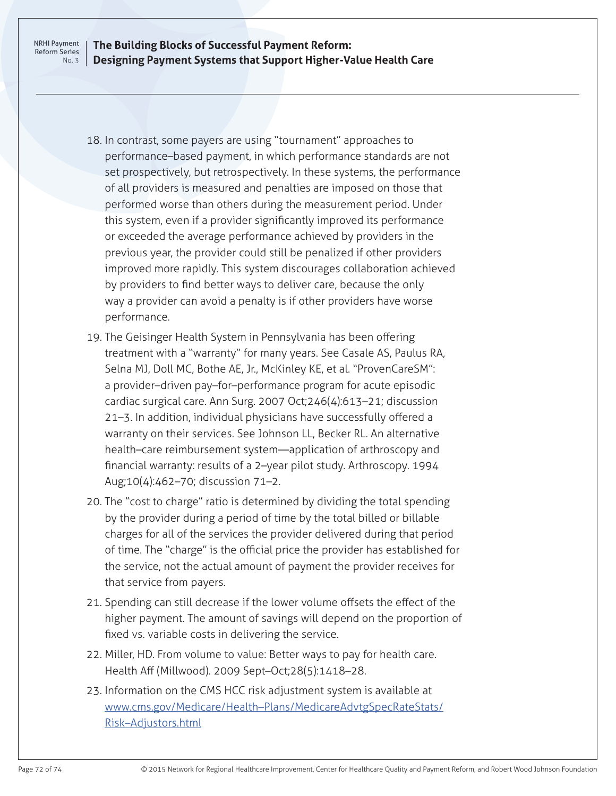- 18. In contrast, some payers are using "tournament" approaches to performance–based payment, in which performance standards are not set prospectively, but retrospectively. In these systems, the performance of all providers is measured and penalties are imposed on those that performed worse than others during the measurement period. Under this system, even if a provider significantly improved its performance or exceeded the average performance achieved by providers in the previous year, the provider could still be penalized if other providers improved more rapidly. This system discourages collaboration achieved by providers to find better ways to deliver care, because the only way a provider can avoid a penalty is if other providers have worse performance.
- 19. The Geisinger Health System in Pennsylvania has been offering treatment with a "warranty" for many years. See Casale AS, Paulus RA, Selna MJ, Doll MC, Bothe AE, Jr., McKinley KE, et al. "ProvenCareSM": a provider–driven pay–for–performance program for acute episodic cardiac surgical care. Ann Surg. 2007 Oct;246(4):613–21; discussion 21–3. In addition, individual physicians have successfully offered a warranty on their services. See Johnson LL, Becker RL. An alternative health–care reimbursement system—application of arthroscopy and financial warranty: results of a 2–year pilot study. Arthroscopy. 1994 Aug;10(4):462–70; discussion 71–2.
- 20. The "cost to charge" ratio is determined by dividing the total spending by the provider during a period of time by the total billed or billable charges for all of the services the provider delivered during that period of time. The "charge" is the official price the provider has established for the service, not the actual amount of payment the provider receives for that service from payers.
- 21. Spending can still decrease if the lower volume offsets the effect of the higher payment. The amount of savings will depend on the proportion of fixed vs. variable costs in delivering the service.
- 22. Miller, HD. From volume to value: Better ways to pay for health care. Health Aff (Millwood). 2009 Sept–Oct;28(5):1418–28.
- 23. Information on the CMS HCC risk adjustment system is available at [www.cms.gov/Medicare/Health–Plans/MedicareAdvtgSpecRateStats/](http://www.cms.gov/Medicare/Health-Plans/MedicareAdvtgSpecRateStats/Risk-Adjustors.html) [Risk–Adjustors.html](http://www.cms.gov/Medicare/Health-Plans/MedicareAdvtgSpecRateStats/Risk-Adjustors.html)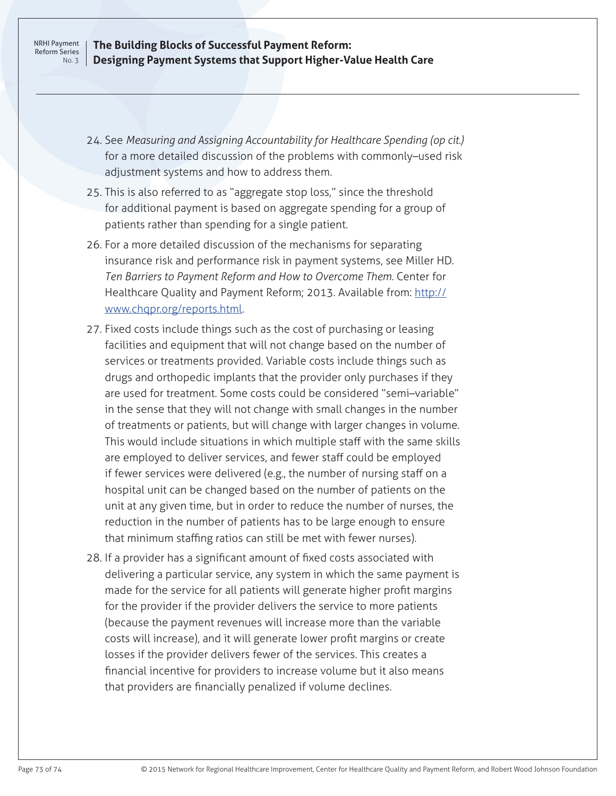- 24. See *Measuring and Assigning Accountability for Healthcare Spending (op cit.)* for a more detailed discussion of the problems with commonly–used risk adjustment systems and how to address them.
- 25. This is also referred to as "aggregate stop loss," since the threshold for additional payment is based on aggregate spending for a group of patients rather than spending for a single patient.
- 26. For a more detailed discussion of the mechanisms for separating insurance risk and performance risk in payment systems, see Miller HD. *Ten Barriers to Payment Reform and How to Overcome Them*. Center for Healthcare Quality and Payment Reform; 2013. Available from: [http://](http://www.chqpr.org/reports.html) [www.chqpr.org/reports.html.](http://www.chqpr.org/reports.html)
- 27. Fixed costs include things such as the cost of purchasing or leasing facilities and equipment that will not change based on the number of services or treatments provided. Variable costs include things such as drugs and orthopedic implants that the provider only purchases if they are used for treatment. Some costs could be considered "semi–variable" in the sense that they will not change with small changes in the number of treatments or patients, but will change with larger changes in volume. This would include situations in which multiple staff with the same skills are employed to deliver services, and fewer staff could be employed if fewer services were delivered (e.g., the number of nursing staff on a hospital unit can be changed based on the number of patients on the unit at any given time, but in order to reduce the number of nurses, the reduction in the number of patients has to be large enough to ensure that minimum staffing ratios can still be met with fewer nurses).
- 28. If a provider has a significant amount of fixed costs associated with delivering a particular service, any system in which the same payment is made for the service for all patients will generate higher profit margins for the provider if the provider delivers the service to more patients (because the payment revenues will increase more than the variable costs will increase), and it will generate lower profit margins or create losses if the provider delivers fewer of the services. This creates a financial incentive for providers to increase volume but it also means that providers are financially penalized if volume declines.